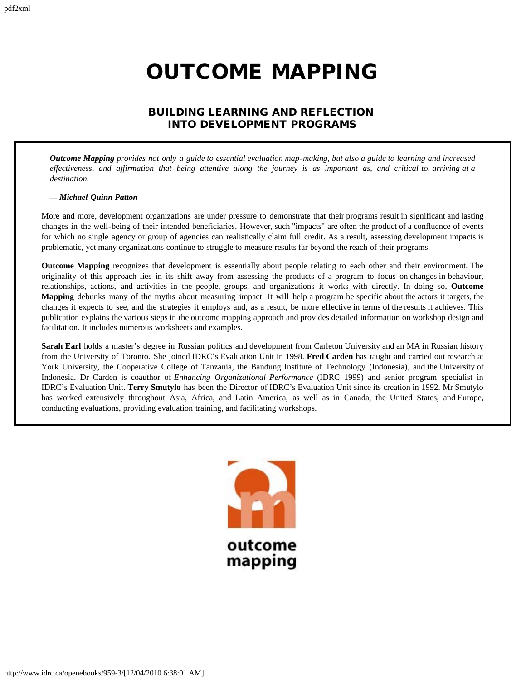# OUTCOME MAPPING

#### BUILDING LEARNING AND REFLECTION INTO DEVELOPMENT PROGRAMS

*Outcome Mapping provides not only a guide to essential evaluation map-making, but also a guide to learning and increased effectiveness, and affirmation that being attentive along the journey is as important as, and critical to, arriving at a destination.*

#### *— Michael Quinn Patton*

More and more, development organizations are under pressure to demonstrate that their programs result in significant and lasting changes in the well-being of their intended beneficiaries. However, such "impacts" are often the product of a confluence of events for which no single agency or group of agencies can realistically claim full credit. As a result, assessing development impacts is problematic, yet many organizations continue to struggle to measure results far beyond the reach of their programs.

**Outcome Mapping** recognizes that development is essentially about people relating to each other and their environment. The originality of this approach lies in its shift away from assessing the products of a program to focus on changes in behaviour, relationships, actions, and activities in the people, groups, and organizations it works with directly. In doing so, **Outcome Mapping** debunks many of the myths about measuring impact. It will help a program be specific about the actors it targets, the changes it expects to see, and the strategies it employs and, as a result, be more effective in terms of the results it achieves. This publication explains the various steps in the outcome mapping approach and provides detailed information on workshop design and facilitation. It includes numerous worksheets and examples.

**Sarah Earl** holds a master's degree in Russian politics and development from Carleton University and an MA in Russian history from the University of Toronto. She joined IDRC's Evaluation Unit in 1998. **Fred Carden** has taught and carried out research at York University, the Cooperative College of Tanzania, the Bandung Institute of Technology (Indonesia), and the University of Indonesia. Dr Carden is coauthor of *Enhancing Organizational Performance* (IDRC 1999) and senior program specialist in IDRC's Evaluation Unit. **Terry Smutylo** has been the Director of IDRC's Evaluation Unit since its creation in 1992. Mr Smutylo has worked extensively throughout Asia, Africa, and Latin America, as well as in Canada, the United States, and Europe, conducting evaluations, providing evaluation training, and facilitating workshops.

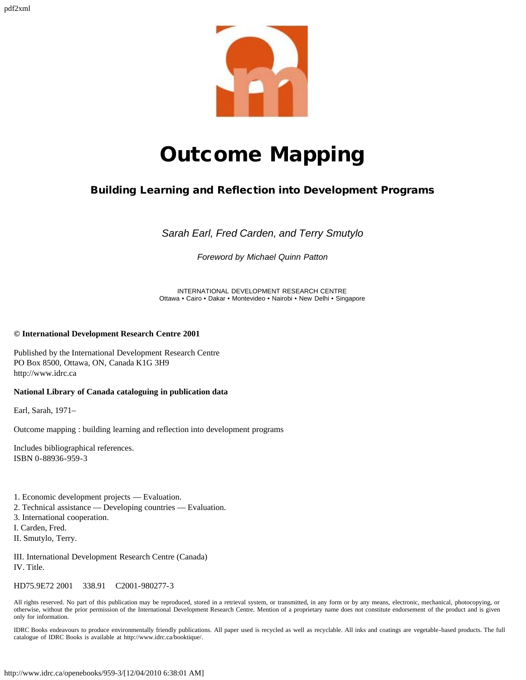

# Outcome Mapping

## Building Learning and Reflection into Development Programs

*Sarah Earl, Fred Carden, and Terry Smutylo*

*Foreword by Michael Quinn Patton*

INTERNATIONAL DEVELOPMENT RESEARCH CENTRE Ottawa • Cairo • Dakar • Montevideo • Nairobi • New Delhi • Singapore

#### **© International Development Research Centre 2001**

Published by the International Development Research Centre PO Box 8500, Ottawa, ON, Canada K1G 3H9 http://www.idrc.ca

#### **National Library of Canada cataloguing in publication data**

Earl, Sarah, 1971–

Outcome mapping : building learning and reflection into development programs

Includes bibliographical references. ISBN 0-88936-959-3

1. Economic development projects — Evaluation.

2. Technical assistance — Developing countries — Evaluation.

3. International cooperation.

I. Carden, Fred.

II. Smutylo, Terry.

III. International Development Research Centre (Canada) IV. Title.

HD75.9E72 2001 338.91 C2001-980277-3

All rights reserved. No part of this publication may be reproduced, stored in a retrieval system, or transmitted, in any form or by any means, electronic, mechanical, photocopying, or otherwise, without the prior permission of the International Development Research Centre. Mention of a proprietary name does not constitute endorsement of the product and is given only for information.

IDRC Books endeavours to produce environmentally friendly publications. All paper used is recycled as well as recyclable. All inks and coatings are vegetable-based products. The full catalogue of IDRC Books is available at http://www.idrc.ca/booktique/.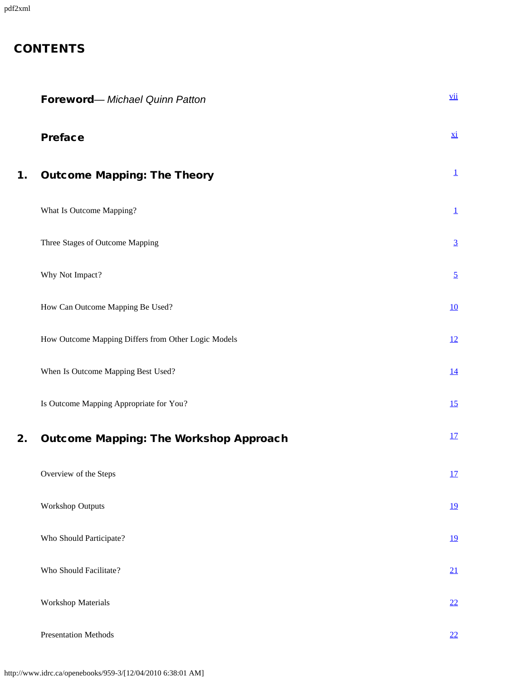## **CONTENTS**

|    | <b>Foreword</b> — Michael Quinn Patton              | vii                       |
|----|-----------------------------------------------------|---------------------------|
|    | <b>Preface</b>                                      | $\underline{\mathbf{xi}}$ |
| 1. | <b>Outcome Mapping: The Theory</b>                  | $\perp$                   |
|    | What Is Outcome Mapping?                            | $\perp$                   |
|    | Three Stages of Outcome Mapping                     | $\overline{3}$            |
|    | Why Not Impact?                                     | $\overline{2}$            |
|    | How Can Outcome Mapping Be Used?                    | <u>10</u>                 |
|    | How Outcome Mapping Differs from Other Logic Models | 12                        |
|    | When Is Outcome Mapping Best Used?                  | <u>14</u>                 |
|    | Is Outcome Mapping Appropriate for You?             | <u>15</u>                 |
| 2. | <b>Outcome Mapping: The Workshop Approach</b>       | 17                        |
|    | Overview of the Steps                               | 17                        |
|    | <b>Workshop Outputs</b>                             | <u>19</u>                 |
|    | Who Should Participate?                             | <u>19</u>                 |
|    | Who Should Facilitate?                              | 21                        |
|    | <b>Workshop Materials</b>                           | 22                        |
|    | <b>Presentation Methods</b>                         | 22                        |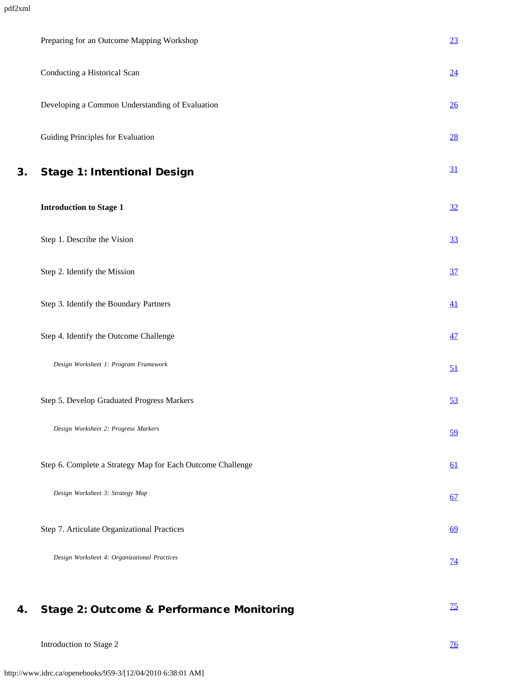|    | Preparing for an Outcome Mapping Workshop                  | 23              |
|----|------------------------------------------------------------|-----------------|
|    | Conducting a Historical Scan                               | 24              |
|    | Developing a Common Understanding of Evaluation            | 26              |
|    | Guiding Principles for Evaluation                          | 28              |
| 3. | <b>Stage 1: Intentional Design</b>                         | 31              |
|    | <b>Introduction to Stage 1</b>                             | 32              |
|    | Step 1. Describe the Vision                                | 33              |
|    | Step 2. Identify the Mission                               | 37              |
|    | Step 3. Identify the Boundary Partners                     | 41              |
|    | Step 4. Identify the Outcome Challenge                     | 47              |
|    | Design Worksheet 1: Program Framework                      | 51              |
|    | Step 5. Develop Graduated Progress Markers                 | 53              |
|    | Design Worksheet 2: Progress Markers                       | 59              |
|    | Step 6. Complete a Strategy Map for Each Outcome Challenge | <u>61</u>       |
|    | Design Worksheet 3: Strategy Map                           | 67              |
|    | Step 7. Articulate Organizational Practices                | 69              |
|    | Design Worksheet 4: Organizational Practices               | $\overline{14}$ |
| 4. | <b>Stage 2: Outcome &amp; Performance Monitoring</b>       | 75              |
|    | Introduction to Stage 2                                    | $\overline{16}$ |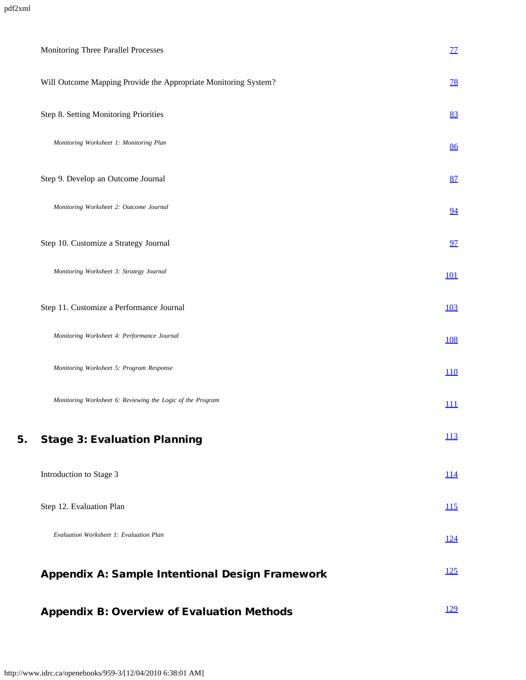|    | Monitoring Three Parallel Processes                             | 77         |
|----|-----------------------------------------------------------------|------------|
|    | Will Outcome Mapping Provide the Appropriate Monitoring System? | <u>78</u>  |
|    | Step 8. Setting Monitoring Priorities                           | 83         |
|    | Monitoring Worksheet 1: Monitoring Plan                         | 86         |
|    | Step 9. Develop an Outcome Journal                              | 87         |
|    | Monitoring Worksheet 2: Outcome Journal                         | 94         |
|    | Step 10. Customize a Strategy Journal                           | 97         |
|    | Monitoring Worksheet 3: Strategy Journal                        | <b>101</b> |
|    | Step 11. Customize a Performance Journal                        | <u>103</u> |
|    | Monitoring Worksheet 4: Performance Journal                     | <u>108</u> |
|    | Monitoring Worksheet 5: Program Response                        | <b>110</b> |
|    | Monitoring Worksheet 6: Reviewing the Logic of the Program      | 111        |
| 5. | <b>Stage 3: Evaluation Planning</b>                             | 113        |
|    | Introduction to Stage 3                                         | <u>114</u> |
|    | Step 12. Evaluation Plan                                        | <u>115</u> |
|    | Evaluation Worksheet 1: Evaluation Plan                         | <u>124</u> |
|    | <b>Appendix A: Sample Intentional Design Framework</b>          | <u>125</u> |
|    | <b>Appendix B: Overview of Evaluation Methods</b>               | <u>129</u> |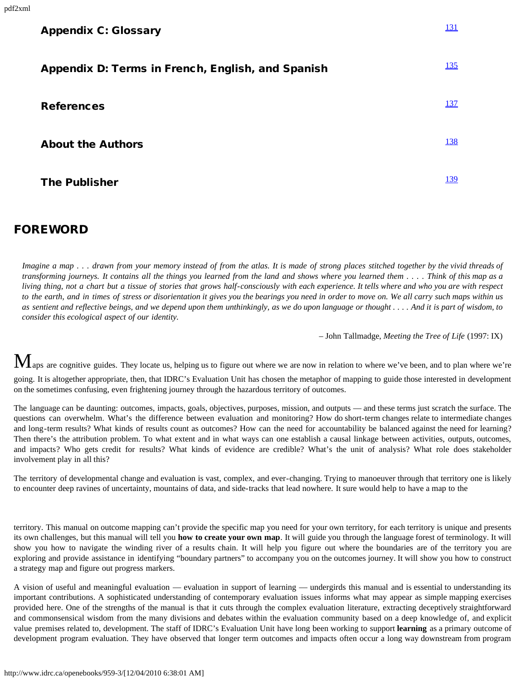| <b>Appendix C: Glossary</b>                       | 131        |
|---------------------------------------------------|------------|
| Appendix D: Terms in French, English, and Spanish | <u>135</u> |
| <b>References</b>                                 | <u>137</u> |
| <b>About the Authors</b>                          | <u>138</u> |
| <b>The Publisher</b>                              | 139        |

#### <span id="page-5-0"></span>FOREWORD

*Imagine a map . . . drawn from your memory instead of from the atlas. It is made of strong places stitched together by the vivid threads of transforming journeys. It contains all the things you learned from the land and shows where you learned them . . . . Think of this map as a living thing, not a chart but a tissue of stories that grows half-consciously with each experience. It tells where and who you are with respect to the earth, and in times of stress or disorientation it gives you the bearings you need in order to move on. We all carry such maps within us as sentient and reflective beings, and we depend upon them unthinkingly, as we do upon language or thought . . . . And it is part of wisdom, to consider this ecological aspect of our identity.*

– John Tallmadge, *Meeting the Tree of Life* (1997: IX)

 $\bf M$ aps are cognitive guides. They locate us, helping us to figure out where we are now in relation to where we've been, and to plan where we're going. It is altogether appropriate, then, that IDRC's Evaluation Unit has chosen the metaphor of mapping to guide those interested in development on the sometimes confusing, even frightening journey through the hazardous territory of outcomes.

The language can be daunting: outcomes, impacts, goals, objectives, purposes, mission, and outputs — and these terms just scratch the surface. The questions can overwhelm. What's the difference between evaluation and monitoring? How do short-term changes relate to intermediate changes and long-term results? What kinds of results count as outcomes? How can the need for accountability be balanced against the need for learning? Then there's the attribution problem. To what extent and in what ways can one establish a causal linkage between activities, outputs, outcomes, and impacts? Who gets credit for results? What kinds of evidence are credible? What's the unit of analysis? What role does stakeholder involvement play in all this?

The territory of developmental change and evaluation is vast, complex, and ever-changing. Trying to manoeuver through that territory one is likely to encounter deep ravines of uncertainty, mountains of data, and side-tracks that lead nowhere. It sure would help to have a map to the

territory. This manual on outcome mapping can't provide the specific map you need for your own territory, for each territory is unique and presents its own challenges, but this manual will tell you **how to create your own map**. It will guide you through the language forest of terminology. It will show you how to navigate the winding river of a results chain. It will help you figure out where the boundaries are of the territory you are exploring and provide assistance in identifying "boundary partners" to accompany you on the outcomes journey. It will show you how to construct a strategy map and figure out progress markers.

A vision of useful and meaningful evaluation — evaluation in support of learning — undergirds this manual and is essential to understanding its important contributions. A sophisticated understanding of contemporary evaluation issues informs what may appear as simple mapping exercises provided here. One of the strengths of the manual is that it cuts through the complex evaluation literature, extracting deceptively straightforward and commonsensical wisdom from the many divisions and debates within the evaluation community based on a deep knowledge of, and explicit value premises related to, development. The staff of IDRC's Evaluation Unit have long been working to support **learning** as a primary outcome of development program evaluation. They have observed that longer term outcomes and impacts often occur a long way downstream from program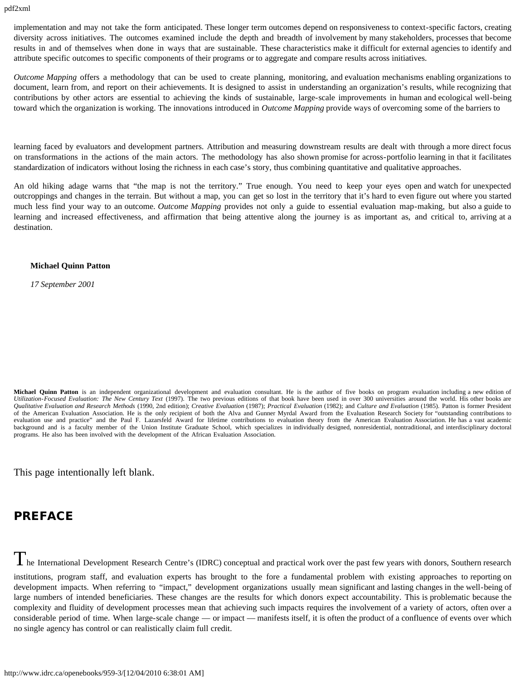implementation and may not take the form anticipated. These longer term outcomes depend on responsiveness to context-specific factors, creating diversity across initiatives. The outcomes examined include the depth and breadth of involvement by many stakeholders, processes that become results in and of themselves when done in ways that are sustainable. These characteristics make it difficult for external agencies to identify and attribute specific outcomes to specific components of their programs or to aggregate and compare results across initiatives.

*Outcome Mapping* offers a methodology that can be used to create planning, monitoring, and evaluation mechanisms enabling organizations to document, learn from, and report on their achievements. It is designed to assist in understanding an organization's results, while recognizing that contributions by other actors are essential to achieving the kinds of sustainable, large-scale improvements in human and ecological well-being toward which the organization is working. The innovations introduced in *Outcome Mapping* provide ways of overcoming some of the barriers to

learning faced by evaluators and development partners. Attribution and measuring downstream results are dealt with through a more direct focus on transformations in the actions of the main actors. The methodology has also shown promise for across-portfolio learning in that it facilitates standardization of indicators without losing the richness in each case's story, thus combining quantitative and qualitative approaches.

An old hiking adage warns that "the map is not the territory." True enough. You need to keep your eyes open and watch for unexpected outcroppings and changes in the terrain. But without a map, you can get so lost in the territory that it's hard to even figure out where you started much less find your way to an outcome. *Outcome Mapping* provides not only a guide to essential evaluation map-making, but also a guide to learning and increased effectiveness, and affirmation that being attentive along the journey is as important as, and critical to, arriving at a destination.

#### **Michael Quinn Patton**

*17 September 2001*

Michael Quinn Patton is an independent organizational development and evaluation consultant. He is the author of five books on program evaluation including a new edition of *Utilization-Focused Evaluation: The New Century Text* (1997). The two previous editions of that book have been used in over 300 universities around the world. His other books are *Qualitative Evaluation and Research Methods* (1990, 2nd edition); *Creative Evaluation* (1987); *Practical Evaluation* (1982); and *Culture and Evaluation* (1985). Patton is former President of the American Evaluation Association. He is the only recipient of both the Alva and Gunner Myrdal Award from the Evaluation Research Society for "outstanding contributions to evaluation use and practice" and the Paul F. Lazarsfeld Award for lifetime contributions to evaluation theory from the American Evaluation Association. He has a vast academic background and is a faculty member of the Union Institute Graduate School, which specializes in individually designed, nonresidential, nontraditional, and interdisciplinary doctoral programs. He also has been involved with the development of the African Evaluation Association.

<span id="page-6-0"></span>This page intentionally left blank.

## PREFACE

The International Development Research Centre's (IDRC) conceptual and practical work over the past few years with donors, Southern research institutions, program staff, and evaluation experts has brought to the fore a fundamental problem with existing approaches to reporting on

development impacts. When referring to "impact," development organizations usually mean significant and lasting changes in the well-being of large numbers of intended beneficiaries. These changes are the results for which donors expect accountability. This is problematic because the complexity and fluidity of development processes mean that achieving such impacts requires the involvement of a variety of actors, often over a considerable period of time. When large-scale change — or impact — manifests itself, it is often the product of a confluence of events over which no single agency has control or can realistically claim full credit.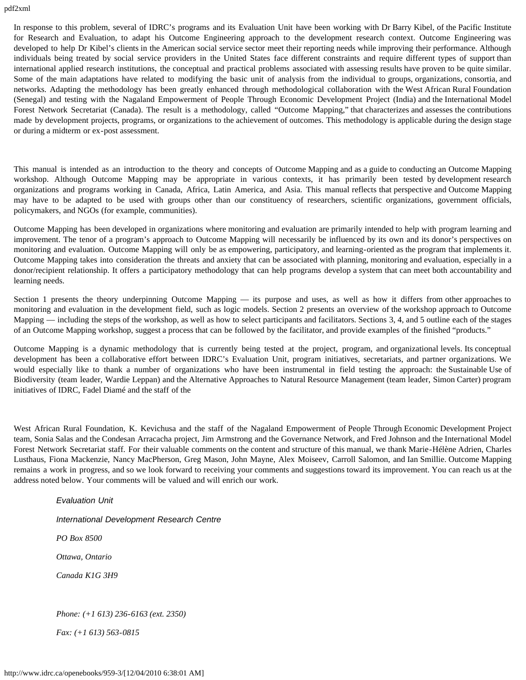In response to this problem, several of IDRC's programs and its Evaluation Unit have been working with Dr Barry Kibel, of the Pacific Institute for Research and Evaluation, to adapt his Outcome Engineering approach to the development research context. Outcome Engineering was developed to help Dr Kibel's clients in the American social service sector meet their reporting needs while improving their performance. Although individuals being treated by social service providers in the United States face different constraints and require different types of support than international applied research institutions, the conceptual and practical problems associated with assessing results have proven to be quite similar. Some of the main adaptations have related to modifying the basic unit of analysis from the individual to groups, organizations, consortia, and networks. Adapting the methodology has been greatly enhanced through methodological collaboration with the West African Rural Foundation (Senegal) and testing with the Nagaland Empowerment of People Through Economic Development Project (India) and the International Model Forest Network Secretariat (Canada). The result is a methodology, called "Outcome Mapping," that characterizes and assesses the contributions made by development projects, programs, or organizations to the achievement of outcomes. This methodology is applicable during the design stage or during a midterm or ex-post assessment.

This manual is intended as an introduction to the theory and concepts of Outcome Mapping and as a guide to conducting an Outcome Mapping workshop. Although Outcome Mapping may be appropriate in various contexts, it has primarily been tested by development research organizations and programs working in Canada, Africa, Latin America, and Asia. This manual reflects that perspective and Outcome Mapping may have to be adapted to be used with groups other than our constituency of researchers, scientific organizations, government officials, policymakers, and NGOs (for example, communities).

Outcome Mapping has been developed in organizations where monitoring and evaluation are primarily intended to help with program learning and improvement. The tenor of a program's approach to Outcome Mapping will necessarily be influenced by its own and its donor's perspectives on monitoring and evaluation. Outcome Mapping will only be as empowering, participatory, and learning-oriented as the program that implements it. Outcome Mapping takes into consideration the threats and anxiety that can be associated with planning, monitoring and evaluation, especially in a donor/recipient relationship. It offers a participatory methodology that can help programs develop a system that can meet both accountability and learning needs.

Section 1 presents the theory underpinning Outcome Mapping — its purpose and uses, as well as how it differs from other approaches to monitoring and evaluation in the development field, such as logic models. Section 2 presents an overview of the workshop approach to Outcome Mapping — including the steps of the workshop, as well as how to select participants and facilitators. Sections 3, 4, and 5 outline each of the stages of an Outcome Mapping workshop, suggest a process that can be followed by the facilitator, and provide examples of the finished "products."

Outcome Mapping is a dynamic methodology that is currently being tested at the project, program, and organizational levels. Its conceptual development has been a collaborative effort between IDRC's Evaluation Unit, program initiatives, secretariats, and partner organizations. We would especially like to thank a number of organizations who have been instrumental in field testing the approach: the Sustainable Use of Biodiversity (team leader, Wardie Leppan) and the Alternative Approaches to Natural Resource Management (team leader, Simon Carter) program initiatives of IDRC, Fadel Diamé and the staff of the

West African Rural Foundation, K. Kevichusa and the staff of the Nagaland Empowerment of People Through Economic Development Project team, Sonia Salas and the Condesan Arracacha project, Jim Armstrong and the Governance Network, and Fred Johnson and the International Model Forest Network Secretariat staff. For their valuable comments on the content and structure of this manual, we thank Marie-Hélène Adrien, Charles Lusthaus, Fiona Mackenzie, Nancy MacPherson, Greg Mason, John Mayne, Alex Moiseev, Carroll Salomon, and Ian Smillie. Outcome Mapping remains a work in progress, and so we look forward to receiving your comments and suggestions toward its improvement. You can reach us at the address noted below. Your comments will be valued and will enrich our work.

## *Evaluation Unit International Development Research Centre PO Box 8500*

*Ottawa, Ontario*

*Canada K1G 3H9*

*Phone: (+1 613) 236-6163 (ext. 2350)*

*Fax: (+1 613) 563-0815*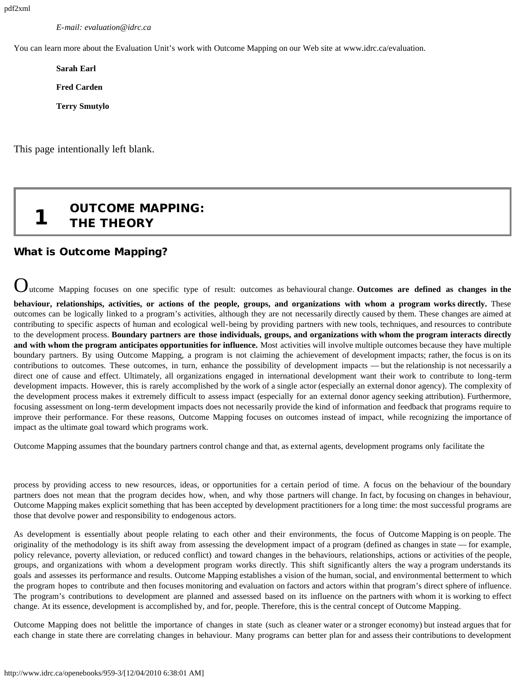*E-mail: evaluation@idrc.ca*

You can learn more about the Evaluation Unit's work with Outcome Mapping on our Web site at www.idrc.ca/evaluation.

**Sarah Earl**

**Fred Carden**

**Terry Smutylo**

<span id="page-8-0"></span>This page intentionally left blank.

## **OUTCOME MAPPING:** THE THEORY

#### What is Outcome Mapping?

Outcome Mapping focuses on one specific type of result: outcomes as behavioural change. **Outcomes are defined as changes in the behaviour, relationships, activities, or actions of the people, groups, and organizations with whom a program works directly.** These outcomes can be logically linked to a program's activities, although they are not necessarily directly caused by them. These changes are aimed at contributing to specific aspects of human and ecological well-being by providing partners with new tools, techniques, and resources to contribute to the development process. **Boundary partners are those individuals, groups, and organizations with whom the program interacts directly and with whom the program anticipates opportunities for influence.** Most activities will involve multiple outcomes because they have multiple boundary partners. By using Outcome Mapping, a program is not claiming the achievement of development impacts; rather, the focus is on its contributions to outcomes. These outcomes, in turn, enhance the possibility of development impacts — but the relationship is not necessarily a direct one of cause and effect. Ultimately, all organizations engaged in international development want their work to contribute to long-term development impacts. However, this is rarely accomplished by the work of a single actor (especially an external donor agency). The complexity of the development process makes it extremely difficult to assess impact (especially for an external donor agency seeking attribution). Furthermore, focusing assessment on long-term development impacts does not necessarily provide the kind of information and feedback that programs require to improve their performance. For these reasons, Outcome Mapping focuses on outcomes instead of impact, while recognizing the importance of impact as the ultimate goal toward which programs work.

Outcome Mapping assumes that the boundary partners control change and that, as external agents, development programs only facilitate the

process by providing access to new resources, ideas, or opportunities for a certain period of time. A focus on the behaviour of the boundary partners does not mean that the program decides how, when, and why those partners will change. In fact, by focusing on changes in behaviour, Outcome Mapping makes explicit something that has been accepted by development practitioners for a long time: the most successful programs are those that devolve power and responsibility to endogenous actors.

As development is essentially about people relating to each other and their environments, the focus of Outcome Mapping is on people. The originality of the methodology is its shift away from assessing the development impact of a program (defined as changes in state — for example, policy relevance, poverty alleviation, or reduced conflict) and toward changes in the behaviours, relationships, actions or activities of the people, groups, and organizations with whom a development program works directly. This shift significantly alters the way a program understands its goals and assesses its performance and results. Outcome Mapping establishes a vision of the human, social, and environmental betterment to which the program hopes to contribute and then focuses monitoring and evaluation on factors and actors within that program's direct sphere of influence. The program's contributions to development are planned and assessed based on its influence on the partners with whom it is working to effect change. At its essence, development is accomplished by, and for, people. Therefore, this is the central concept of Outcome Mapping.

Outcome Mapping does not belittle the importance of changes in state (such as cleaner water or a stronger economy) but instead argues that for each change in state there are correlating changes in behaviour. Many programs can better plan for and assess their contributions to development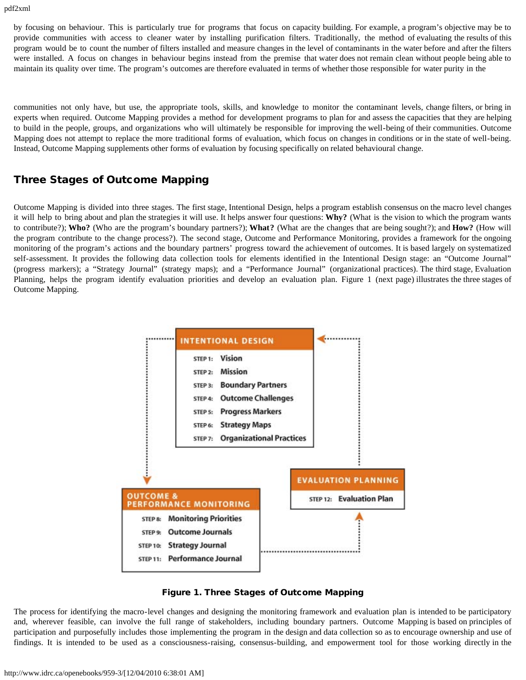by focusing on behaviour. This is particularly true for programs that focus on capacity building. For example, a program's objective may be to provide communities with access to cleaner water by installing purification filters. Traditionally, the method of evaluating the results of this program would be to count the number of filters installed and measure changes in the level of contaminants in the water before and after the filters were installed. A focus on changes in behaviour begins instead from the premise that water does not remain clean without people being able to maintain its quality over time. The program's outcomes are therefore evaluated in terms of whether those responsible for water purity in the

<span id="page-9-0"></span>communities not only have, but use, the appropriate tools, skills, and knowledge to monitor the contaminant levels, change filters, or bring in experts when required. Outcome Mapping provides a method for development programs to plan for and assess the capacities that they are helping to build in the people, groups, and organizations who will ultimately be responsible for improving the well-being of their communities. Outcome Mapping does not attempt to replace the more traditional forms of evaluation, which focus on changes in conditions or in the state of well-being. Instead, Outcome Mapping supplements other forms of evaluation by focusing specifically on related behavioural change.

#### Three Stages of Outcome Mapping

Outcome Mapping is divided into three stages. The first stage, Intentional Design, helps a program establish consensus on the macro level changes it will help to bring about and plan the strategies it will use. It helps answer four questions: **Why?** (What is the vision to which the program wants to contribute?); **Who?** (Who are the program's boundary partners?); **What?** (What are the changes that are being sought?); and **How?** (How will the program contribute to the change process?). The second stage, Outcome and Performance Monitoring, provides a framework for the ongoing monitoring of the program's actions and the boundary partners' progress toward the achievement of outcomes. It is based largely on systematized self-assessment. It provides the following data collection tools for elements identified in the Intentional Design stage: an "Outcome Journal" (progress markers); a "Strategy Journal" (strategy maps); and a "Performance Journal" (organizational practices). The third stage, Evaluation Planning, helps the program identify evaluation priorities and develop an evaluation plan. Figure 1 (next page) illustrates the three stages of Outcome Mapping.



Figure 1. Three Stages of Outcome Mapping

The process for identifying the macro-level changes and designing the monitoring framework and evaluation plan is intended to be participatory and, wherever feasible, can involve the full range of stakeholders, including boundary partners. Outcome Mapping is based on principles of participation and purposefully includes those implementing the program in the design and data collection so as to encourage ownership and use of findings. It is intended to be used as a consciousness-raising, consensus-building, and empowerment tool for those working directly in the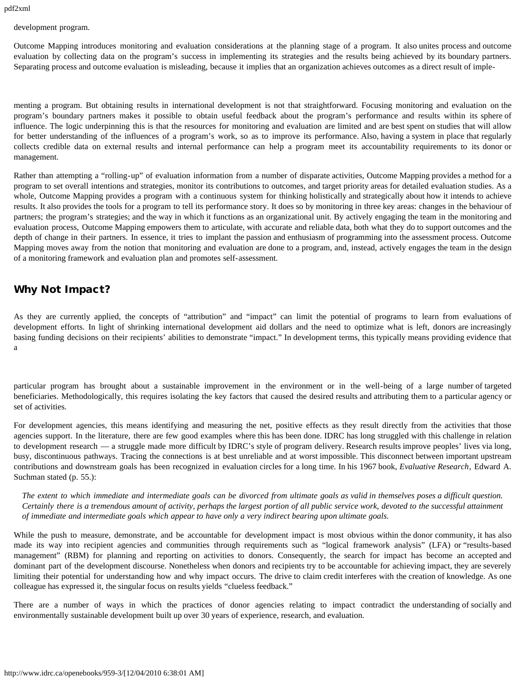development program.

Outcome Mapping introduces monitoring and evaluation considerations at the planning stage of a program. It also unites process and outcome evaluation by collecting data on the program's success in implementing its strategies and the results being achieved by its boundary partners. Separating process and outcome evaluation is misleading, because it implies that an organization achieves outcomes as a direct result of imple-

<span id="page-10-0"></span>menting a program. But obtaining results in international development is not that straightforward. Focusing monitoring and evaluation on the program's boundary partners makes it possible to obtain useful feedback about the program's performance and results within its sphere of influence. The logic underpinning this is that the resources for monitoring and evaluation are limited and are best spent on studies that will allow for better understanding of the influences of a program's work, so as to improve its performance. Also, having a system in place that regularly collects credible data on external results and internal performance can help a program meet its accountability requirements to its donor or management.

Rather than attempting a "rolling-up" of evaluation information from a number of disparate activities, Outcome Mapping provides a method for a program to set overall intentions and strategies, monitor its contributions to outcomes, and target priority areas for detailed evaluation studies. As a whole, Outcome Mapping provides a program with a continuous system for thinking holistically and strategically about how it intends to achieve results. It also provides the tools for a program to tell its performance story. It does so by monitoring in three key areas: changes in the behaviour of partners; the program's strategies; and the way in which it functions as an organizational unit. By actively engaging the team in the monitoring and evaluation process, Outcome Mapping empowers them to articulate, with accurate and reliable data, both what they do to support outcomes and the depth of change in their partners. In essence, it tries to implant the passion and enthusiasm of programming into the assessment process. Outcome Mapping moves away from the notion that monitoring and evaluation are done to a program, and, instead, actively engages the team in the design of a monitoring framework and evaluation plan and promotes self-assessment.

#### Why Not Impact?

As they are currently applied, the concepts of "attribution" and "impact" can limit the potential of programs to learn from evaluations of development efforts. In light of shrinking international development aid dollars and the need to optimize what is left, donors are increasingly basing funding decisions on their recipients' abilities to demonstrate "impact." In development terms, this typically means providing evidence that a

particular program has brought about a sustainable improvement in the environment or in the well-being of a large number of targeted beneficiaries. Methodologically, this requires isolating the key factors that caused the desired results and attributing them to a particular agency or set of activities.

For development agencies, this means identifying and measuring the net, positive effects as they result directly from the activities that those agencies support. In the literature, there are few good examples where this has been done. IDRC has long struggled with this challenge in relation to development research — a struggle made more difficult by IDRC's style of program delivery. Research results improve peoples' lives via long, busy, discontinuous pathways. Tracing the connections is at best unreliable and at worst impossible. This disconnect between important upstream contributions and downstream goals has been recognized in evaluation circles for a long time. In his 1967 book, *Evaluative Research*, Edward A. Suchman stated (p. 55.):

*The extent to which immediate and intermediate goals can be divorced from ultimate goals as valid in themselves poses a difficult question. Certainly there is a tremendous amount of activity, perhaps the largest portion of all public service work, devoted to the successful attainment of immediate and intermediate goals which appear to have only a very indirect bearing upon ultimate goals.*

While the push to measure, demonstrate, and be accountable for development impact is most obvious within the donor community, it has also made its way into recipient agencies and communities through requirements such as "logical framework analysis" (LFA) or "results-based management" (RBM) for planning and reporting on activities to donors. Consequently, the search for impact has become an accepted and dominant part of the development discourse. Nonetheless when donors and recipients try to be accountable for achieving impact, they are severely limiting their potential for understanding how and why impact occurs. The drive to claim credit interferes with the creation of knowledge. As one colleague has expressed it, the singular focus on results yields "clueless feedback."

There are a number of ways in which the practices of donor agencies relating to impact contradict the understanding of socially and environmentally sustainable development built up over 30 years of experience, research, and evaluation.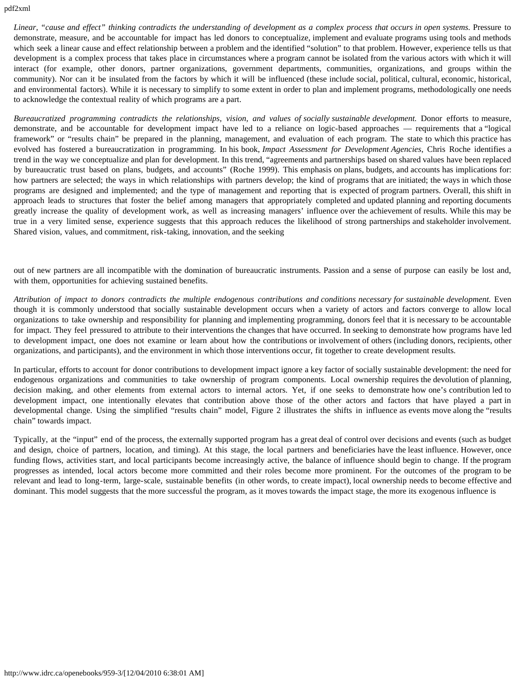*Linear, "cause and effect" thinking contradicts the understanding of development as a complex process that occurs in open systems.* Pressure to demonstrate, measure, and be accountable for impact has led donors to conceptualize, implement and evaluate programs using tools and methods which seek a linear cause and effect relationship between a problem and the identified "solution" to that problem. However, experience tells us that development is a complex process that takes place in circumstances where a program cannot be isolated from the various actors with which it will interact (for example, other donors, partner organizations, government departments, communities, organizations, and groups within the community). Nor can it be insulated from the factors by which it will be influenced (these include social, political, cultural, economic, historical, and environmental factors). While it is necessary to simplify to some extent in order to plan and implement programs, methodologically one needs to acknowledge the contextual reality of which programs are a part.

*Bureaucratized programming contradicts the relationships, vision, and values of socially sustainable development.* Donor efforts to measure, demonstrate, and be accountable for development impact have led to a reliance on logic-based approaches — requirements that a "logical framework" or "results chain" be prepared in the planning, management, and evaluation of each program. The state to which this practice has evolved has fostered a bureaucratization in programming. In his book, *Impact Assessment for Development Agencies*, Chris Roche identifies a trend in the way we conceptualize and plan for development. In this trend, "agreements and partnerships based on shared values have been replaced by bureaucratic trust based on plans, budgets, and accounts" (Roche 1999). This emphasis on plans, budgets, and accounts has implications for: how partners are selected; the ways in which relationships with partners develop; the kind of programs that are initiated; the ways in which those programs are designed and implemented; and the type of management and reporting that is expected of program partners. Overall, this shift in approach leads to structures that foster the belief among managers that appropriately completed and updated planning and reporting documents greatly increase the quality of development work, as well as increasing managers' influence over the achievement of results. While this may be true in a very limited sense, experience suggests that this approach reduces the likelihood of strong partnerships and stakeholder involvement. Shared vision, values, and commitment, risk-taking, innovation, and the seeking

out of new partners are all incompatible with the domination of bureaucratic instruments. Passion and a sense of purpose can easily be lost and, with them, opportunities for achieving sustained benefits.

*Attribution of impact to donors contradicts the multiple endogenous contributions and conditions necessary for sustainable development.* Even though it is commonly understood that socially sustainable development occurs when a variety of actors and factors converge to allow local organizations to take ownership and responsibility for planning and implementing programming, donors feel that it is necessary to be accountable for impact. They feel pressured to attribute to their interventions the changes that have occurred. In seeking to demonstrate how programs have led to development impact, one does not examine or learn about how the contributions or involvement of others (including donors, recipients, other organizations, and participants), and the environment in which those interventions occur, fit together to create development results.

In particular, efforts to account for donor contributions to development impact ignore a key factor of socially sustainable development: the need for endogenous organizations and communities to take ownership of program components. Local ownership requires the devolution of planning, decision making, and other elements from external actors to internal actors. Yet, if one seeks to demonstrate how one's contribution led to development impact, one intentionally elevates that contribution above those of the other actors and factors that have played a part in developmental change. Using the simplified "results chain" model, Figure 2 illustrates the shifts in influence as events move along the "results chain" towards impact.

Typically, at the "input" end of the process, the externally supported program has a great deal of control over decisions and events (such as budget and design, choice of partners, location, and timing). At this stage, the local partners and beneficiaries have the least influence. However, once funding flows, activities start, and local participants become increasingly active, the balance of influence should begin to change. If the program progresses as intended, local actors become more committed and their roles become more prominent. For the outcomes of the program to be relevant and lead to long-term, large-scale, sustainable benefits (in other words, to create impact), local ownership needs to become effective and dominant. This model suggests that the more successful the program, as it moves towards the impact stage, the more its exogenous influence is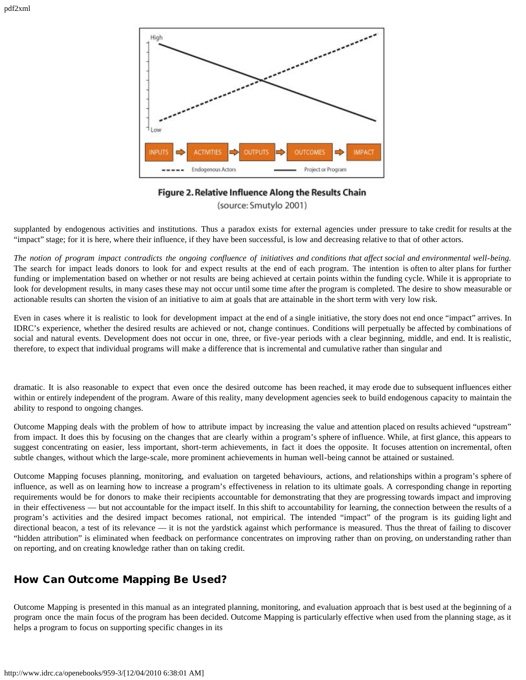

Figure 2. Relative Influence Along the Results Chain

(source: Smutylo 2001)

supplanted by endogenous activities and institutions. Thus a paradox exists for external agencies under pressure to take credit for results at the "impact" stage; for it is here, where their influence, if they have been successful, is low and decreasing relative to that of other actors.

*The notion of program impact contradicts the ongoing confluence of initiatives and conditions that affect social and environmental well-being.* The search for impact leads donors to look for and expect results at the end of each program. The intention is often to alter plans for further funding or implementation based on whether or not results are being achieved at certain points within the funding cycle. While it is appropriate to look for development results, in many cases these may not occur until some time after the program is completed. The desire to show measurable or actionable results can shorten the vision of an initiative to aim at goals that are attainable in the short term with very low risk.

Even in cases where it is realistic to look for development impact at the end of a single initiative, the story does not end once "impact" arrives. In IDRC's experience, whether the desired results are achieved or not, change continues. Conditions will perpetually be affected by combinations of social and natural events. Development does not occur in one, three, or five-year periods with a clear beginning, middle, and end. It is realistic, therefore, to expect that individual programs will make a difference that is incremental and cumulative rather than singular and

<span id="page-12-0"></span>dramatic. It is also reasonable to expect that even once the desired outcome has been reached, it may erode due to subsequent influences either within or entirely independent of the program. Aware of this reality, many development agencies seek to build endogenous capacity to maintain the ability to respond to ongoing changes.

Outcome Mapping deals with the problem of how to attribute impact by increasing the value and attention placed on results achieved "upstream" from impact. It does this by focusing on the changes that are clearly within a program's sphere of influence. While, at first glance, this appears to suggest concentrating on easier, less important, short-term achievements, in fact it does the opposite. It focuses attention on incremental, often subtle changes, without which the large-scale, more prominent achievements in human well-being cannot be attained or sustained.

Outcome Mapping focuses planning, monitoring, and evaluation on targeted behaviours, actions, and relationships within a program's sphere of influence, as well as on learning how to increase a program's effectiveness in relation to its ultimate goals. A corresponding change in reporting requirements would be for donors to make their recipients accountable for demonstrating that they are progressing towards impact and improving in their effectiveness — but not accountable for the impact itself. In this shift to accountability for learning, the connection between the results of a program's activities and the desired impact becomes rational, not empirical. The intended "impact" of the program is its guiding light and directional beacon, a test of its relevance — it is not the yardstick against which performance is measured. Thus the threat of failing to discover "hidden attribution" is eliminated when feedback on performance concentrates on improving rather than on proving, on understanding rather than on reporting, and on creating knowledge rather than on taking credit.

## How Can Outcome Mapping Be Used?

Outcome Mapping is presented in this manual as an integrated planning, monitoring, and evaluation approach that is best used at the beginning of a program once the main focus of the program has been decided. Outcome Mapping is particularly effective when used from the planning stage, as it helps a program to focus on supporting specific changes in its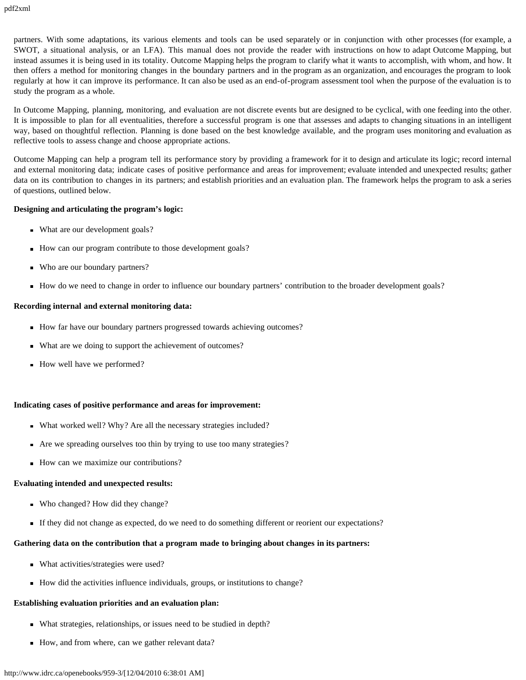partners. With some adaptations, its various elements and tools can be used separately or in conjunction with other processes (for example, a SWOT, a situational analysis, or an LFA). This manual does not provide the reader with instructions on how to adapt Outcome Mapping, but instead assumes it is being used in its totality. Outcome Mapping helps the program to clarify what it wants to accomplish, with whom, and how. It then offers a method for monitoring changes in the boundary partners and in the program as an organization, and encourages the program to look regularly at how it can improve its performance. It can also be used as an end-of-program assessment tool when the purpose of the evaluation is to study the program as a whole.

In Outcome Mapping, planning, monitoring, and evaluation are not discrete events but are designed to be cyclical, with one feeding into the other. It is impossible to plan for all eventualities, therefore a successful program is one that assesses and adapts to changing situations in an intelligent way, based on thoughtful reflection. Planning is done based on the best knowledge available, and the program uses monitoring and evaluation as reflective tools to assess change and choose appropriate actions.

Outcome Mapping can help a program tell its performance story by providing a framework for it to design and articulate its logic; record internal and external monitoring data; indicate cases of positive performance and areas for improvement; evaluate intended and unexpected results; gather data on its contribution to changes in its partners; and establish priorities and an evaluation plan. The framework helps the program to ask a series of questions, outlined below.

#### **Designing and articulating the program's logic:**

- What are our development goals?
- How can our program contribute to those development goals?
- Who are our boundary partners?
- How do we need to change in order to influence our boundary partners' contribution to the broader development goals?

#### **Recording internal and external monitoring data:**

- How far have our boundary partners progressed towards achieving outcomes?
- What are we doing to support the achievement of outcomes?  $\blacksquare$
- How well have we performed?

#### <span id="page-13-0"></span>**Indicating cases of positive performance and areas for improvement:**

- What worked well? Why? Are all the necessary strategies included?
- Are we spreading ourselves too thin by trying to use too many strategies?
- How can we maximize our contributions?

#### **Evaluating intended and unexpected results:**

- Who changed? How did they change?
- If they did not change as expected, do we need to do something different or reorient our expectations?

#### **Gathering data on the contribution that a program made to bringing about changes in its partners:**

- What activities/strategies were used?
- How did the activities influence individuals, groups, or institutions to change?

#### **Establishing evaluation priorities and an evaluation plan:**

- What strategies, relationships, or issues need to be studied in depth?
- How, and from where, can we gather relevant data?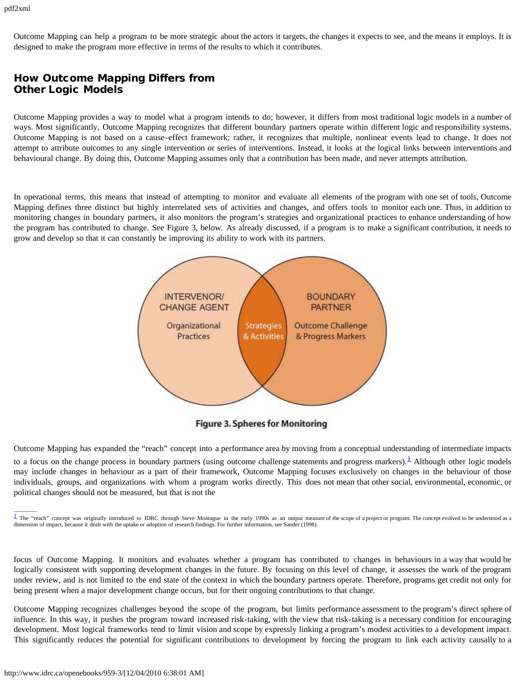$\overline{\phantom{a}}$ 

Outcome Mapping can help a program to be more strategic about the actors it targets, the changes it expects to see, and the means it employs. It is designed to make the program more effective in terms of the results to which it contributes.

#### How Outcome Mapping Differs from Other Logic Models

Outcome Mapping provides a way to model what a program intends to do; however, it differs from most traditional logic models in a number of ways. Most significantly, Outcome Mapping recognizes that different boundary partners operate within different logic and responsibility systems. Outcome Mapping is not based on a cause–effect framework; rather, it recognizes that multiple, nonlinear events lead to change. It does not attempt to attribute outcomes to any single intervention or series of interventions. Instead, it looks at the logical links between interventions and behavioural change. By doing this, Outcome Mapping assumes only that a contribution has been made, and never attempts attribution.

In operational terms, this means that instead of attempting to monitor and evaluate all elements of the program with one set of tools, Outcome Mapping defines three distinct but highly interrelated sets of activities and changes, and offers tools to monitor each one. Thus, in addition to monitoring changes in boundary partners, it also monitors the program's strategies and organizational practices to enhance understanding of how the program has contributed to change. See Figure 3, below. As already discussed, if a program is to make a significant contribution, it needs to grow and develop so that it can constantly be improving its ability to work with its partners.



**Figure 3. Spheres for Monitoring** 

<span id="page-14-2"></span>Outcome Mapping has expanded the "reach" concept into a performance area by moving from a conceptual understanding of intermediate impacts to a focus on the change process in boundary partners (using outcome challenge statements and progress markers).<sup>1</sup> Although other logic models may include changes in behaviour as a part of their framework, Outcome Mapping focuses exclusively on changes in the behaviour of those individuals, groups, and organizations with whom a program works directly. This does not mean that other social, environmental, economic, or political changes should not be measured, but that is not the

<span id="page-14-1"></span> $\frac{1}{2}$  The "reach" concept was originally introduced to IDRC through Steve Montague in the early 1990s as an output measure of the scope of a project or program. The concept evolved to be understood as a dimension of impact, because it dealt with the uptake or adoption of research findings. For further information, see Sander (1998).

<span id="page-14-0"></span>focus of Outcome Mapping. It monitors and evaluates whether a program has contributed to changes in behaviours in a way that would be logically consistent with supporting development changes in the future. By focusing on this level of change, it assesses the work of the program under review, and is not limited to the end state of the context in which the boundary partners operate. Therefore, programs get credit not only for being present when a major development change occurs, but for their ongoing contributions to that change.

Outcome Mapping recognizes challenges beyond the scope of the program, but limits performance assessment to the program's direct sphere of influence. In this way, it pushes the program toward increased risk-taking, with the view that risk-taking is a necessary condition for encouraging development. Most logical frameworks tend to limit vision and scope by expressly linking a program's modest activities to a development impact. This significantly reduces the potential for significant contributions to development by forcing the program to link each activity causally to a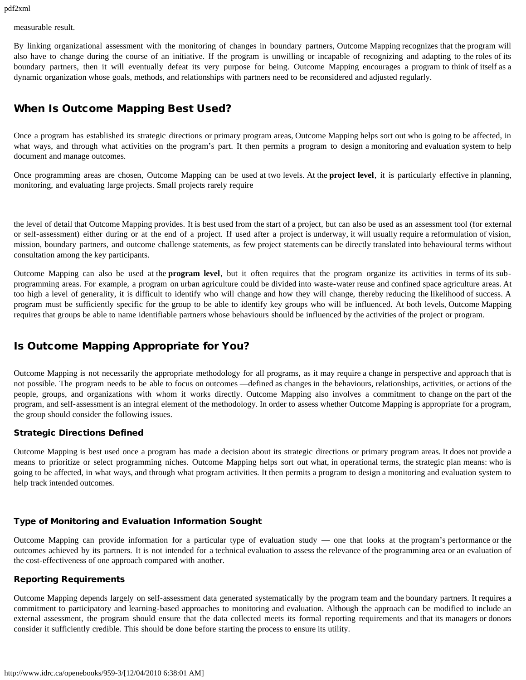measurable result.

By linking organizational assessment with the monitoring of changes in boundary partners, Outcome Mapping recognizes that the program will also have to change during the course of an initiative. If the program is unwilling or incapable of recognizing and adapting to the roles of its boundary partners, then it will eventually defeat its very purpose for being. Outcome Mapping encourages a program to think of itself as a dynamic organization whose goals, methods, and relationships with partners need to be reconsidered and adjusted regularly.

#### When Is Outcome Mapping Best Used?

Once a program has established its strategic directions or primary program areas, Outcome Mapping helps sort out who is going to be affected, in what ways, and through what activities on the program's part. It then permits a program to design a monitoring and evaluation system to help document and manage outcomes.

Once programming areas are chosen, Outcome Mapping can be used at two levels. At the **project level**, it is particularly effective in planning, monitoring, and evaluating large projects. Small projects rarely require

<span id="page-15-0"></span>the level of detail that Outcome Mapping provides. It is best used from the start of a project, but can also be used as an assessment tool (for external or self-assessment) either during or at the end of a project. If used after a project is underway, it will usually require a reformulation of vision, mission, boundary partners, and outcome challenge statements, as few project statements can be directly translated into behavioural terms without consultation among the key participants.

Outcome Mapping can also be used at the **program level**, but it often requires that the program organize its activities in terms of its subprogramming areas. For example, a program on urban agriculture could be divided into waste-water reuse and confined space agriculture areas. At too high a level of generality, it is difficult to identify who will change and how they will change, thereby reducing the likelihood of success. A program must be sufficiently specific for the group to be able to identify key groups who will be influenced. At both levels, Outcome Mapping requires that groups be able to name identifiable partners whose behaviours should be influenced by the activities of the project or program.

#### Is Outcome Mapping Appropriate for You?

Outcome Mapping is not necessarily the appropriate methodology for all programs, as it may require a change in perspective and approach that is not possible. The program needs to be able to focus on outcomes —defined as changes in the behaviours, relationships, activities, or actions of the people, groups, and organizations with whom it works directly. Outcome Mapping also involves a commitment to change on the part of the program, and self-assessment is an integral element of the methodology. In order to assess whether Outcome Mapping is appropriate for a program, the group should consider the following issues.

#### Strategic Directions Defined

Outcome Mapping is best used once a program has made a decision about its strategic directions or primary program areas. It does not provide a means to prioritize or select programming niches. Outcome Mapping helps sort out what, in operational terms, the strategic plan means: who is going to be affected, in what ways, and through what program activities. It then permits a program to design a monitoring and evaluation system to help track intended outcomes.

#### Type of Monitoring and Evaluation Information Sought

Outcome Mapping can provide information for a particular type of evaluation study — one that looks at the program's performance or the outcomes achieved by its partners. It is not intended for a technical evaluation to assess the relevance of the programming area or an evaluation of the cost-effectiveness of one approach compared with another.

#### Reporting Requirements

Outcome Mapping depends largely on self-assessment data generated systematically by the program team and the boundary partners. It requires a commitment to participatory and learning-based approaches to monitoring and evaluation. Although the approach can be modified to include an external assessment, the program should ensure that the data collected meets its formal reporting requirements and that its managers or donors consider it sufficiently credible. This should be done before starting the process to ensure its utility.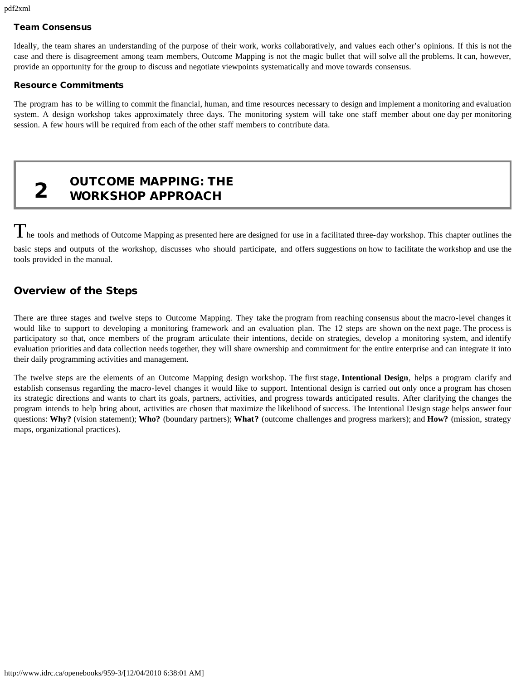#### Team Consensus

Ideally, the team shares an understanding of the purpose of their work, works collaboratively, and values each other's opinions. If this is not the case and there is disagreement among team members, Outcome Mapping is not the magic bullet that will solve all the problems. It can, however, provide an opportunity for the group to discuss and negotiate viewpoints systematically and move towards consensus.

#### Resource Commitments

<span id="page-16-0"></span>The program has to be willing to commit the financial, human, and time resources necessary to design and implement a monitoring and evaluation system. A design workshop takes approximately three days. The monitoring system will take one staff member about one day per monitoring session. A few hours will be required from each of the other staff members to contribute data.

## **2** OUTCOME MAPPING: THE WORKSHOP APPROACH

The tools and methods of Outcome Mapping as presented here are designed for use in a facilitated three-day workshop. This chapter outlines the

basic steps and outputs of the workshop, discusses who should participate, and offers suggestions on how to facilitate the workshop and use the tools provided in the manual.

#### Overview of the Steps

There are three stages and twelve steps to Outcome Mapping. They take the program from reaching consensus about the macro-level changes it would like to support to developing a monitoring framework and an evaluation plan. The 12 steps are shown on the next page. The process is participatory so that, once members of the program articulate their intentions, decide on strategies, develop a monitoring system, and identify evaluation priorities and data collection needs together, they will share ownership and commitment for the entire enterprise and can integrate it into their daily programming activities and management.

The twelve steps are the elements of an Outcome Mapping design workshop. The first stage, **Intentional Design**, helps a program clarify and establish consensus regarding the macro-level changes it would like to support. Intentional design is carried out only once a program has chosen its strategic directions and wants to chart its goals, partners, activities, and progress towards anticipated results. After clarifying the changes the program intends to help bring about, activities are chosen that maximize the likelihood of success. The Intentional Design stage helps answer four questions: **Why?** (vision statement); **Who?** (boundary partners); **What?** (outcome challenges and progress markers); and **How?** (mission, strategy maps, organizational practices).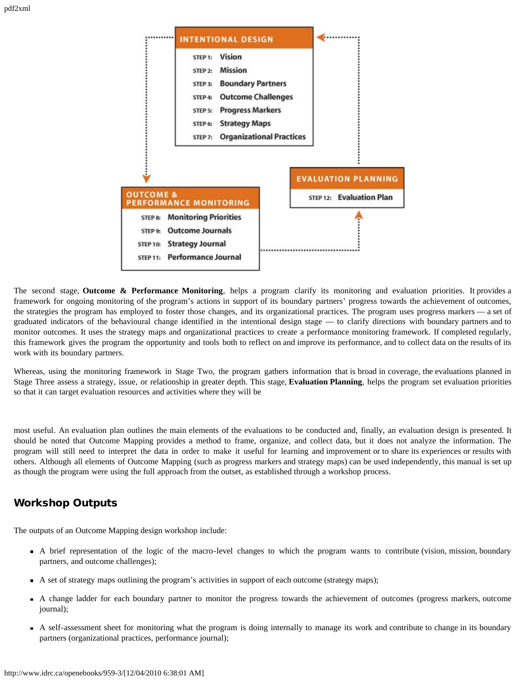

The second stage, **Outcome & Performance Monitoring**, helps a program clarify its monitoring and evaluation priorities. It provides a framework for ongoing monitoring of the program's actions in support of its boundary partners' progress towards the achievement of outcomes, the strategies the program has employed to foster those changes, and its organizational practices. The program uses progress markers — a set of graduated indicators of the behavioural change identified in the intentional design stage — to clarify directions with boundary partners and to monitor outcomes. It uses the strategy maps and organizational practices to create a performance monitoring framework. If completed regularly, this framework gives the program the opportunity and tools both to reflect on and improve its performance, and to collect data on the results of its work with its boundary partners.

Whereas, using the monitoring framework in Stage Two, the program gathers information that is broad in coverage, the evaluations planned in Stage Three assess a strategy, issue, or relationship in greater depth. This stage, **Evaluation Planning**, helps the program set evaluation priorities so that it can target evaluation resources and activities where they will be

<span id="page-17-0"></span>most useful. An evaluation plan outlines the main elements of the evaluations to be conducted and, finally, an evaluation design is presented. It should be noted that Outcome Mapping provides a method to frame, organize, and collect data, but it does not analyze the information. The program will still need to interpret the data in order to make it useful for learning and improvement or to share its experiences or results with others. Although all elements of Outcome Mapping (such as progress markers and strategy maps) can be used independently, this manual is set up as though the program were using the full approach from the outset, as established through a workshop process.

#### Workshop Outputs

The outputs of an Outcome Mapping design workshop include:

- A brief representation of the logic of the macro-level changes to which the program wants to contribute (vision, mission, boundary partners, and outcome challenges);
- A set of strategy maps outlining the program's activities in support of each outcome (strategy maps);
- A change ladder for each boundary partner to monitor the progress towards the achievement of outcomes (progress markers, outcome  $\blacksquare$ journal);
- A self-assessment sheet for monitoring what the program is doing internally to manage its work and contribute to change in its boundary partners (organizational practices, performance journal);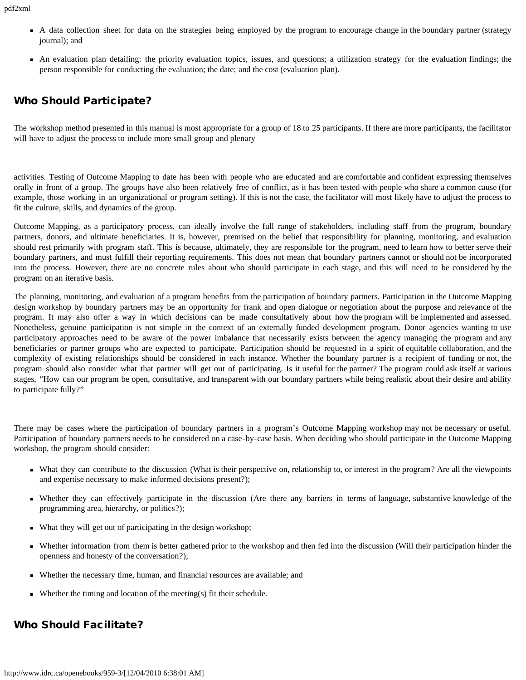- A data collection sheet for data on the strategies being employed by the program to encourage change in the boundary partner (strategy journal); and
- An evaluation plan detailing: the priority evaluation topics, issues, and questions; a utilization strategy for the evaluation findings; the person responsible for conducting the evaluation; the date; and the cost (evaluation plan).

### Who Should Participate?

The workshop method presented in this manual is most appropriate for a group of 18 to 25 participants. If there are more participants, the facilitator will have to adjust the process to include more small group and plenary

activities. Testing of Outcome Mapping to date has been with people who are educated and are comfortable and confident expressing themselves orally in front of a group. The groups have also been relatively free of conflict, as it has been tested with people who share a common cause (for example, those working in an organizational or program setting). If this is not the case, the facilitator will most likely have to adjust the process to fit the culture, skills, and dynamics of the group.

Outcome Mapping, as a participatory process, can ideally involve the full range of stakeholders, including staff from the program, boundary partners, donors, and ultimate beneficiaries. It is, however, premised on the belief that responsibility for planning, monitoring, and evaluation should rest primarily with program staff. This is because, ultimately, they are responsible for the program, need to learn how to better serve their boundary partners, and must fulfill their reporting requirements. This does not mean that boundary partners cannot or should not be incorporated into the process. However, there are no concrete rules about who should participate in each stage, and this will need to be considered by the program on an iterative basis.

The planning, monitoring, and evaluation of a program benefits from the participation of boundary partners. Participation in the Outcome Mapping design workshop by boundary partners may be an opportunity for frank and open dialogue or negotiation about the purpose and relevance of the program. It may also offer a way in which decisions can be made consultatively about how the program will be implemented and assessed. Nonetheless, genuine participation is not simple in the context of an externally funded development program. Donor agencies wanting to use participatory approaches need to be aware of the power imbalance that necessarily exists between the agency managing the program and any beneficiaries or partner groups who are expected to participate. Participation should be requested in a spirit of equitable collaboration, and the complexity of existing relationships should be considered in each instance. Whether the boundary partner is a recipient of funding or not, the program should also consider what that partner will get out of participating. Is it useful for the partner? The program could ask itself at various stages, "How can our program be open, consultative, and transparent with our boundary partners while being realistic about their desire and ability to participate fully?"

<span id="page-18-0"></span>There may be cases where the participation of boundary partners in a program's Outcome Mapping workshop may not be necessary or useful. Participation of boundary partners needs to be considered on a case-by-case basis. When deciding who should participate in the Outcome Mapping workshop, the program should consider:

- What they can contribute to the discussion (What is their perspective on, relationship to, or interest in the program? Are all the viewpoints and expertise necessary to make informed decisions present?);
- Whether they can effectively participate in the discussion (Are there any barriers in terms of language, substantive knowledge of the programming area, hierarchy, or politics?);
- What they will get out of participating in the design workshop;
- Whether information from them is better gathered prior to the workshop and then fed into the discussion (Will their participation hinder the openness and honesty of the conversation?);
- Whether the necessary time, human, and financial resources are available; and  $\blacksquare$
- Whether the timing and location of the meeting(s) fit their schedule.

#### Who Should Facilitate?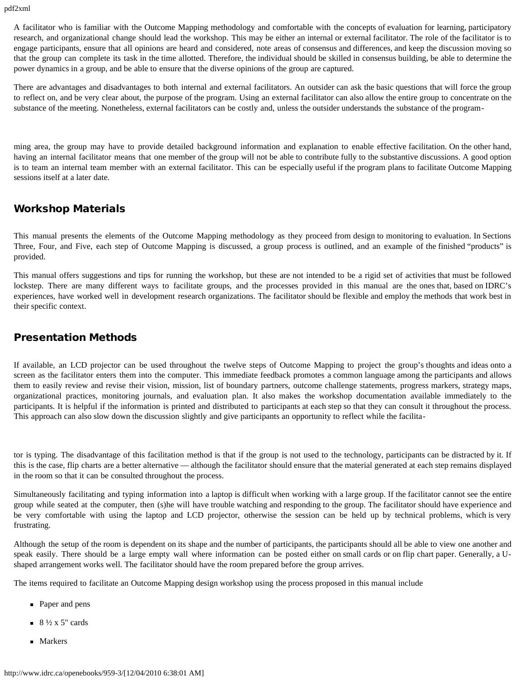A facilitator who is familiar with the Outcome Mapping methodology and comfortable with the concepts of evaluation for learning, participatory research, and organizational change should lead the workshop. This may be either an internal or external facilitator. The role of the facilitator is to engage participants, ensure that all opinions are heard and considered, note areas of consensus and differences, and keep the discussion moving so that the group can complete its task in the time allotted. Therefore, the individual should be skilled in consensus building, be able to determine the power dynamics in a group, and be able to ensure that the diverse opinions of the group are captured.

There are advantages and disadvantages to both internal and external facilitators. An outsider can ask the basic questions that will force the group to reflect on, and be very clear about, the purpose of the program. Using an external facilitator can also allow the entire group to concentrate on the substance of the meeting. Nonetheless, external facilitators can be costly and, unless the outsider understands the substance of the program-

<span id="page-19-0"></span>ming area, the group may have to provide detailed background information and explanation to enable effective facilitation. On the other hand, having an internal facilitator means that one member of the group will not be able to contribute fully to the substantive discussions. A good option is to team an internal team member with an external facilitator. This can be especially useful if the program plans to facilitate Outcome Mapping sessions itself at a later date.

#### Workshop Materials

This manual presents the elements of the Outcome Mapping methodology as they proceed from design to monitoring to evaluation. In Sections Three, Four, and Five, each step of Outcome Mapping is discussed, a group process is outlined, and an example of the finished "products" is provided.

This manual offers suggestions and tips for running the workshop, but these are not intended to be a rigid set of activities that must be followed lockstep. There are many different ways to facilitate groups, and the processes provided in this manual are the ones that, based on IDRC's experiences, have worked well in development research organizations. The facilitator should be flexible and employ the methods that work best in their specific context.

#### Presentation Methods

If available, an LCD projector can be used throughout the twelve steps of Outcome Mapping to project the group's thoughts and ideas onto a screen as the facilitator enters them into the computer. This immediate feedback promotes a common language among the participants and allows them to easily review and revise their vision, mission, list of boundary partners, outcome challenge statements, progress markers, strategy maps, organizational practices, monitoring journals, and evaluation plan. It also makes the workshop documentation available immediately to the participants. It is helpful if the information is printed and distributed to participants at each step so that they can consult it throughout the process. This approach can also slow down the discussion slightly and give participants an opportunity to reflect while the facilita-

<span id="page-19-1"></span>tor is typing. The disadvantage of this facilitation method is that if the group is not used to the technology, participants can be distracted by it. If this is the case, flip charts are a better alternative — although the facilitator should ensure that the material generated at each step remains displayed in the room so that it can be consulted throughout the process.

Simultaneously facilitating and typing information into a laptop is difficult when working with a large group. If the facilitator cannot see the entire group while seated at the computer, then (s)he will have trouble watching and responding to the group. The facilitator should have experience and be very comfortable with using the laptop and LCD projector, otherwise the session can be held up by technical problems, which is very frustrating.

Although the setup of the room is dependent on its shape and the number of participants, the participants should all be able to view one another and speak easily. There should be a large empty wall where information can be posted either on small cards or on flip chart paper. Generally, a Ushaped arrangement works well. The facilitator should have the room prepared before the group arrives.

The items required to facilitate an Outcome Mapping design workshop using the process proposed in this manual include

- Paper and pens
- $8\frac{1}{2} \times 5$ " cards
- **Markers**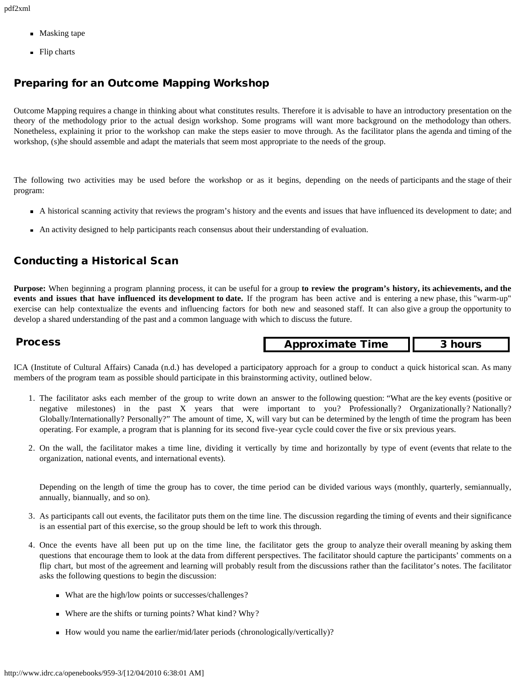- Masking tape
- **Flip charts**

## Preparing for an Outcome Mapping Workshop

Outcome Mapping requires a change in thinking about what constitutes results. Therefore it is advisable to have an introductory presentation on the theory of the methodology prior to the actual design workshop. Some programs will want more background on the methodology than others. Nonetheless, explaining it prior to the workshop can make the steps easier to move through. As the facilitator plans the agenda and timing of the workshop, (s)he should assemble and adapt the materials that seem most appropriate to the needs of the group.

<span id="page-20-0"></span>The following two activities may be used before the workshop or as it begins, depending on the needs of participants and the stage of their program:

- A historical scanning activity that reviews the program's history and the events and issues that have influenced its development to date; and
- An activity designed to help participants reach consensus about their understanding of evaluation.

## Conducting a Historical Scan

**Purpose:** When beginning a program planning process, it can be useful for a group **to review the program's history, its achievements, and the events and issues that have influenced its development to date.** If the program has been active and is entering a new phase, this "warm-up" exercise can help contextualize the events and influencing factors for both new and seasoned staff. It can also give a group the opportunity to develop a shared understanding of the past and a common language with which to discuss the future.

Process **Approximate Time 3 hours** 

ICA (Institute of Cultural Affairs) Canada (n.d.) has developed a participatory approach for a group to conduct a quick historical scan. As many members of the program team as possible should participate in this brainstorming activity, outlined below.

- 1. The facilitator asks each member of the group to write down an answer to the following question: "What are the key events (positive or negative milestones) in the past X years that were important to you? Professionally? Organizationally? Nationally? Globally/Internationally? Personally?" The amount of time, X, will vary but can be determined by the length of time the program has been operating. For example, a program that is planning for its second five-year cycle could cover the five or six previous years.
- 2. On the wall, the facilitator makes a time line, dividing it vertically by time and horizontally by type of event (events that relate to the organization, national events, and international events).

Depending on the length of time the group has to cover, the time period can be divided various ways (monthly, quarterly, semiannually, annually, biannually, and so on).

- 3. As participants call out events, the facilitator puts them on the time line. The discussion regarding the timing of events and their significance is an essential part of this exercise, so the group should be left to work this through.
- 4. Once the events have all been put up on the time line, the facilitator gets the group to analyze their overall meaning by asking them questions that encourage them to look at the data from different perspectives. The facilitator should capture the participants' comments on a flip chart, but most of the agreement and learning will probably result from the discussions rather than the facilitator's notes. The facilitator asks the following questions to begin the discussion:
	- What are the high/low points or successes/challenges?
	- Where are the shifts or turning points? What kind? Why?
	- How would you name the earlier/mid/later periods (chronologically/vertically)?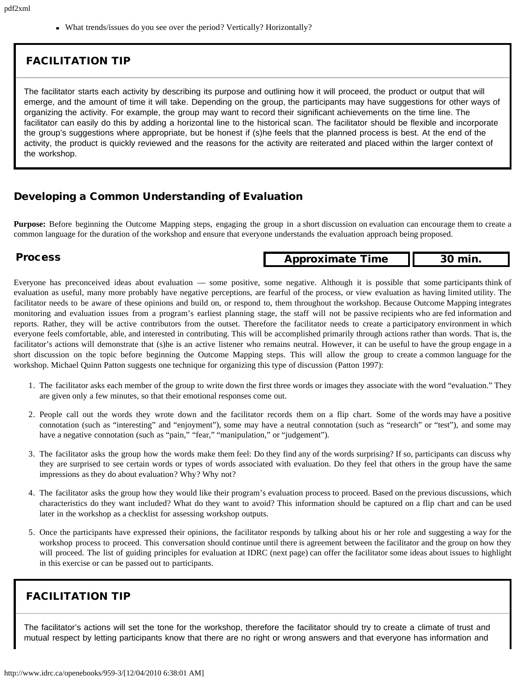What trends/issues do you see over the period? Vertically? Horizontally?

## FACILITATION TIP

The facilitator starts each activity by describing its purpose and outlining how it will proceed, the product or output that will emerge, and the amount of time it will take. Depending on the group, the participants may have suggestions for other ways of organizing the activity. For example, the group may want to record their significant achievements on the time line. The facilitator can easily do this by adding a horizontal line to the historical scan. The facilitator should be flexible and incorporate the group's suggestions where appropriate, but be honest if (s)he feels that the planned process is best. At the end of the activity, the product is quickly reviewed and the reasons for the activity are reiterated and placed within the larger context of the workshop.

#### <span id="page-21-0"></span>Developing a Common Understanding of Evaluation

**Purpose:** Before beginning the Outcome Mapping steps, engaging the group in a short discussion on evaluation can encourage them to create a common language for the duration of the workshop and ensure that everyone understands the evaluation approach being proposed.

Process **Approximate Time 19 Solution** 20 min.

Everyone has preconceived ideas about evaluation — some positive, some negative. Although it is possible that some participants think of evaluation as useful, many more probably have negative perceptions, are fearful of the process, or view evaluation as having limited utility. The facilitator needs to be aware of these opinions and build on, or respond to, them throughout the workshop. Because Outcome Mapping integrates monitoring and evaluation issues from a program's earliest planning stage, the staff will not be passive recipients who are fed information and reports. Rather, they will be active contributors from the outset. Therefore the facilitator needs to create a participatory environment in which everyone feels comfortable, able, and interested in contributing. This will be accomplished primarily through actions rather than words. That is, the facilitator's actions will demonstrate that (s)he is an active listener who remains neutral. However, it can be useful to have the group engage in a short discussion on the topic before beginning the Outcome Mapping steps. This will allow the group to create a common language for the workshop. Michael Quinn Patton suggests one technique for organizing this type of discussion (Patton 1997):

- 1. The facilitator asks each member of the group to write down the first three words or images they associate with the word "evaluation." They are given only a few minutes, so that their emotional responses come out.
- 2. People call out the words they wrote down and the facilitator records them on a flip chart. Some of the words may have a positive connotation (such as "interesting" and "enjoyment"), some may have a neutral connotation (such as "research" or "test"), and some may have a negative connotation (such as "pain," "fear," "manipulation," or "judgement").
- 3. The facilitator asks the group how the words make them feel: Do they find any of the words surprising? If so, participants can discuss why they are surprised to see certain words or types of words associated with evaluation. Do they feel that others in the group have the same impressions as they do about evaluation? Why? Why not?
- 4. The facilitator asks the group how they would like their program's evaluation process to proceed. Based on the previous discussions, which characteristics do they want included? What do they want to avoid? This information should be captured on a flip chart and can be used later in the workshop as a checklist for assessing workshop outputs.
- 5. Once the participants have expressed their opinions, the facilitator responds by talking about his or her role and suggesting a way for the workshop process to proceed. This conversation should continue until there is agreement between the facilitator and the group on how they will proceed. The list of guiding principles for evaluation at IDRC (next page) can offer the facilitator some ideas about issues to highlight in this exercise or can be passed out to participants.

## FACILITATION TIP

The facilitator's actions will set the tone for the workshop, therefore the facilitator should try to create a climate of trust and mutual respect by letting participants know that there are no right or wrong answers and that everyone has information and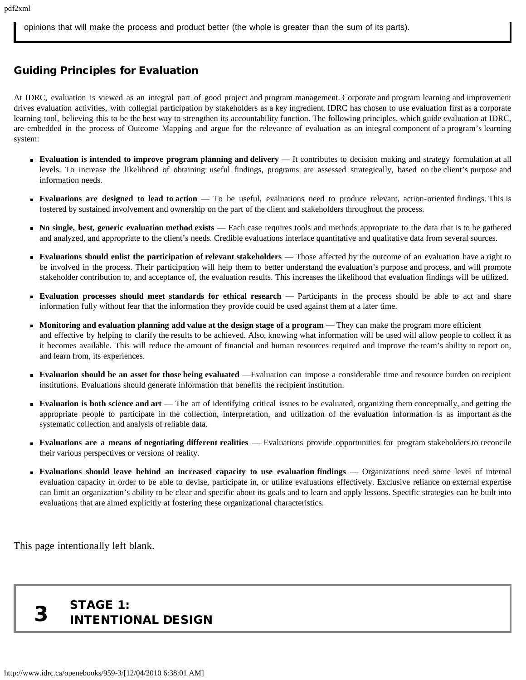opinions that will make the process and product better (the whole is greater than the sum of its parts).

#### <span id="page-22-0"></span>Guiding Principles for Evaluation

At IDRC, evaluation is viewed as an integral part of good project and program management. Corporate and program learning and improvement drives evaluation activities, with collegial participation by stakeholders as a key ingredient. IDRC has chosen to use evaluation first as a corporate learning tool, believing this to be the best way to strengthen its accountability function. The following principles, which guide evaluation at IDRC, are embedded in the process of Outcome Mapping and argue for the relevance of evaluation as an integral component of a program's learning system:

- **Evaluation is intended to improve program planning and delivery** It contributes to decision making and strategy formulation at all levels. To increase the likelihood of obtaining useful findings, programs are assessed strategically, based on the client's purpose and information needs.
- **Evaluations are designed to lead to action** To be useful, evaluations need to produce relevant, action-oriented findings. This is fostered by sustained involvement and ownership on the part of the client and stakeholders throughout the process.
- **No single, best, generic evaluation method exists** Each case requires tools and methods appropriate to the data that is to be gathered and analyzed, and appropriate to the client's needs. Credible evaluations interlace quantitative and qualitative data from several sources.
- **Evaluations should enlist the participation of relevant stakeholders** Those affected by the outcome of an evaluation have a right to be involved in the process. Their participation will help them to better understand the evaluation's purpose and process, and will promote stakeholder contribution to, and acceptance of, the evaluation results. This increases the likelihood that evaluation findings will be utilized.
- **Evaluation processes should meet standards for ethical research** Participants in the process should be able to act and share information fully without fear that the information they provide could be used against them at a later time.
- **Monitoring and evaluation planning add value at the design stage of a program** They can make the program more efficient and effective by helping to clarify the results to be achieved. Also, knowing what information will be used will allow people to collect it as it becomes available. This will reduce the amount of financial and human resources required and improve the team's ability to report on, and learn from, its experiences.
- **Evaluation should be an asset for those being evaluated** —Evaluation can impose a considerable time and resource burden on recipient institutions. Evaluations should generate information that benefits the recipient institution.
- **Evaluation is both science and art** The art of identifying critical issues to be evaluated, organizing them conceptually, and getting the appropriate people to participate in the collection, interpretation, and utilization of the evaluation information is as important as the systematic collection and analysis of reliable data.
- **Evaluations are a means of negotiating different realities** Evaluations provide opportunities for program stakeholders to reconcile their various perspectives or versions of reality.
- **Evaluations should leave behind an increased capacity to use evaluation findings** Organizations need some level of internal evaluation capacity in order to be able to devise, participate in, or utilize evaluations effectively. Exclusive reliance on external expertise can limit an organization's ability to be clear and specific about its goals and to learn and apply lessons. Specific strategies can be built into evaluations that are aimed explicitly at fostering these organizational characteristics.

<span id="page-22-1"></span>This page intentionally left blank.

# 3 STAGE 1: INTENTIONAL DESIGN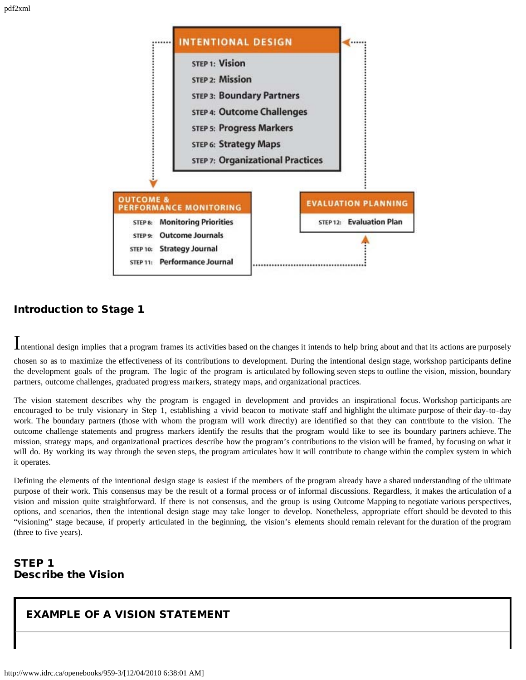

### <span id="page-23-0"></span>Introduction to Stage 1

Intentional design implies that a program frames its activities based on the changes it intends to help bring about and that its actions are purposely

chosen so as to maximize the effectiveness of its contributions to development. During the intentional design stage, workshop participants define the development goals of the program. The logic of the program is articulated by following seven steps to outline the vision, mission, boundary partners, outcome challenges, graduated progress markers, strategy maps, and organizational practices.

The vision statement describes why the program is engaged in development and provides an inspirational focus. Workshop participants are encouraged to be truly visionary in Step 1, establishing a vivid beacon to motivate staff and highlight the ultimate purpose of their day-to-day work. The boundary partners (those with whom the program will work directly) are identified so that they can contribute to the vision. The outcome challenge statements and progress markers identify the results that the program would like to see its boundary partners achieve. The mission, strategy maps, and organizational practices describe how the program's contributions to the vision will be framed, by focusing on what it will do. By working its way through the seven steps, the program articulates how it will contribute to change within the complex system in which it operates.

Defining the elements of the intentional design stage is easiest if the members of the program already have a shared understanding of the ultimate purpose of their work. This consensus may be the result of a formal process or of informal discussions. Regardless, it makes the articulation of a vision and mission quite straightforward. If there is not consensus, and the group is using Outcome Mapping to negotiate various perspectives, options, and scenarios, then the intentional design stage may take longer to develop. Nonetheless, appropriate effort should be devoted to this "visioning" stage because, if properly articulated in the beginning, the vision's elements should remain relevant for the duration of the program (three to five years).

## <span id="page-23-1"></span>STEP 1 Describe the Vision

## EXAMPLE OF A VISION STATEMENT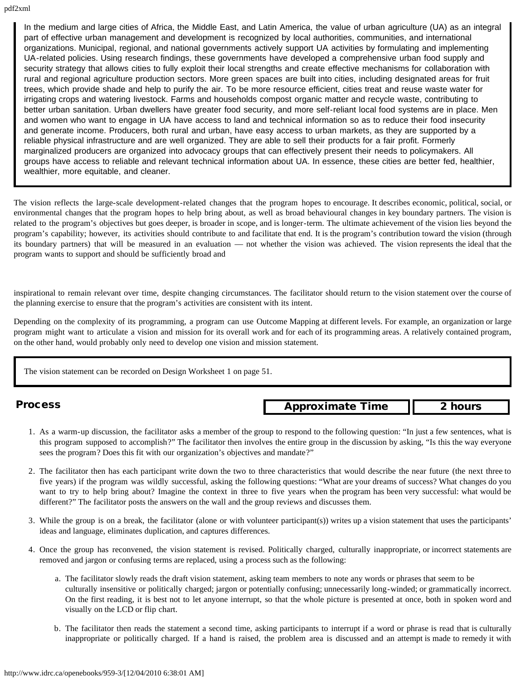In the medium and large cities of Africa, the Middle East, and Latin America, the value of urban agriculture (UA) as an integral part of effective urban management and development is recognized by local authorities, communities, and international organizations. Municipal, regional, and national governments actively support UA activities by formulating and implementing UA-related policies. Using research findings, these governments have developed a comprehensive urban food supply and security strategy that allows cities to fully exploit their local strengths and create effective mechanisms for collaboration with rural and regional agriculture production sectors. More green spaces are built into cities, including designated areas for fruit trees, which provide shade and help to purify the air. To be more resource efficient, cities treat and reuse waste water for irrigating crops and watering livestock. Farms and households compost organic matter and recycle waste, contributing to better urban sanitation. Urban dwellers have greater food security, and more self-reliant local food systems are in place. Men and women who want to engage in UA have access to land and technical information so as to reduce their food insecurity and generate income. Producers, both rural and urban, have easy access to urban markets, as they are supported by a reliable physical infrastructure and are well organized. They are able to sell their products for a fair profit. Formerly marginalized producers are organized into advocacy groups that can effectively present their needs to policymakers. All groups have access to reliable and relevant technical information about UA. In essence, these cities are better fed, healthier, wealthier, more equitable, and cleaner.

The vision reflects the large-scale development-related changes that the program hopes to encourage. It describes economic, political, social, or environmental changes that the program hopes to help bring about, as well as broad behavioural changes in key boundary partners. The vision is related to the program's objectives but goes deeper, is broader in scope, and is longer-term. The ultimate achievement of the vision lies beyond the program's capability; however, its activities should contribute to and facilitate that end. It is the program's contribution toward the vision (through its boundary partners) that will be measured in an evaluation — not whether the vision was achieved. The vision represents the ideal that the program wants to support and should be sufficiently broad and

inspirational to remain relevant over time, despite changing circumstances. The facilitator should return to the vision statement over the course of the planning exercise to ensure that the program's activities are consistent with its intent.

Depending on the complexity of its programming, a program can use Outcome Mapping at different levels. For example, an organization or large program might want to articulate a vision and mission for its overall work and for each of its programming areas. A relatively contained program, on the other hand, would probably only need to develop one vision and mission statement.

The vision statement can be recorded on Design Worksheet 1 on page 51.

Process **Approximate Time 2 hours** 

- 1. As a warm-up discussion, the facilitator asks a member of the group to respond to the following question: "In just a few sentences, what is this program supposed to accomplish?" The facilitator then involves the entire group in the discussion by asking, "Is this the way everyone sees the program? Does this fit with our organization's objectives and mandate?"
- 2. The facilitator then has each participant write down the two to three characteristics that would describe the near future (the next three to five years) if the program was wildly successful, asking the following questions: "What are your dreams of success? What changes do you want to try to help bring about? Imagine the context in three to five years when the program has been very successful: what would be different?" The facilitator posts the answers on the wall and the group reviews and discusses them.
- 3. While the group is on a break, the facilitator (alone or with volunteer participant(s)) writes up a vision statement that uses the participants' ideas and language, eliminates duplication, and captures differences.
- 4. Once the group has reconvened, the vision statement is revised. Politically charged, culturally inappropriate, or incorrect statements are removed and jargon or confusing terms are replaced, using a process such as the following:
	- a. The facilitator slowly reads the draft vision statement, asking team members to note any words or phrases that seem to be culturally insensitive or politically charged; jargon or potentially confusing; unnecessarily long-winded; or grammatically incorrect. On the first reading, it is best not to let anyone interrupt, so that the whole picture is presented at once, both in spoken word and visually on the LCD or flip chart.
	- b. The facilitator then reads the statement a second time, asking participants to interrupt if a word or phrase is read that is culturally inappropriate or politically charged. If a hand is raised, the problem area is discussed and an attempt is made to remedy it with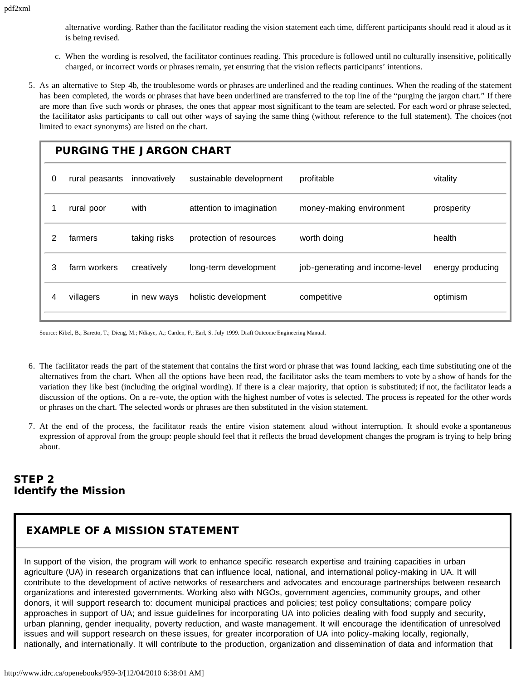alternative wording. Rather than the facilitator reading the vision statement each time, different participants should read it aloud as it is being revised.

- c. When the wording is resolved, the facilitator continues reading. This procedure is followed until no culturally insensitive, politically charged, or incorrect words or phrases remain, yet ensuring that the vision reflects participants' intentions.
- 5. As an alternative to Step 4b, the troublesome words or phrases are underlined and the reading continues. When the reading of the statement has been completed, the words or phrases that have been underlined are transferred to the top line of the "purging the jargon chart." If there are more than five such words or phrases, the ones that appear most significant to the team are selected. For each word or phrase selected, the facilitator asks participants to call out other ways of saying the same thing (without reference to the full statement). The choices (not limited to exact synonyms) are listed on the chart.

| <b>PURGING THE JARGON CHART</b> |                |              |                          |                                 |                  |
|---------------------------------|----------------|--------------|--------------------------|---------------------------------|------------------|
| 0                               | rural peasants | innovatively | sustainable development  | profitable                      | vitality         |
|                                 | rural poor     | with         | attention to imagination | money-making environment        | prosperity       |
| 2                               | farmers        | taking risks | protection of resources  | worth doing                     | health           |
| 3                               | farm workers   | creatively   | long-term development    | job-generating and income-level | energy producing |
| 4                               | villagers      | in new ways  | holistic development     | competitive                     | optimism         |
|                                 |                |              |                          |                                 |                  |

Source: Kibel, B.; Baretto, T.; Dieng, M.; Ndiaye, A.; Carden, F.; Earl, S. July 1999. Draft Outcome Engineering Manual.

- 6. The facilitator reads the part of the statement that contains the first word or phrase that was found lacking, each time substituting one of the alternatives from the chart. When all the options have been read, the facilitator asks the team members to vote by a show of hands for the variation they like best (including the original wording). If there is a clear majority, that option is substituted; if not, the facilitator leads a discussion of the options. On a re-vote, the option with the highest number of votes is selected. The process is repeated for the other words or phrases on the chart. The selected words or phrases are then substituted in the vision statement.
- 7. At the end of the process, the facilitator reads the entire vision statement aloud without interruption. It should evoke a spontaneous expression of approval from the group: people should feel that it reflects the broad development changes the program is trying to help bring about.

### <span id="page-25-0"></span>STEP 2 Identify the Mission

## EXAMPLE OF A MISSION STATEMENT

In support of the vision, the program will work to enhance specific research expertise and training capacities in urban agriculture (UA) in research organizations that can influence local, national, and international policy-making in UA. It will contribute to the development of active networks of researchers and advocates and encourage partnerships between research organizations and interested governments. Working also with NGOs, government agencies, community groups, and other donors, it will support research to: document municipal practices and policies; test policy consultations; compare policy approaches in support of UA; and issue guidelines for incorporating UA into policies dealing with food supply and security, urban planning, gender inequality, poverty reduction, and waste management. It will encourage the identification of unresolved issues and will support research on these issues, for greater incorporation of UA into policy-making locally, regionally, nationally, and internationally. It will contribute to the production, organization and dissemination of data and information that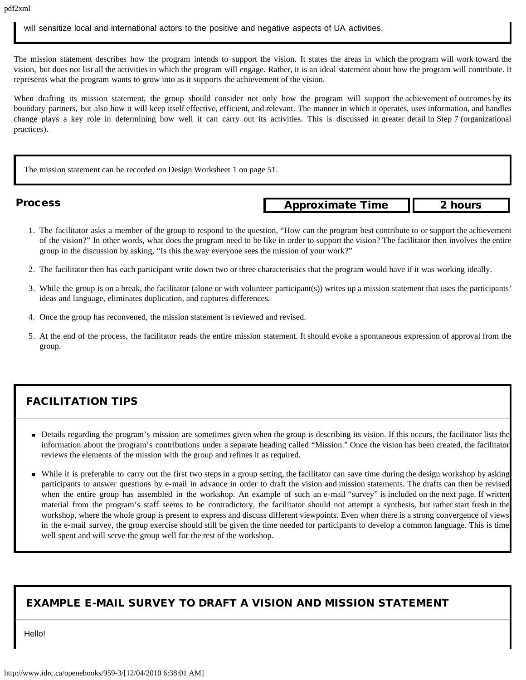will sensitize local and international actors to the positive and negative aspects of UA activities.

The mission statement describes how the program intends to support the vision. It states the areas in which the program will work toward the vision, but does not list all the activities in which the program will engage. Rather, it is an ideal statement about how the program will contribute. It represents what the program wants to grow into as it supports the achievement of the vision.

When drafting its mission statement, the group should consider not only how the program will support the achievement of outcomes by its boundary partners, but also how it will keep itself effective, efficient, and relevant. The manner in which it operates, uses information, and handles change plays a key role in determining how well it can carry out its activities. This is discussed in greater detail in Step 7 (organizational practices).

The mission statement can be recorded on Design Worksheet 1 on page 51.

## Process **Approximate Time 2 hours**

- 1. The facilitator asks a member of the group to respond to the question, "How can the program best contribute to or support the achievement of the vision?" In other words, what does the program need to be like in order to support the vision? The facilitator then involves the entire group in the discussion by asking, "Is this the way everyone sees the mission of your work?"
- 2. The facilitator then has each participant write down two or three characteristics that the program would have if it was working ideally.
- 3. While the group is on a break, the facilitator (alone or with volunteer participant(s)) writes up a mission statement that uses the participants' ideas and language, eliminates duplication, and captures differences.
- 4. Once the group has reconvened, the mission statement is reviewed and revised.
- 5. At the end of the process, the facilitator reads the entire mission statement. It should evoke a spontaneous expression of approval from the group.

## FACILITATION TIPS

- Details regarding the program's mission are sometimes given when the group is describing its vision. If this occurs, the facilitator lists the information about the program's contributions under a separate heading called "Mission." Once the vision has been created, the facilitator reviews the elements of the mission with the group and refines it as required.
- While it is preferable to carry out the first two steps in a group setting, the facilitator can save time during the design workshop by asking participants to answer questions by e-mail in advance in order to draft the vision and mission statements. The drafts can then be revised when the entire group has assembled in the workshop. An example of such an e-mail "survey" is included on the next page. If written material from the program's staff seems to be contradictory, the facilitator should not attempt a synthesis, but rather start fresh in the workshop, where the whole group is present to express and discuss different viewpoints. Even when there is a strong convergence of views in the e-mail survey, the group exercise should still be given the time needed for participants to develop a common language. This is time well spent and will serve the group well for the rest of the workshop.

#### EXAMPLE E-MAIL SURVEY TO DRAFT A VISION AND MISSION STATEMENT

Hello!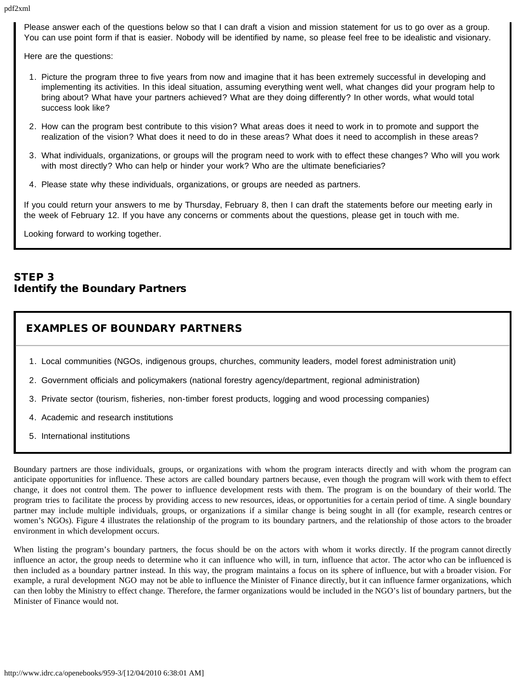Please answer each of the questions below so that I can draft a vision and mission statement for us to go over as a group. You can use point form if that is easier. Nobody will be identified by name, so please feel free to be idealistic and visionary.

Here are the questions:

- 1. Picture the program three to five years from now and imagine that it has been extremely successful in developing and implementing its activities. In this ideal situation, assuming everything went well, what changes did your program help to bring about? What have your partners achieved? What are they doing differently? In other words, what would total success look like?
- 2. How can the program best contribute to this vision? What areas does it need to work in to promote and support the realization of the vision? What does it need to do in these areas? What does it need to accomplish in these areas?
- 3. What individuals, organizations, or groups will the program need to work with to effect these changes? Who will you work with most directly? Who can help or hinder your work? Who are the ultimate beneficiaries?
- 4. Please state why these individuals, organizations, or groups are needed as partners.

If you could return your answers to me by Thursday, February 8, then I can draft the statements before our meeting early in the week of February 12. If you have any concerns or comments about the questions, please get in touch with me.

Looking forward to working together.

#### <span id="page-27-0"></span>STEP 3 Identify the Boundary Partners

#### EXAMPLES OF BOUNDARY PARTNERS

- 1. Local communities (NGOs, indigenous groups, churches, community leaders, model forest administration unit)
- 2. Government officials and policymakers (national forestry agency/department, regional administration)
- 3. Private sector (tourism, fisheries, non-timber forest products, logging and wood processing companies)
- 4. Academic and research institutions
- 5. International institutions

Boundary partners are those individuals, groups, or organizations with whom the program interacts directly and with whom the program can anticipate opportunities for influence. These actors are called boundary partners because, even though the program will work with them to effect change, it does not control them. The power to influence development rests with them. The program is on the boundary of their world. The program tries to facilitate the process by providing access to new resources, ideas, or opportunities for a certain period of time. A single boundary partner may include multiple individuals, groups, or organizations if a similar change is being sought in all (for example, research centres or women's NGOs). Figure 4 illustrates the relationship of the program to its boundary partners, and the relationship of those actors to the broader environment in which development occurs.

When listing the program's boundary partners, the focus should be on the actors with whom it works directly. If the program cannot directly influence an actor, the group needs to determine who it can influence who will, in turn, influence that actor. The actor who can be influenced is then included as a boundary partner instead. In this way, the program maintains a focus on its sphere of influence, but with a broader vision. For example, a rural development NGO may not be able to influence the Minister of Finance directly, but it can influence farmer organizations, which can then lobby the Ministry to effect change. Therefore, the farmer organizations would be included in the NGO's list of boundary partners, but the Minister of Finance would not.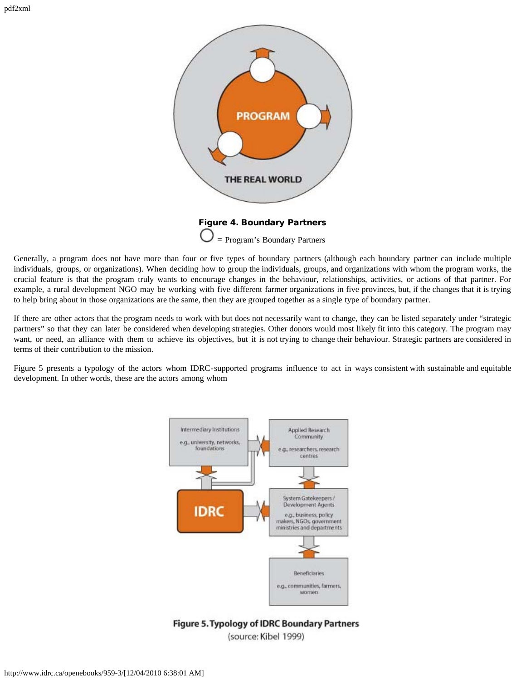

Program's Boundary Partners

Generally, a program does not have more than four or five types of boundary partners (although each boundary partner can include multiple individuals, groups, or organizations). When deciding how to group the individuals, groups, and organizations with whom the program works, the crucial feature is that the program truly wants to encourage changes in the behaviour, relationships, activities, or actions of that partner. For example, a rural development NGO may be working with five different farmer organizations in five provinces, but, if the changes that it is trying to help bring about in those organizations are the same, then they are grouped together as a single type of boundary partner.

If there are other actors that the program needs to work with but does not necessarily want to change, they can be listed separately under "strategic partners" so that they can later be considered when developing strategies. Other donors would most likely fit into this category. The program may want, or need, an alliance with them to achieve its objectives, but it is not trying to change their behaviour. Strategic partners are considered in terms of their contribution to the mission.

Figure 5 presents a typology of the actors whom IDRC-supported programs influence to act in ways consistent with sustainable and equitable development. In other words, these are the actors among whom



Figure 5. Typology of IDRC Boundary Partners

(source: Kibel 1999)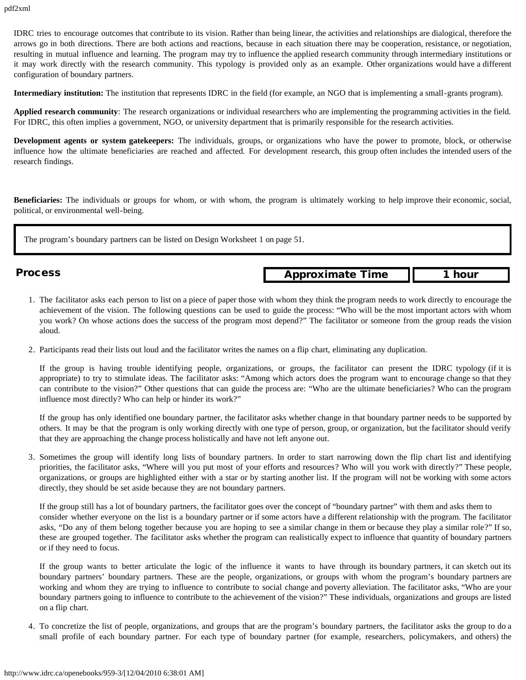IDRC tries to encourage outcomes that contribute to its vision. Rather than being linear, the activities and relationships are dialogical, therefore the arrows go in both directions. There are both actions and reactions, because in each situation there may be cooperation, resistance, or negotiation, resulting in mutual influence and learning. The program may try to influence the applied research community through intermediary institutions or it may work directly with the research community. This typology is provided only as an example. Other organizations would have a different configuration of boundary partners.

**Intermediary institution:** The institution that represents IDRC in the field (for example, an NGO that is implementing a small-grants program).

Applied research community: The research organizations or individual researchers who are implementing the programming activities in the field. For IDRC, this often implies a government, NGO, or university department that is primarily responsible for the research activities.

**Development agents or system gatekeepers:** The individuals, groups, or organizations who have the power to promote, block, or otherwise influence how the ultimate beneficiaries are reached and affected. For development research, this group often includes the intended users of the research findings.

**Beneficiaries:** The individuals or groups for whom, or with whom, the program is ultimately working to help improve their economic, social, political, or environmental well-being.

The program's boundary partners can be listed on Design Worksheet 1 on page 51.

## Process **Approximate Time 1 hour**

- 1. The facilitator asks each person to list on a piece of paper those with whom they think the program needs to work directly to encourage the achievement of the vision. The following questions can be used to guide the process: "Who will be the most important actors with whom you work? On whose actions does the success of the program most depend?" The facilitator or someone from the group reads the vision aloud.
- 2. Participants read their lists out loud and the facilitator writes the names on a flip chart, eliminating any duplication.

If the group is having trouble identifying people, organizations, or groups, the facilitator can present the IDRC typology (if it is appropriate) to try to stimulate ideas. The facilitator asks: "Among which actors does the program want to encourage change so that they can contribute to the vision?" Other questions that can guide the process are: "Who are the ultimate beneficiaries? Who can the program influence most directly? Who can help or hinder its work?"

If the group has only identified one boundary partner, the facilitator asks whether change in that boundary partner needs to be supported by others. It may be that the program is only working directly with one type of person, group, or organization, but the facilitator should verify that they are approaching the change process holistically and have not left anyone out.

3. Sometimes the group will identify long lists of boundary partners. In order to start narrowing down the flip chart list and identifying priorities, the facilitator asks, "Where will you put most of your efforts and resources? Who will you work with directly?" These people, organizations, or groups are highlighted either with a star or by starting another list. If the program will not be working with some actors directly, they should be set aside because they are not boundary partners.

If the group still has a lot of boundary partners, the facilitator goes over the concept of "boundary partner" with them and asks them to consider whether everyone on the list is a boundary partner or if some actors have a different relationship with the program. The facilitator asks, "Do any of them belong together because you are hoping to see a similar change in them or because they play a similar role?" If so, these are grouped together. The facilitator asks whether the program can realistically expect to influence that quantity of boundary partners or if they need to focus.

If the group wants to better articulate the logic of the influence it wants to have through its boundary partners, it can sketch out its boundary partners' boundary partners. These are the people, organizations, or groups with whom the program's boundary partners are working and whom they are trying to influence to contribute to social change and poverty alleviation. The facilitator asks, "Who are your boundary partners going to influence to contribute to the achievement of the vision?" These individuals, organizations and groups are listed on a flip chart.

4. To concretize the list of people, organizations, and groups that are the program's boundary partners, the facilitator asks the group to do a small profile of each boundary partner. For each type of boundary partner (for example, researchers, policymakers, and others) the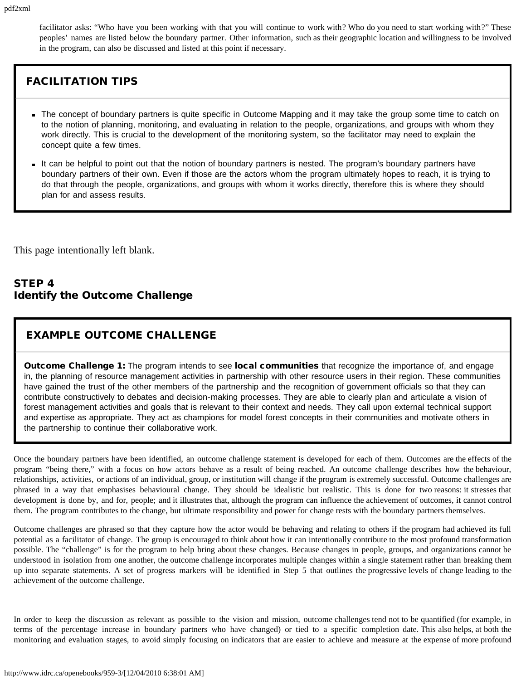facilitator asks: "Who have you been working with that you will continue to work with? Who do you need to start working with?" These peoples' names are listed below the boundary partner. Other information, such as their geographic location and willingness to be involved in the program, can also be discussed and listed at this point if necessary.

## FACILITATION TIPS

- The concept of boundary partners is quite specific in Outcome Mapping and it may take the group some time to catch on to the notion of planning, monitoring, and evaluating in relation to the people, organizations, and groups with whom they work directly. This is crucial to the development of the monitoring system, so the facilitator may need to explain the concept quite a few times.
- It can be helpful to point out that the notion of boundary partners is nested. The program's boundary partners have boundary partners of their own. Even if those are the actors whom the program ultimately hopes to reach, it is trying to do that through the people, organizations, and groups with whom it works directly, therefore this is where they should plan for and assess results.

This page intentionally left blank.

#### <span id="page-30-0"></span>STEP 4 Identify the Outcome Challenge

### EXAMPLE OUTCOME CHALLENGE

**Outcome Challenge 1:** The program intends to see local communities that recognize the importance of, and engage in, the planning of resource management activities in partnership with other resource users in their region. These communities have gained the trust of the other members of the partnership and the recognition of government officials so that they can contribute constructively to debates and decision-making processes. They are able to clearly plan and articulate a vision of forest management activities and goals that is relevant to their context and needs. They call upon external technical support and expertise as appropriate. They act as champions for model forest concepts in their communities and motivate others in the partnership to continue their collaborative work.

Once the boundary partners have been identified, an outcome challenge statement is developed for each of them. Outcomes are the effects of the program "being there," with a focus on how actors behave as a result of being reached. An outcome challenge describes how the behaviour, relationships, activities, or actions of an individual, group, or institution will change if the program is extremely successful. Outcome challenges are phrased in a way that emphasises behavioural change. They should be idealistic but realistic. This is done for two reasons: it stresses that development is done by, and for, people; and it illustrates that, although the program can influence the achievement of outcomes, it cannot control them. The program contributes to the change, but ultimate responsibility and power for change rests with the boundary partners themselves.

Outcome challenges are phrased so that they capture how the actor would be behaving and relating to others if the program had achieved its full potential as a facilitator of change. The group is encouraged to think about how it can intentionally contribute to the most profound transformation possible. The "challenge" is for the program to help bring about these changes. Because changes in people, groups, and organizations cannot be understood in isolation from one another, the outcome challenge incorporates multiple changes within a single statement rather than breaking them up into separate statements. A set of progress markers will be identified in Step 5 that outlines the progressive levels of change leading to the achievement of the outcome challenge.

In order to keep the discussion as relevant as possible to the vision and mission, outcome challenges tend not to be quantified (for example, in terms of the percentage increase in boundary partners who have changed) or tied to a specific completion date. This also helps, at both the monitoring and evaluation stages, to avoid simply focusing on indicators that are easier to achieve and measure at the expense of more profound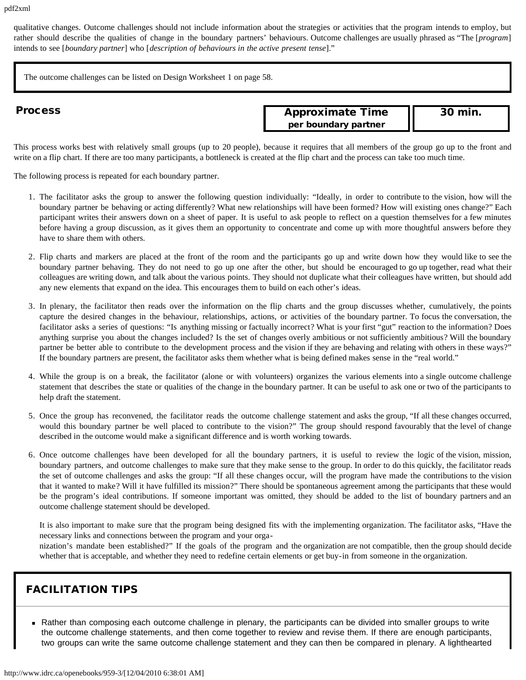qualitative changes. Outcome challenges should not include information about the strategies or activities that the program intends to employ, but rather should describe the qualities of change in the boundary partners' behaviours. Outcome challenges are usually phrased as "The [*program*] intends to see [*boundary partner*] who [*description of behaviours in the active present tense*]."

The outcome challenges can be listed on Design Worksheet 1 on page 58.

Process **Approximate Time** per boundary partner 30 min.

This process works best with relatively small groups (up to 20 people), because it requires that all members of the group go up to the front and write on a flip chart. If there are too many participants, a bottleneck is created at the flip chart and the process can take too much time.

The following process is repeated for each boundary partner.

- 1. The facilitator asks the group to answer the following question individually: "Ideally, in order to contribute to the vision, how will the boundary partner be behaving or acting differently? What new relationships will have been formed? How will existing ones change?" Each participant writes their answers down on a sheet of paper. It is useful to ask people to reflect on a question themselves for a few minutes before having a group discussion, as it gives them an opportunity to concentrate and come up with more thoughtful answers before they have to share them with others.
- 2. Flip charts and markers are placed at the front of the room and the participants go up and write down how they would like to see the boundary partner behaving. They do not need to go up one after the other, but should be encouraged to go up together, read what their colleagues are writing down, and talk about the various points. They should not duplicate what their colleagues have written, but should add any new elements that expand on the idea. This encourages them to build on each other's ideas.
- 3. In plenary, the facilitator then reads over the information on the flip charts and the group discusses whether, cumulatively, the points capture the desired changes in the behaviour, relationships, actions, or activities of the boundary partner. To focus the conversation, the facilitator asks a series of questions: "Is anything missing or factually incorrect? What is your first "gut" reaction to the information? Does anything surprise you about the changes included? Is the set of changes overly ambitious or not sufficiently ambitious? Will the boundary partner be better able to contribute to the development process and the vision if they are behaving and relating with others in these ways?" If the boundary partners are present, the facilitator asks them whether what is being defined makes sense in the "real world."
- 4. While the group is on a break, the facilitator (alone or with volunteers) organizes the various elements into a single outcome challenge statement that describes the state or qualities of the change in the boundary partner. It can be useful to ask one or two of the participants to help draft the statement.
- 5. Once the group has reconvened, the facilitator reads the outcome challenge statement and asks the group, "If all these changes occurred, would this boundary partner be well placed to contribute to the vision?" The group should respond favourably that the level of change described in the outcome would make a significant difference and is worth working towards.
- 6. Once outcome challenges have been developed for all the boundary partners, it is useful to review the logic of the vision, mission, boundary partners, and outcome challenges to make sure that they make sense to the group. In order to do this quickly, the facilitator reads the set of outcome challenges and asks the group: "If all these changes occur, will the program have made the contributions to the vision that it wanted to make? Will it have fulfilled its mission?" There should be spontaneous agreement among the participants that these would be the program's ideal contributions. If someone important was omitted, they should be added to the list of boundary partners and an outcome challenge statement should be developed.

It is also important to make sure that the program being designed fits with the implementing organization. The facilitator asks, "Have the necessary links and connections between the program and your orga-

nization's mandate been established?" If the goals of the program and the organization are not compatible, then the group should decide whether that is acceptable, and whether they need to redefine certain elements or get buy-in from someone in the organization.

## FACILITATION TIPS

Rather than composing each outcome challenge in plenary, the participants can be divided into smaller groups to write the outcome challenge statements, and then come together to review and revise them. If there are enough participants, two groups can write the same outcome challenge statement and they can then be compared in plenary. A lighthearted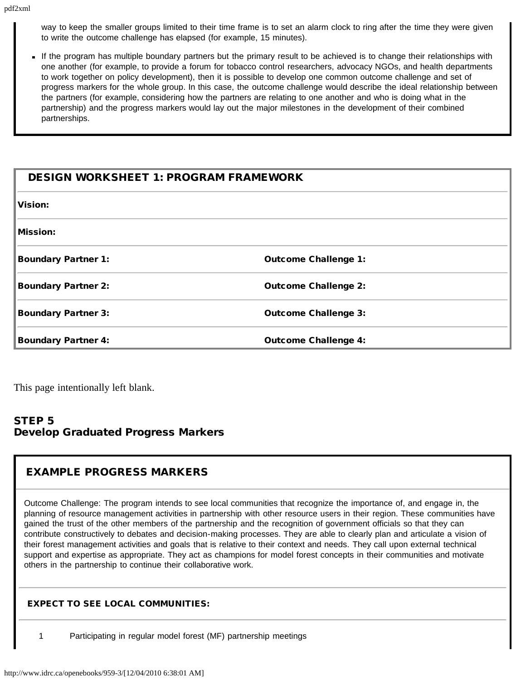way to keep the smaller groups limited to their time frame is to set an alarm clock to ring after the time they were given to write the outcome challenge has elapsed (for example, 15 minutes).

If the program has multiple boundary partners but the primary result to be achieved is to change their relationships with one another (for example, to provide a forum for tobacco control researchers, advocacy NGOs, and health departments to work together on policy development), then it is possible to develop one common outcome challenge and set of progress markers for the whole group. In this case, the outcome challenge would describe the ideal relationship between the partners (for example, considering how the partners are relating to one another and who is doing what in the partnership) and the progress markers would lay out the major milestones in the development of their combined partnerships.

<span id="page-32-0"></span>

| <b>DESIGN WORKSHEET 1: PROGRAM FRAMEWORK</b> |                             |
|----------------------------------------------|-----------------------------|
| Vision:                                      |                             |
| Mission:                                     |                             |
| <b>Boundary Partner 1:</b>                   | <b>Outcome Challenge 1:</b> |
| <b>Boundary Partner 2:</b>                   | <b>Outcome Challenge 2:</b> |
| <b>Boundary Partner 3:</b>                   | <b>Outcome Challenge 3:</b> |
| <b>Boundary Partner 4:</b>                   | <b>Outcome Challenge 4:</b> |

This page intentionally left blank.

#### <span id="page-32-1"></span>STEP 5 Develop Graduated Progress Markers

## EXAMPLE PROGRESS MARKERS

Outcome Challenge: The program intends to see local communities that recognize the importance of, and engage in, the planning of resource management activities in partnership with other resource users in their region. These communities have gained the trust of the other members of the partnership and the recognition of government officials so that they can contribute constructively to debates and decision-making processes. They are able to clearly plan and articulate a vision of their forest management activities and goals that is relative to their context and needs. They call upon external technical support and expertise as appropriate. They act as champions for model forest concepts in their communities and motivate others in the partnership to continue their collaborative work.

#### EXPECT TO SEE LOCAL COMMUNITIES:

1 Participating in regular model forest (MF) partnership meetings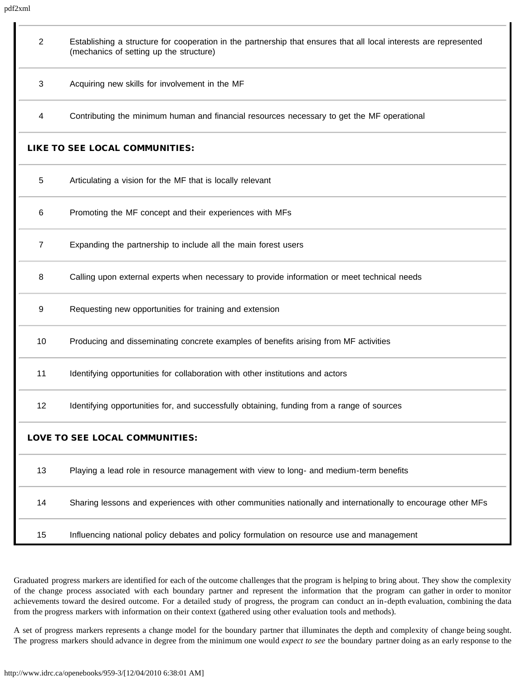| $\overline{2}$ | Establishing a structure for cooperation in the partnership that ensures that all local interests are represented<br>(mechanics of setting up the structure) |
|----------------|--------------------------------------------------------------------------------------------------------------------------------------------------------------|
| 3              | Acquiring new skills for involvement in the MF                                                                                                               |
| 4              | Contributing the minimum human and financial resources necessary to get the MF operational                                                                   |
|                | LIKE TO SEE LOCAL COMMUNITIES:                                                                                                                               |
| 5              | Articulating a vision for the MF that is locally relevant                                                                                                    |
| 6              | Promoting the MF concept and their experiences with MFs                                                                                                      |
| $\overline{7}$ | Expanding the partnership to include all the main forest users                                                                                               |
| 8              | Calling upon external experts when necessary to provide information or meet technical needs                                                                  |
| 9              | Requesting new opportunities for training and extension                                                                                                      |
| 10             | Producing and disseminating concrete examples of benefits arising from MF activities                                                                         |
| 11             | Identifying opportunities for collaboration with other institutions and actors                                                                               |
| 12             | Identifying opportunities for, and successfully obtaining, funding from a range of sources                                                                   |
|                | <b>LOVE TO SEE LOCAL COMMUNITIES:</b>                                                                                                                        |
| 13             | Playing a lead role in resource management with view to long- and medium-term benefits                                                                       |
| 14             | Sharing lessons and experiences with other communities nationally and internationally to encourage other MFs                                                 |
| 15             | Influencing national policy debates and policy formulation on resource use and management                                                                    |

Graduated progress markers are identified for each of the outcome challenges that the program is helping to bring about. They show the complexity of the change process associated with each boundary partner and represent the information that the program can gather in order to monitor achievements toward the desired outcome. For a detailed study of progress, the program can conduct an in-depth evaluation, combining the data from the progress markers with information on their context (gathered using other evaluation tools and methods).

A set of progress markers represents a change model for the boundary partner that illuminates the depth and complexity of change being sought. The progress markers should advance in degree from the minimum one would *expect to see* the boundary partner doing as an early response to the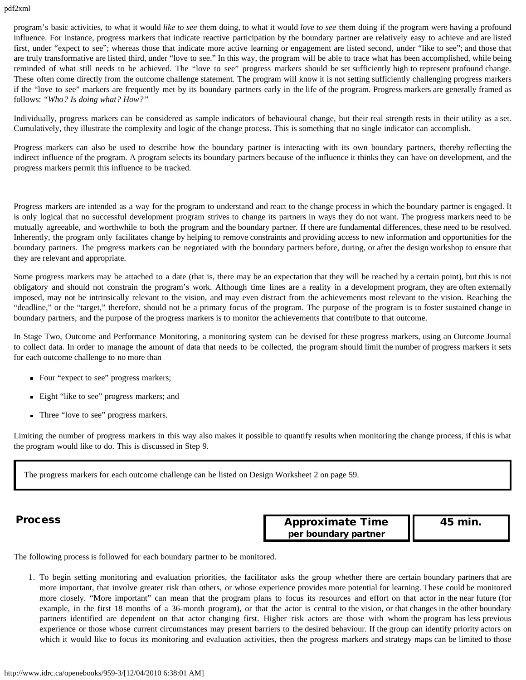program's basic activities, to what it would *like to see* them doing, to what it would *love to see* them doing if the program were having a profound influence. For instance, progress markers that indicate reactive participation by the boundary partner are relatively easy to achieve and are listed first, under "expect to see"; whereas those that indicate more active learning or engagement are listed second, under "like to see"; and those that are truly transformative are listed third, under "love to see." In this way, the program will be able to trace what has been accomplished, while being reminded of what still needs to be achieved. The "love to see" progress markers should be set sufficiently high to represent profound change. These often come directly from the outcome challenge statement. The program will know it is not setting sufficiently challenging progress markers if the "love to see" markers are frequently met by its boundary partners early in the life of the program. Progress markers are generally framed as follows: *"Who? Is doing what? How?"*

Individually, progress markers can be considered as sample indicators of behavioural change, but their real strength rests in their utility as a set. Cumulatively, they illustrate the complexity and logic of the change process. This is something that no single indicator can accomplish.

Progress markers can also be used to describe how the boundary partner is interacting with its own boundary partners, thereby reflecting the indirect influence of the program. A program selects its boundary partners because of the influence it thinks they can have on development, and the progress markers permit this influence to be tracked.

Progress markers are intended as a way for the program to understand and react to the change process in which the boundary partner is engaged. It is only logical that no successful development program strives to change its partners in ways they do not want. The progress markers need to be mutually agreeable, and worthwhile to both the program and the boundary partner. If there are fundamental differences, these need to be resolved. Inherently, the program only facilitates change by helping to remove constraints and providing access to new information and opportunities for the boundary partners. The progress markers can be negotiated with the boundary partners before, during, or after the design workshop to ensure that they are relevant and appropriate.

Some progress markers may be attached to a date (that is, there may be an expectation that they will be reached by a certain point), but this is not obligatory and should not constrain the program's work. Although time lines are a reality in a development program, they are often externally imposed, may not be intrinsically relevant to the vision, and may even distract from the achievements most relevant to the vision. Reaching the "deadline," or the "target," therefore, should not be a primary focus of the program. The purpose of the program is to foster sustained change in boundary partners, and the purpose of the progress markers is to monitor the achievements that contribute to that outcome.

In Stage Two, Outcome and Performance Monitoring, a monitoring system can be devised for these progress markers, using an Outcome Journal to collect data. In order to manage the amount of data that needs to be collected, the program should limit the number of progress markers it sets for each outcome challenge to no more than

- Four "expect to see" progress markers;
- Eight "like to see" progress markers; and
- Three "love to see" progress markers.

Limiting the number of progress markers in this way also makes it possible to quantify results when monitoring the change process, if this is what the program would like to do. This is discussed in Step 9.

The progress markers for each outcome challenge can be listed on Design Worksheet 2 on page 59.

Process **Approximate Time** per boundary partner

45 min.

The following process is followed for each boundary partner to be monitored.

1. To begin setting monitoring and evaluation priorities, the facilitator asks the group whether there are certain boundary partners that are more important, that involve greater risk than others, or whose experience provides more potential for learning. These could be monitored more closely. "More important" can mean that the program plans to focus its resources and effort on that actor in the near future (for example, in the first 18 months of a 36-month program), or that the actor is central to the vision, or that changes in the other boundary partners identified are dependent on that actor changing first. Higher risk actors are those with whom the program has less previous experience or those whose current circumstances may present barriers to the desired behaviour. If the group can identify priority actors on which it would like to focus its monitoring and evaluation activities, then the progress markers and strategy maps can be limited to those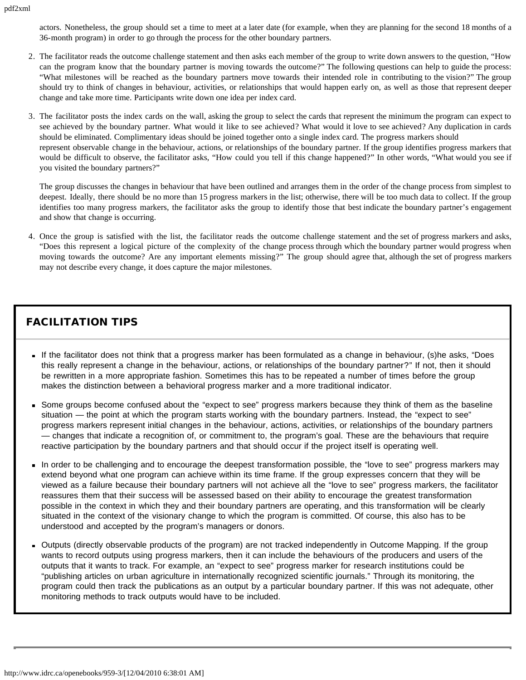actors. Nonetheless, the group should set a time to meet at a later date (for example, when they are planning for the second 18 months of a 36-month program) in order to go through the process for the other boundary partners.

- 2. The facilitator reads the outcome challenge statement and then asks each member of the group to write down answers to the question, "How can the program know that the boundary partner is moving towards the outcome?" The following questions can help to guide the process: "What milestones will be reached as the boundary partners move towards their intended role in contributing to the vision?" The group should try to think of changes in behaviour, activities, or relationships that would happen early on, as well as those that represent deeper change and take more time. Participants write down one idea per index card.
- 3. The facilitator posts the index cards on the wall, asking the group to select the cards that represent the minimum the program can expect to see achieved by the boundary partner. What would it like to see achieved? What would it love to see achieved? Any duplication in cards should be eliminated. Complimentary ideas should be joined together onto a single index card. The progress markers should represent observable change in the behaviour, actions, or relationships of the boundary partner. If the group identifies progress markers that would be difficult to observe, the facilitator asks, "How could you tell if this change happened?" In other words, "What would you see if you visited the boundary partners?"

The group discusses the changes in behaviour that have been outlined and arranges them in the order of the change process from simplest to deepest. Ideally, there should be no more than 15 progress markers in the list; otherwise, there will be too much data to collect. If the group identifies too many progress markers, the facilitator asks the group to identify those that best indicate the boundary partner's engagement and show that change is occurring.

4. Once the group is satisfied with the list, the facilitator reads the outcome challenge statement and the set of progress markers and asks, "Does this represent a logical picture of the complexity of the change process through which the boundary partner would progress when moving towards the outcome? Are any important elements missing?" The group should agree that, although the set of progress markers may not describe every change, it does capture the major milestones.

### FACILITATION TIPS

- If the facilitator does not think that a progress marker has been formulated as a change in behaviour, (s)he asks, "Does this really represent a change in the behaviour, actions, or relationships of the boundary partner?" If not, then it should be rewritten in a more appropriate fashion. Sometimes this has to be repeated a number of times before the group makes the distinction between a behavioral progress marker and a more traditional indicator.
- Some groups become confused about the "expect to see" progress markers because they think of them as the baseline situation — the point at which the program starts working with the boundary partners. Instead, the "expect to see" progress markers represent initial changes in the behaviour, actions, activities, or relationships of the boundary partners — changes that indicate a recognition of, or commitment to, the program's goal. These are the behaviours that require reactive participation by the boundary partners and that should occur if the project itself is operating well.
- In order to be challenging and to encourage the deepest transformation possible, the "love to see" progress markers may  $\blacksquare$ extend beyond what one program can achieve within its time frame. If the group expresses concern that they will be viewed as a failure because their boundary partners will not achieve all the "love to see" progress markers, the facilitator reassures them that their success will be assessed based on their ability to encourage the greatest transformation possible in the context in which they and their boundary partners are operating, and this transformation will be clearly situated in the context of the visionary change to which the program is committed. Of course, this also has to be understood and accepted by the program's managers or donors.
- <span id="page-35-0"></span>Outputs (directly observable products of the program) are not tracked independently in Outcome Mapping. If the group wants to record outputs using progress markers, then it can include the behaviours of the producers and users of the outputs that it wants to track. For example, an "expect to see" progress marker for research institutions could be "publishing articles on urban agriculture in internationally recognized scientific journals." Through its monitoring, the program could then track the publications as an output by a particular boundary partner. If this was not adequate, other monitoring methods to track outputs would have to be included.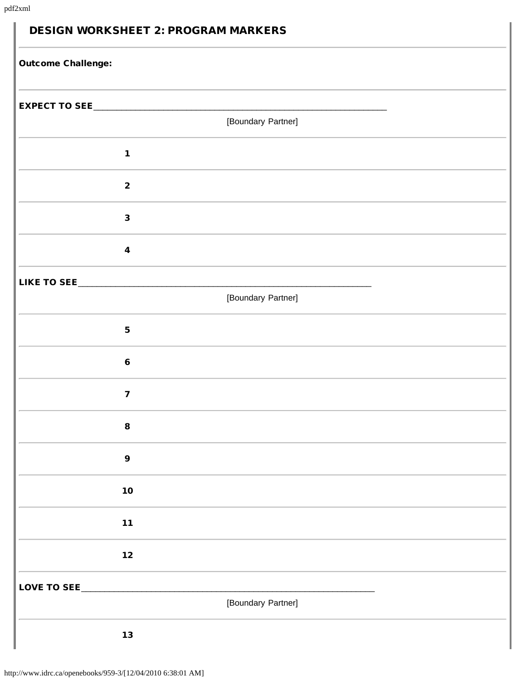| <b>DESIGN WORKSHEET 2: PROGRAM MARKERS</b> |                    |  |
|--------------------------------------------|--------------------|--|
| <b>Outcome Challenge:</b>                  |                    |  |
|                                            |                    |  |
|                                            | [Boundary Partner] |  |
| $\mathbf{1}$                               |                    |  |
| $\overline{2}$                             |                    |  |
| $\mathbf{3}$                               |                    |  |
| $\overline{\mathbf{4}}$                    |                    |  |
|                                            |                    |  |
|                                            | [Boundary Partner] |  |
| $\overline{\mathbf{5}}$                    |                    |  |
| $\boldsymbol{6}$                           |                    |  |
| $\overline{\mathbf{z}}$                    |                    |  |
| 8                                          |                    |  |
| $\mathbf{9}$                               |                    |  |
| 10                                         |                    |  |
| $11$                                       |                    |  |
| $12$                                       |                    |  |
| LOVE TO SEE                                |                    |  |
|                                            | [Boundary Partner] |  |
| $13$                                       |                    |  |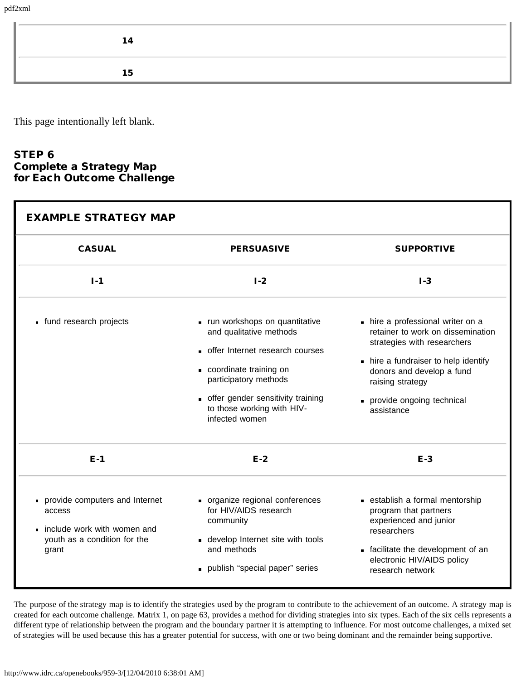| . . |  |
|-----|--|

This page intentionally left blank.

# STEP 6 Complete a Strategy Map for Each Outcome Challenge

| <b>EXAMPLE STRATEGY MAP</b>                                                                                      |                                                                                                                                                                                                                                       |                                                                                                                                                                                                                                         |
|------------------------------------------------------------------------------------------------------------------|---------------------------------------------------------------------------------------------------------------------------------------------------------------------------------------------------------------------------------------|-----------------------------------------------------------------------------------------------------------------------------------------------------------------------------------------------------------------------------------------|
| <b>CASUAL</b>                                                                                                    | <b>PERSUASIVE</b>                                                                                                                                                                                                                     | <b>SUPPORTIVE</b>                                                                                                                                                                                                                       |
| $1-1$                                                                                                            | $1-2$                                                                                                                                                                                                                                 | $1-3$                                                                                                                                                                                                                                   |
| tund research projects                                                                                           | - run workshops on quantitative<br>and qualitative methods<br>offer Internet research courses<br>coordinate training on<br>participatory methods<br>offer gender sensitivity training<br>to those working with HIV-<br>infected women | hire a professional writer on a<br>retainer to work on dissemination<br>strategies with researchers<br>• hire a fundraiser to help identify<br>donors and develop a fund<br>raising strategy<br>provide ongoing technical<br>assistance |
| $E-1$                                                                                                            | $E-2$                                                                                                                                                                                                                                 | $E-3$                                                                                                                                                                                                                                   |
| provide computers and Internet<br>access<br>include work with women and<br>youth as a condition for the<br>grant | organize regional conferences<br>for HIV/AIDS research<br>community<br>- develop Internet site with tools<br>and methods<br>publish "special paper" series                                                                            | establish a formal mentorship<br>program that partners<br>experienced and junior<br>researchers<br>facilitate the development of an<br>electronic HIV/AIDS policy<br>research network                                                   |

The purpose of the strategy map is to identify the strategies used by the program to contribute to the achievement of an outcome. A strategy map is created for each outcome challenge. Matrix 1, on page 63, provides a method for dividing strategies into six types. Each of the six cells represents a different type of relationship between the program and the boundary partner it is attempting to influence. For most outcome challenges, a mixed set of strategies will be used because this has a greater potential for success, with one or two being dominant and the remainder being supportive.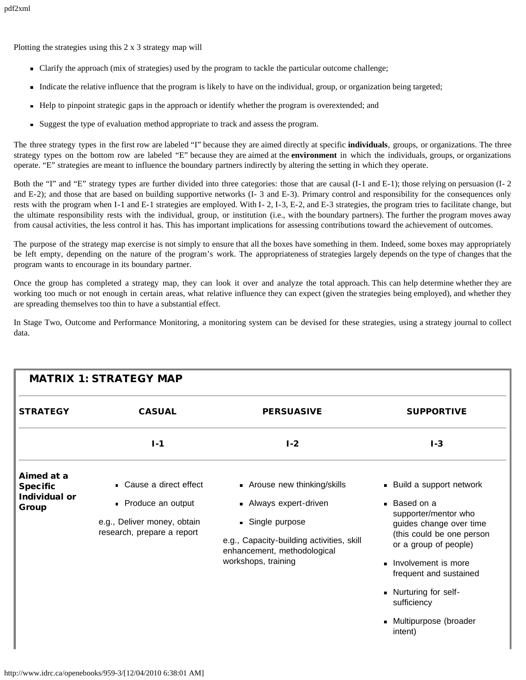Plotting the strategies using this 2 x 3 strategy map will

- Clarify the approach (mix of strategies) used by the program to tackle the particular outcome challenge;
- Indicate the relative influence that the program is likely to have on the individual, group, or organization being targeted;
- Help to pinpoint strategic gaps in the approach or identify whether the program is overextended; and
- Suggest the type of evaluation method appropriate to track and assess the program.

The three strategy types in the first row are labeled "I" because they are aimed directly at specific **individuals**, groups, or organizations. The three strategy types on the bottom row are labeled "E" because they are aimed at the **environment** in which the individuals, groups, or organizations operate. "E" strategies are meant to influence the boundary partners indirectly by altering the setting in which they operate.

Both the "I" and "E" strategy types are further divided into three categories: those that are causal (I-1 and E-1); those relying on persuasion (I-2) and E-2); and those that are based on building supportive networks (I-3 and E-3). Primary control and responsibility for the consequences only rests with the program when I-1 and E-1 strategies are employed. With I- 2, I-3, E-2, and E-3 strategies, the program tries to facilitate change, but the ultimate responsibility rests with the individual, group, or institution (i.e., with the boundary partners). The further the program moves away from causal activities, the less control it has. This has important implications for assessing contributions toward the achievement of outcomes.

The purpose of the strategy map exercise is not simply to ensure that all the boxes have something in them. Indeed, some boxes may appropriately be left empty, depending on the nature of the program's work. The appropriateness of strategies largely depends on the type of changes that the program wants to encourage in its boundary partner.

Once the group has completed a strategy map, they can look it over and analyze the total approach. This can help determine whether they are working too much or not enough in certain areas, what relative influence they can expect (given the strategies being employed), and whether they are spreading themselves too thin to have a substantial effect.

In Stage Two, Outcome and Performance Monitoring, a monitoring system can be devised for these strategies, using a strategy journal to collect data.

| <b>MATRIX 1: STRATEGY MAP</b>                           |                                                                                                             |                                                                                                                                                                             |                                                                                                                                                                                                                                                                                 |  |
|---------------------------------------------------------|-------------------------------------------------------------------------------------------------------------|-----------------------------------------------------------------------------------------------------------------------------------------------------------------------------|---------------------------------------------------------------------------------------------------------------------------------------------------------------------------------------------------------------------------------------------------------------------------------|--|
| <b>STRATEGY</b>                                         | <b>CASUAL</b>                                                                                               | <b>PERSUASIVE</b>                                                                                                                                                           | <b>SUPPORTIVE</b>                                                                                                                                                                                                                                                               |  |
|                                                         | $1-1$                                                                                                       | $1-2$                                                                                                                                                                       | $1-3$                                                                                                                                                                                                                                                                           |  |
| Aimed at a<br><b>Specific</b><br>Individual or<br>Group | • Cause a direct effect<br>• Produce an output<br>e.g., Deliver money, obtain<br>research, prepare a report | Arouse new thinking/skills<br>- Always expert-driven<br>• Single purpose<br>e.g., Capacity-building activities, skill<br>enhancement, methodological<br>workshops, training | Build a support network<br>• Based on a<br>supporter/mentor who<br>guides change over time<br>(this could be one person<br>or a group of people)<br>lnvolvement is more<br>frequent and sustained<br>- Nurturing for self-<br>sufficiency<br>- Multipurpose (broader<br>intent) |  |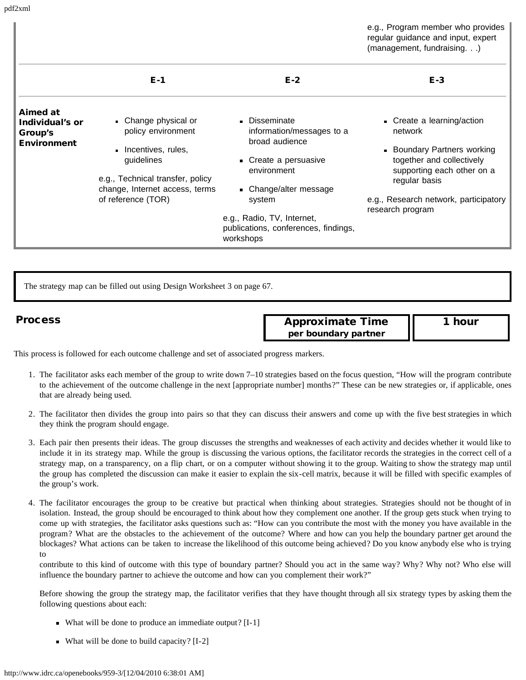e.g., Program member who provides regular guidance and input, expert (management, fundraising. . .)

|                                                              | $E-1$                                                                                                                                                                      | $E-2$                                                                                                                                                                                                                     | $E-3$                                                                                                                                                                                                            |
|--------------------------------------------------------------|----------------------------------------------------------------------------------------------------------------------------------------------------------------------------|---------------------------------------------------------------------------------------------------------------------------------------------------------------------------------------------------------------------------|------------------------------------------------------------------------------------------------------------------------------------------------------------------------------------------------------------------|
| Aimed at<br>Individual's or<br>Group's<br><b>Environment</b> | • Change physical or<br>policy environment<br>lncentives, rules,<br>guidelines<br>e.g., Technical transfer, policy<br>change, Internet access, terms<br>of reference (TOR) | ■ Disseminate<br>information/messages to a<br>broad audience<br>Create a persuasive<br>environment<br>• Change/alter message<br>system<br>e.g., Radio, TV, Internet,<br>publications, conferences, findings,<br>workshops | Create a learning/action<br>network<br><b>Boundary Partners working</b><br>together and collectively<br>supporting each other on a<br>regular basis<br>e.g., Research network, participatory<br>research program |

The strategy map can be filled out using Design Worksheet 3 on page 67.

Process **Approximate Time** per boundary partner

1 hour

This process is followed for each outcome challenge and set of associated progress markers.

- 1. The facilitator asks each member of the group to write down 7–10 strategies based on the focus question, "How will the program contribute to the achievement of the outcome challenge in the next [appropriate number] months?" These can be new strategies or, if applicable, ones that are already being used.
- 2. The facilitator then divides the group into pairs so that they can discuss their answers and come up with the five best strategies in which they think the program should engage.
- 3. Each pair then presents their ideas. The group discusses the strengths and weaknesses of each activity and decides whether it would like to include it in its strategy map. While the group is discussing the various options, the facilitator records the strategies in the correct cell of a strategy map, on a transparency, on a flip chart, or on a computer without showing it to the group. Waiting to show the strategy map until the group has completed the discussion can make it easier to explain the six-cell matrix, because it will be filled with specific examples of the group's work.
- 4. The facilitator encourages the group to be creative but practical when thinking about strategies. Strategies should not be thought of in isolation. Instead, the group should be encouraged to think about how they complement one another. If the group gets stuck when trying to come up with strategies, the facilitator asks questions such as: "How can you contribute the most with the money you have available in the program? What are the obstacles to the achievement of the outcome? Where and how can you help the boundary partner get around the blockages? What actions can be taken to increase the likelihood of this outcome being achieved? Do you know anybody else who is trying to

contribute to this kind of outcome with this type of boundary partner? Should you act in the same way? Why? Why not? Who else will influence the boundary partner to achieve the outcome and how can you complement their work?"

Before showing the group the strategy map, the facilitator verifies that they have thought through all six strategy types by asking them the following questions about each:

- What will be done to produce an immediate output? [I-1]
- What will be done to build capacity? [I-2]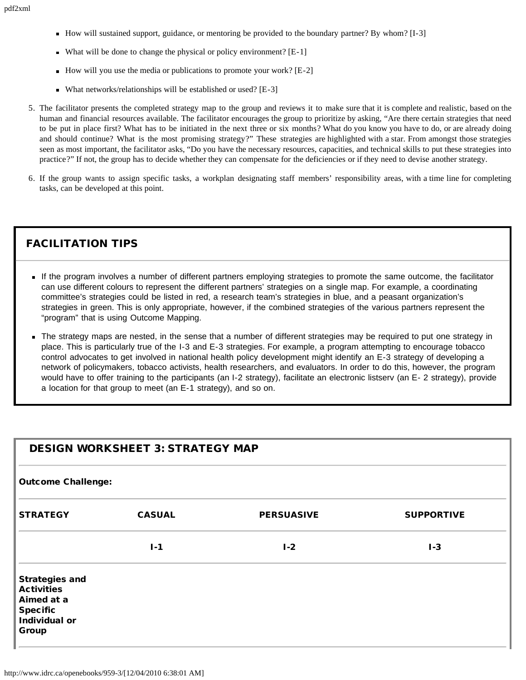- How will sustained support, guidance, or mentoring be provided to the boundary partner? By whom? [I-3]
- What will be done to change the physical or policy environment?  $[E-1]$
- How will you use the media or publications to promote your work?  $[E-2]$
- What networks/relationships will be established or used? [E-3]
- 5. The facilitator presents the completed strategy map to the group and reviews it to make sure that it is complete and realistic, based on the human and financial resources available. The facilitator encourages the group to prioritize by asking, "Are there certain strategies that need to be put in place first? What has to be initiated in the next three or six months? What do you know you have to do, or are already doing and should continue? What is the most promising strategy?" These strategies are highlighted with a star. From amongst those strategies seen as most important, the facilitator asks, "Do you have the necessary resources, capacities, and technical skills to put these strategies into practice?" If not, the group has to decide whether they can compensate for the deficiencies or if they need to devise another strategy.
- 6. If the group wants to assign specific tasks, a workplan designating staff members' responsibility areas, with a time line for completing tasks, can be developed at this point.

# FACILITATION TIPS

- If the program involves a number of different partners employing strategies to promote the same outcome, the facilitator can use different colours to represent the different partners' strategies on a single map. For example, a coordinating committee's strategies could be listed in red, a research team's strategies in blue, and a peasant organization's strategies in green. This is only appropriate, however, if the combined strategies of the various partners represent the "program" that is using Outcome Mapping.
- The strategy maps are nested, in the sense that a number of different strategies may be required to put one strategy in place. This is particularly true of the I-3 and E-3 strategies. For example, a program attempting to encourage tobacco control advocates to get involved in national health policy development might identify an E-3 strategy of developing a network of policymakers, tobacco activists, health researchers, and evaluators. In order to do this, however, the program would have to offer training to the participants (an I-2 strategy), facilitate an electronic listserv (an E- 2 strategy), provide a location for that group to meet (an E-1 strategy), and so on.

| <b>DESIGN WORKSHEET 3: STRATEGY MAP</b>                                     |               |                   |                   |  |  |
|-----------------------------------------------------------------------------|---------------|-------------------|-------------------|--|--|
| <b>Outcome Challenge:</b>                                                   |               |                   |                   |  |  |
| <b>STRATEGY</b>                                                             | <b>CASUAL</b> | <b>PERSUASIVE</b> | <b>SUPPORTIVE</b> |  |  |
|                                                                             | $1-1$         | $1-2$             | $I - 3$           |  |  |
| <b>Strategies and</b><br><b>Activities</b><br>Aimed at a<br><b>Specific</b> |               |                   |                   |  |  |
| <b>Individual or</b><br><b>Group</b>                                        |               |                   |                   |  |  |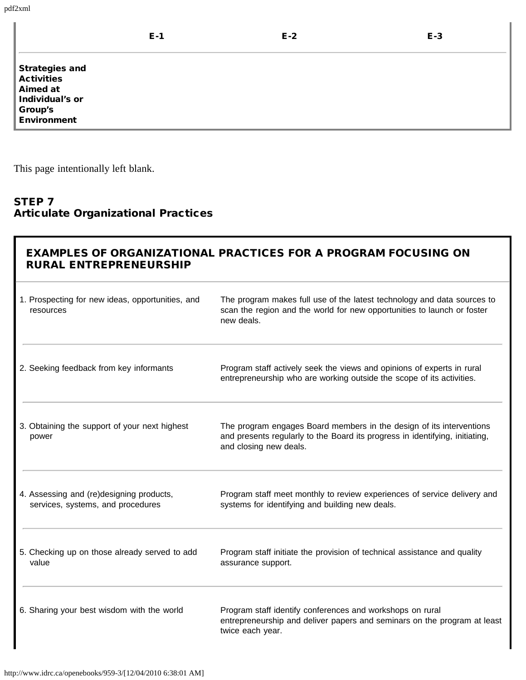Г

|                                     | $E-1$ | $E-2$ | $E-3$ |
|-------------------------------------|-------|-------|-------|
| Strategies and<br><b>Activities</b> |       |       |       |
| <b>Aimed at</b><br>Individual's or  |       |       |       |
| Group's<br>Environment              |       |       |       |

This page intentionally left blank.

# STEP 7 Articulate Organizational Practices

| <b>RURAL ENTREPRENEURSHIP</b>                                                 | <b>EXAMPLES OF ORGANIZATIONAL PRACTICES FOR A PROGRAM FOCUSING ON</b>                                                                                                          |
|-------------------------------------------------------------------------------|--------------------------------------------------------------------------------------------------------------------------------------------------------------------------------|
| 1. Prospecting for new ideas, opportunities, and<br>resources                 | The program makes full use of the latest technology and data sources to<br>scan the region and the world for new opportunities to launch or foster<br>new deals.               |
| 2. Seeking feedback from key informants                                       | Program staff actively seek the views and opinions of experts in rural<br>entrepreneurship who are working outside the scope of its activities.                                |
| 3. Obtaining the support of your next highest<br>power                        | The program engages Board members in the design of its interventions<br>and presents regularly to the Board its progress in identifying, initiating,<br>and closing new deals. |
| 4. Assessing and (re)designing products,<br>services, systems, and procedures | Program staff meet monthly to review experiences of service delivery and<br>systems for identifying and building new deals.                                                    |
| 5. Checking up on those already served to add<br>value                        | Program staff initiate the provision of technical assistance and quality<br>assurance support.                                                                                 |
| 6. Sharing your best wisdom with the world                                    | Program staff identify conferences and workshops on rural<br>entrepreneurship and deliver papers and seminars on the program at least<br>twice each year.                      |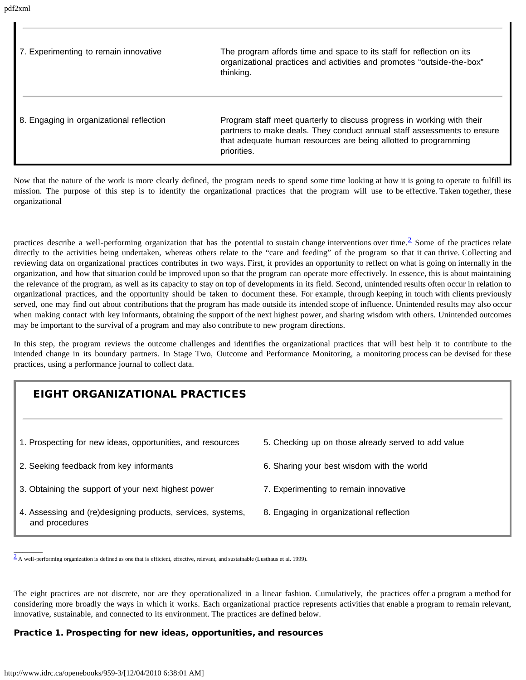| 7. Experimenting to remain innovative    | The program affords time and space to its staff for reflection on its<br>organizational practices and activities and promotes "outside-the-box"<br>thinking.                                                                        |
|------------------------------------------|-------------------------------------------------------------------------------------------------------------------------------------------------------------------------------------------------------------------------------------|
| 8. Engaging in organizational reflection | Program staff meet quarterly to discuss progress in working with their<br>partners to make deals. They conduct annual staff assessments to ensure<br>that adequate human resources are being allotted to programming<br>priorities. |

Now that the nature of the work is more clearly defined, the program needs to spend some time looking at how it is going to operate to fulfill its mission. The purpose of this step is to identify the organizational practices that the program will use to be effective. Taken together, these organizational

<span id="page-42-1"></span>practices describe a well-performing organization that has the potential to sustain change interventions over time.  $\approx$  Some of the practices relate directly to the activities being undertaken, whereas others relate to the "care and feeding" of the program so that it can thrive. Collecting and reviewing data on organizational practices contributes in two ways. First, it provides an opportunity to reflect on what is going on internally in the organization, and how that situation could be improved upon so that the program can operate more effectively. In essence, this is about maintaining the relevance of the program, as well as its capacity to stay on top of developments in its field. Second, unintended results often occur in relation to organizational practices, and the opportunity should be taken to document these. For example, through keeping in touch with clients previously served, one may find out about contributions that the program has made outside its intended scope of influence. Unintended results may also occur when making contact with key informants, obtaining the support of the next highest power, and sharing wisdom with others. Unintended outcomes may be important to the survival of a program and may also contribute to new program directions.

In this step, the program reviews the outcome challenges and identifies the organizational practices that will best help it to contribute to the intended change in its boundary partners. In Stage Two, Outcome and Performance Monitoring, a monitoring process can be devised for these practices, using a performance journal to collect data.

# EIGHT ORGANIZATIONAL PRACTICES

| 1. Prospecting for new ideas, opportunities, and resources                    | 5. Checking up on those already served to add value |
|-------------------------------------------------------------------------------|-----------------------------------------------------|
| 2. Seeking feedback from key informants                                       | 6. Sharing your best wisdom with the world          |
| 3. Obtaining the support of your next highest power                           | 7. Experimenting to remain innovative               |
| 4. Assessing and (re)designing products, services, systems,<br>and procedures | 8. Engaging in organizational reflection            |

<span id="page-42-0"></span> $\frac{2}{3}$  A well-performing organization is defined as one that is efficient, effective, relevant, and sustainable (Lusthaus et al. 1999).

The eight practices are not discrete, nor are they operationalized in a linear fashion. Cumulatively, the practices offer a program a method for considering more broadly the ways in which it works. Each organizational practice represents activities that enable a program to remain relevant, innovative, sustainable, and connected to its environment. The practices are defined below.

#### Practice 1. Prospecting for new ideas, opportunities, and resources

 $\overline{\phantom{a}}$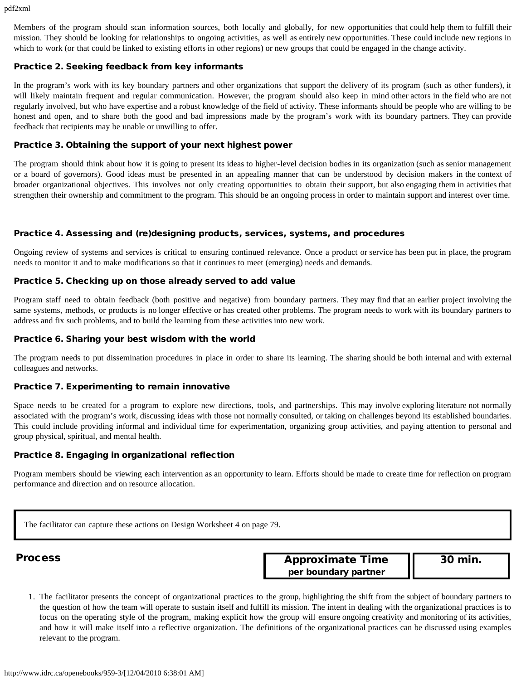Members of the program should scan information sources, both locally and globally, for new opportunities that could help them to fulfill their mission. They should be looking for relationships to ongoing activities, as well as entirely new opportunities. These could include new regions in which to work (or that could be linked to existing efforts in other regions) or new groups that could be engaged in the change activity.

#### Practice 2. Seeking feedback from key informants

In the program's work with its key boundary partners and other organizations that support the delivery of its program (such as other funders), it will likely maintain frequent and regular communication. However, the program should also keep in mind other actors in the field who are not regularly involved, but who have expertise and a robust knowledge of the field of activity. These informants should be people who are willing to be honest and open, and to share both the good and bad impressions made by the program's work with its boundary partners. They can provide feedback that recipients may be unable or unwilling to offer.

#### Practice 3. Obtaining the support of your next highest power

The program should think about how it is going to present its ideas to higher-level decision bodies in its organization (such as senior management or a board of governors). Good ideas must be presented in an appealing manner that can be understood by decision makers in the context of broader organizational objectives. This involves not only creating opportunities to obtain their support, but also engaging them in activities that strengthen their ownership and commitment to the program. This should be an ongoing process in order to maintain support and interest over time.

#### Practice 4. Assessing and (re)designing products, services, systems, and procedures

Ongoing review of systems and services is critical to ensuring continued relevance. Once a product or service has been put in place, the program needs to monitor it and to make modifications so that it continues to meet (emerging) needs and demands.

#### Practice 5. Checking up on those already served to add value

Program staff need to obtain feedback (both positive and negative) from boundary partners. They may find that an earlier project involving the same systems, methods, or products is no longer effective or has created other problems. The program needs to work with its boundary partners to address and fix such problems, and to build the learning from these activities into new work.

#### Practice 6. Sharing your best wisdom with the world

The program needs to put dissemination procedures in place in order to share its learning. The sharing should be both internal and with external colleagues and networks.

#### Practice 7. Experimenting to remain innovative

Space needs to be created for a program to explore new directions, tools, and partnerships. This may involve exploring literature not normally associated with the program's work, discussing ideas with those not normally consulted, or taking on challenges beyond its established boundaries. This could include providing informal and individual time for experimentation, organizing group activities, and paying attention to personal and group physical, spiritual, and mental health.

#### Practice 8. Engaging in organizational reflection

Program members should be viewing each intervention as an opportunity to learn. Efforts should be made to create time for reflection on program performance and direction and on resource allocation.

The facilitator can capture these actions on Design Worksheet 4 on page 79.

Process **Approximate Time** per boundary partner

30 min.

1. The facilitator presents the concept of organizational practices to the group, highlighting the shift from the subject of boundary partners to the question of how the team will operate to sustain itself and fulfill its mission. The intent in dealing with the organizational practices is to focus on the operating style of the program, making explicit how the group will ensure ongoing creativity and monitoring of its activities, and how it will make itself into a reflective organization. The definitions of the organizational practices can be discussed using examples relevant to the program.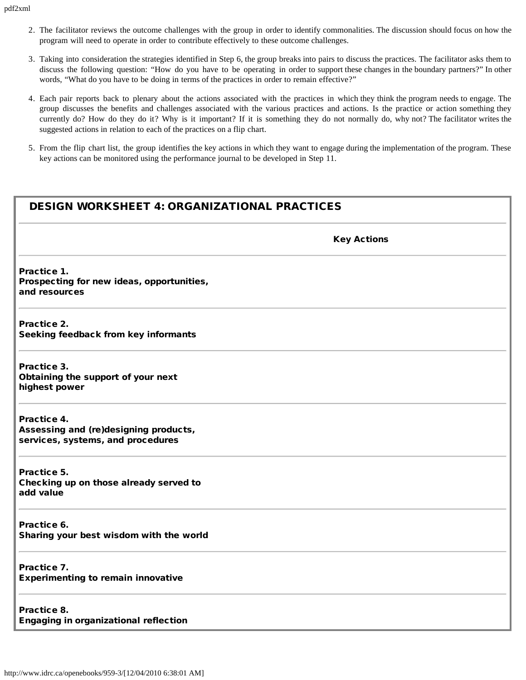- 2. The facilitator reviews the outcome challenges with the group in order to identify commonalities. The discussion should focus on how the program will need to operate in order to contribute effectively to these outcome challenges.
- 3. Taking into consideration the strategies identified in Step 6, the group breaks into pairs to discuss the practices. The facilitator asks them to discuss the following question: "How do you have to be operating in order to support these changes in the boundary partners?" In other words, "What do you have to be doing in terms of the practices in order to remain effective?"
- 4. Each pair reports back to plenary about the actions associated with the practices in which they think the program needs to engage. The group discusses the benefits and challenges associated with the various practices and actions. Is the practice or action something they currently do? How do they do it? Why is it important? If it is something they do not normally do, why not? The facilitator writes the suggested actions in relation to each of the practices on a flip chart.
- 5. From the flip chart list, the group identifies the key actions in which they want to engage during the implementation of the program. These key actions can be monitored using the performance journal to be developed in Step 11.

| <b>DESIGN WORKSHEET 4: ORGANIZATIONAL PRACTICES</b>                                       |
|-------------------------------------------------------------------------------------------|
| <b>Key Actions</b>                                                                        |
| Practice 1.<br>Prospecting for new ideas, opportunities,<br>and resources                 |
| Practice 2.<br>Seeking feedback from key informants                                       |
| Practice 3.<br>Obtaining the support of your next<br>highest power                        |
| Practice 4.<br>Assessing and (re)designing products,<br>services, systems, and procedures |
| Practice 5.<br>Checking up on those already served to<br>add value                        |
| Practice 6.<br>Sharing your best wisdom with the world                                    |
| Practice 7.<br><b>Experimenting to remain innovative</b>                                  |
| Practice 8.<br><b>Engaging in organizational reflection</b>                               |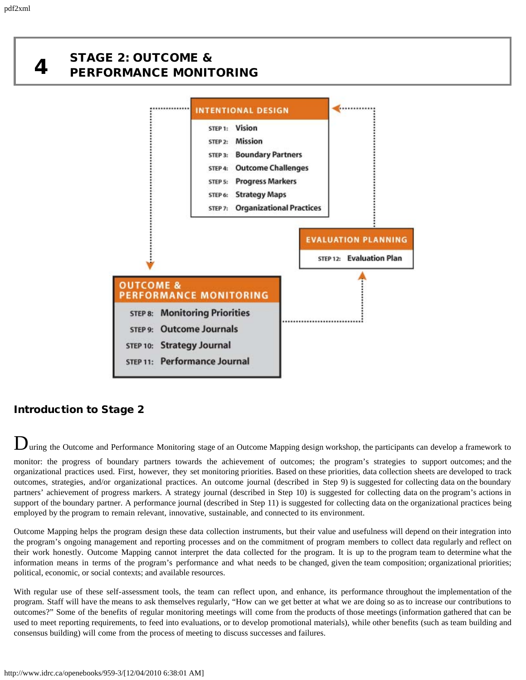# **4** STAGE 2: OUTCOME &<br>**4** PERFORMANCE MONITORING



# Introduction to Stage 2

 $D$ uring the Outcome and Performance Monitoring stage of an Outcome Mapping design workshop, the participants can develop a framework to

monitor: the progress of boundary partners towards the achievement of outcomes; the program's strategies to support outcomes; and the organizational practices used. First, however, they set monitoring priorities. Based on these priorities, data collection sheets are developed to track outcomes, strategies, and/or organizational practices. An outcome journal (described in Step 9) is suggested for collecting data on the boundary partners' achievement of progress markers. A strategy journal (described in Step 10) is suggested for collecting data on the program's actions in support of the boundary partner. A performance journal (described in Step 11) is suggested for collecting data on the organizational practices being employed by the program to remain relevant, innovative, sustainable, and connected to its environment.

Outcome Mapping helps the program design these data collection instruments, but their value and usefulness will depend on their integration into the program's ongoing management and reporting processes and on the commitment of program members to collect data regularly and reflect on their work honestly. Outcome Mapping cannot interpret the data collected for the program. It is up to the program team to determine what the information means in terms of the program's performance and what needs to be changed, given the team composition; organizational priorities; political, economic, or social contexts; and available resources.

With regular use of these self-assessment tools, the team can reflect upon, and enhance, its performance throughout the implementation of the program. Staff will have the means to ask themselves regularly, "How can we get better at what we are doing so as to increase our contributions to outcomes?" Some of the benefits of regular monitoring meetings will come from the products of those meetings (information gathered that can be used to meet reporting requirements, to feed into evaluations, or to develop promotional materials), while other benefits (such as team building and consensus building) will come from the process of meeting to discuss successes and failures.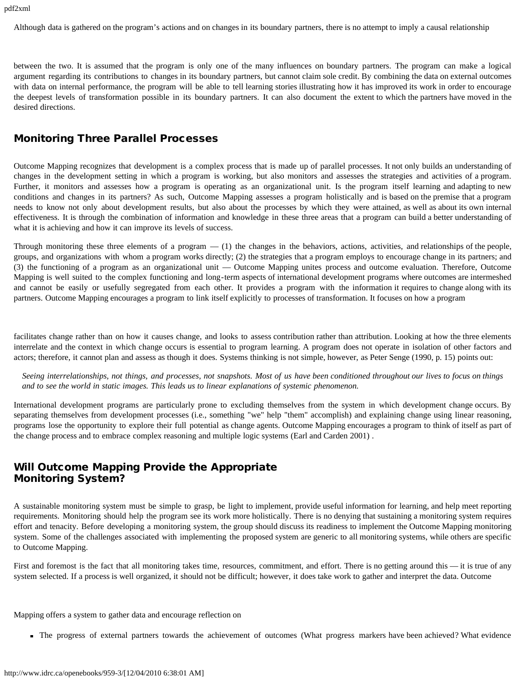Although data is gathered on the program's actions and on changes in its boundary partners, there is no attempt to imply a causal relationship

between the two. It is assumed that the program is only one of the many influences on boundary partners. The program can make a logical argument regarding its contributions to changes in its boundary partners, but cannot claim sole credit. By combining the data on external outcomes with data on internal performance, the program will be able to tell learning stories illustrating how it has improved its work in order to encourage the deepest levels of transformation possible in its boundary partners. It can also document the extent to which the partners have moved in the desired directions.

## Monitoring Three Parallel Processes

Outcome Mapping recognizes that development is a complex process that is made up of parallel processes. It not only builds an understanding of changes in the development setting in which a program is working, but also monitors and assesses the strategies and activities of a program. Further, it monitors and assesses how a program is operating as an organizational unit. Is the program itself learning and adapting to new conditions and changes in its partners? As such, Outcome Mapping assesses a program holistically and is based on the premise that a program needs to know not only about development results, but also about the processes by which they were attained, as well as about its own internal effectiveness. It is through the combination of information and knowledge in these three areas that a program can build a better understanding of what it is achieving and how it can improve its levels of success.

Through monitoring these three elements of a program — (1) the changes in the behaviors, actions, activities, and relationships of the people, groups, and organizations with whom a program works directly; (2) the strategies that a program employs to encourage change in its partners; and (3) the functioning of a program as an organizational unit — Outcome Mapping unites process and outcome evaluation. Therefore, Outcome Mapping is well suited to the complex functioning and long-term aspects of international development programs where outcomes are intermeshed and cannot be easily or usefully segregated from each other. It provides a program with the information it requires to change along with its partners. Outcome Mapping encourages a program to link itself explicitly to processes of transformation. It focuses on how a program

facilitates change rather than on how it causes change, and looks to assess contribution rather than attribution. Looking at how the three elements interrelate and the context in which change occurs is essential to program learning. A program does not operate in isolation of other factors and actors; therefore, it cannot plan and assess as though it does. Systems thinking is not simple, however, as Peter Senge (1990, p. 15) points out:

*Seeing interrelationships, not things, and processes, not snapshots. Most of us have been conditioned throughout our lives to focus on things and to see the world in static images. This leads us to linear explanations of systemic phenomenon.*

International development programs are particularly prone to excluding themselves from the system in which development change occurs. By separating themselves from development processes (i.e., something "we" help "them" accomplish) and explaining change using linear reasoning, programs lose the opportunity to explore their full potential as change agents. Outcome Mapping encourages a program to think of itself as part of the change process and to embrace complex reasoning and multiple logic systems (Earl and Carden 2001) .

## Will Outcome Mapping Provide the Appropriate Monitoring System?

A sustainable monitoring system must be simple to grasp, be light to implement, provide useful information for learning, and help meet reporting requirements. Monitoring should help the program see its work more holistically. There is no denying that sustaining a monitoring system requires effort and tenacity. Before developing a monitoring system, the group should discuss its readiness to implement the Outcome Mapping monitoring system. Some of the challenges associated with implementing the proposed system are generic to all monitoring systems, while others are specific to Outcome Mapping.

First and foremost is the fact that all monitoring takes time, resources, commitment, and effort. There is no getting around this — it is true of any system selected. If a process is well organized, it should not be difficult; however, it does take work to gather and interpret the data. Outcome

Mapping offers a system to gather data and encourage reflection on

The progress of external partners towards the achievement of outcomes (What progress markers have been achieved? What evidence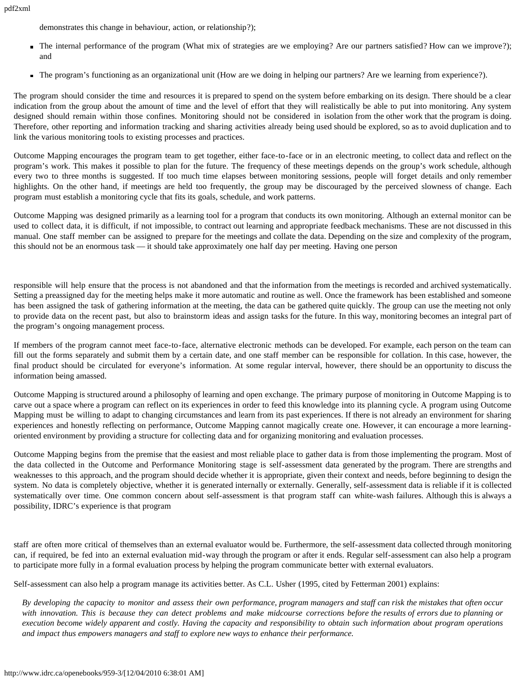demonstrates this change in behaviour, action, or relationship?);

- The internal performance of the program (What mix of strategies are we employing? Are our partners satisfied? How can we improve?);  $\blacksquare$ and
- The program's functioning as an organizational unit (How are we doing in helping our partners? Are we learning from experience?).

The program should consider the time and resources it is prepared to spend on the system before embarking on its design. There should be a clear indication from the group about the amount of time and the level of effort that they will realistically be able to put into monitoring. Any system designed should remain within those confines. Monitoring should not be considered in isolation from the other work that the program is doing. Therefore, other reporting and information tracking and sharing activities already being used should be explored, so as to avoid duplication and to link the various monitoring tools to existing processes and practices.

Outcome Mapping encourages the program team to get together, either face-to-face or in an electronic meeting, to collect data and reflect on the program's work. This makes it possible to plan for the future. The frequency of these meetings depends on the group's work schedule, although every two to three months is suggested. If too much time elapses between monitoring sessions, people will forget details and only remember highlights. On the other hand, if meetings are held too frequently, the group may be discouraged by the perceived slowness of change. Each program must establish a monitoring cycle that fits its goals, schedule, and work patterns.

Outcome Mapping was designed primarily as a learning tool for a program that conducts its own monitoring. Although an external monitor can be used to collect data, it is difficult, if not impossible, to contract out learning and appropriate feedback mechanisms. These are not discussed in this manual. One staff member can be assigned to prepare for the meetings and collate the data. Depending on the size and complexity of the program, this should not be an enormous task — it should take approximately one half day per meeting. Having one person

responsible will help ensure that the process is not abandoned and that the information from the meetings is recorded and archived systematically. Setting a preassigned day for the meeting helps make it more automatic and routine as well. Once the framework has been established and someone has been assigned the task of gathering information at the meeting, the data can be gathered quite quickly. The group can use the meeting not only to provide data on the recent past, but also to brainstorm ideas and assign tasks for the future. In this way, monitoring becomes an integral part of the program's ongoing management process.

If members of the program cannot meet face-to-face, alternative electronic methods can be developed. For example, each person on the team can fill out the forms separately and submit them by a certain date, and one staff member can be responsible for collation. In this case, however, the final product should be circulated for everyone's information. At some regular interval, however, there should be an opportunity to discuss the information being amassed.

Outcome Mapping is structured around a philosophy of learning and open exchange. The primary purpose of monitoring in Outcome Mapping is to carve out a space where a program can reflect on its experiences in order to feed this knowledge into its planning cycle. A program using Outcome Mapping must be willing to adapt to changing circumstances and learn from its past experiences. If there is not already an environment for sharing experiences and honestly reflecting on performance, Outcome Mapping cannot magically create one. However, it can encourage a more learningoriented environment by providing a structure for collecting data and for organizing monitoring and evaluation processes.

Outcome Mapping begins from the premise that the easiest and most reliable place to gather data is from those implementing the program. Most of the data collected in the Outcome and Performance Monitoring stage is self-assessment data generated by the program. There are strengths and weaknesses to this approach, and the program should decide whether it is appropriate, given their context and needs, before beginning to design the system. No data is completely objective, whether it is generated internally or externally. Generally, self-assessment data is reliable if it is collected systematically over time. One common concern about self-assessment is that program staff can white-wash failures. Although this is always a possibility, IDRC's experience is that program

staff are often more critical of themselves than an external evaluator would be. Furthermore, the self-assessment data collected through monitoring can, if required, be fed into an external evaluation mid-way through the program or after it ends. Regular self-assessment can also help a program to participate more fully in a formal evaluation process by helping the program communicate better with external evaluators.

Self-assessment can also help a program manage its activities better. As C.L. Usher (1995, cited by Fetterman 2001) explains:

*By developing the capacity to monitor and assess their own performance, program managers and staff can risk the mistakes that often occur with innovation. This is because they can detect problems and make midcourse corrections before the results of errors due to planning or execution become widely apparent and costly. Having the capacity and responsibility to obtain such information about program operations and impact thus empowers managers and staff to explore new ways to enhance their performance.*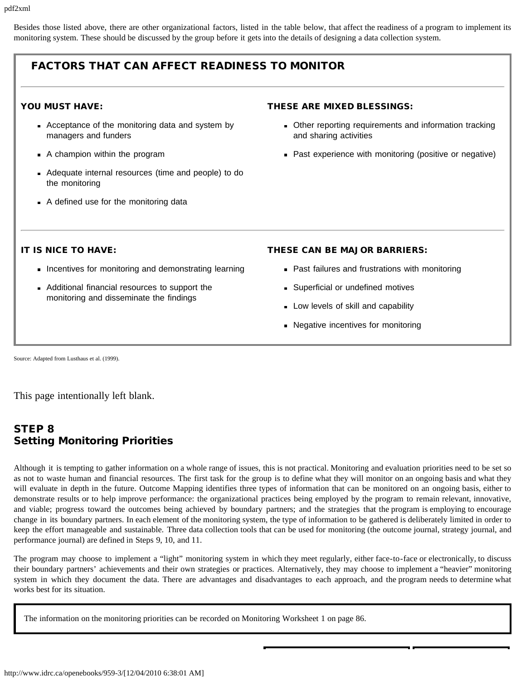Besides those listed above, there are other organizational factors, listed in the table below, that affect the readiness of a program to implement its monitoring system. These should be discussed by the group before it gets into the details of designing a data collection system.

# FACTORS THAT CAN AFFECT READINESS TO MONITOR

#### YOU MUST HAVE:

- Acceptance of the monitoring data and system by managers and funders
- A champion within the program
- Adequate internal resources (time and people) to do the monitoring
- A defined use for the monitoring data

#### THESE ARE MIXED BLESSINGS:

- Other reporting requirements and information tracking and sharing activities
- **Past experience with monitoring (positive or negative)**

### IT IS NICE TO HAVE:

- **Incentives for monitoring and demonstrating learning**
- Additional financial resources to support the monitoring and disseminate the findings
- THESE CAN BE MAJOR BARRIERS:
	- **Past failures and frustrations with monitoring**
	- Superficial or undefined motives
	- **Low levels of skill and capability**
	- **Negative incentives for monitoring**

Source: Adapted from Lusthaus et al. (1999).

This page intentionally left blank.

# STEP 8 Setting Monitoring Priorities

Although it is tempting to gather information on a whole range of issues, this is not practical. Monitoring and evaluation priorities need to be set so as not to waste human and financial resources. The first task for the group is to define what they will monitor on an ongoing basis and what they will evaluate in depth in the future. Outcome Mapping identifies three types of information that can be monitored on an ongoing basis, either to demonstrate results or to help improve performance: the organizational practices being employed by the program to remain relevant, innovative, and viable; progress toward the outcomes being achieved by boundary partners; and the strategies that the program is employing to encourage change in its boundary partners. In each element of the monitoring system, the type of information to be gathered is deliberately limited in order to keep the effort manageable and sustainable. Three data collection tools that can be used for monitoring (the outcome journal, strategy journal, and performance journal) are defined in Steps 9, 10, and 11.

The program may choose to implement a "light" monitoring system in which they meet regularly, either face-to-face or electronically, to discuss their boundary partners' achievements and their own strategies or practices. Alternatively, they may choose to implement a "heavier" monitoring system in which they document the data. There are advantages and disadvantages to each approach, and the program needs to determine what works best for its situation.

The information on the monitoring priorities can be recorded on Monitoring Worksheet 1 on page 86.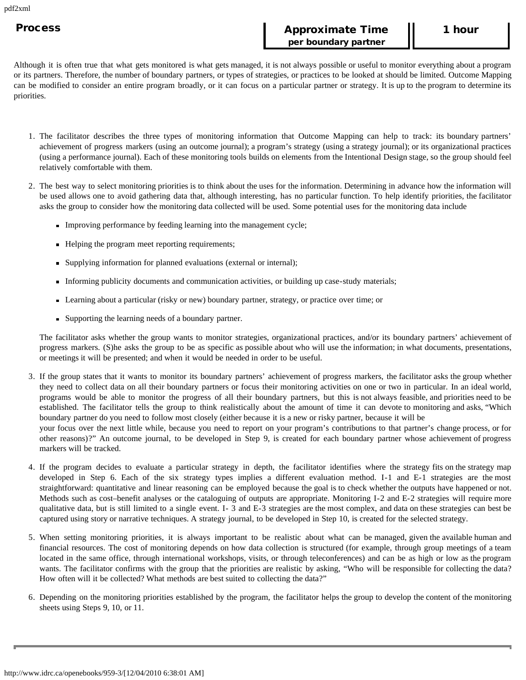Although it is often true that what gets monitored is what gets managed, it is not always possible or useful to monitor everything about a program or its partners. Therefore, the number of boundary partners, or types of strategies, or practices to be looked at should be limited. Outcome Mapping can be modified to consider an entire program broadly, or it can focus on a particular partner or strategy. It is up to the program to determine its priorities.

- 1. The facilitator describes the three types of monitoring information that Outcome Mapping can help to track: its boundary partners' achievement of progress markers (using an outcome journal); a program's strategy (using a strategy journal); or its organizational practices (using a performance journal). Each of these monitoring tools builds on elements from the Intentional Design stage, so the group should feel relatively comfortable with them.
- 2. The best way to select monitoring priorities is to think about the uses for the information. Determining in advance how the information will be used allows one to avoid gathering data that, although interesting, has no particular function. To help identify priorities, the facilitator asks the group to consider how the monitoring data collected will be used. Some potential uses for the monitoring data include
	- Improving performance by feeding learning into the management cycle;
	- Helping the program meet reporting requirements;
	- Supplying information for planned evaluations (external or internal);
	- Informing publicity documents and communication activities, or building up case-study materials;
	- Learning about a particular (risky or new) boundary partner, strategy, or practice over time; or
	- Supporting the learning needs of a boundary partner.

The facilitator asks whether the group wants to monitor strategies, organizational practices, and/or its boundary partners' achievement of progress markers. (S)he asks the group to be as specific as possible about who will use the information; in what documents, presentations, or meetings it will be presented; and when it would be needed in order to be useful.

- 3. If the group states that it wants to monitor its boundary partners' achievement of progress markers, the facilitator asks the group whether they need to collect data on all their boundary partners or focus their monitoring activities on one or two in particular. In an ideal world, programs would be able to monitor the progress of all their boundary partners, but this is not always feasible, and priorities need to be established. The facilitator tells the group to think realistically about the amount of time it can devote to monitoring and asks, "Which boundary partner do you need to follow most closely (either because it is a new or risky partner, because it will be your focus over the next little while, because you need to report on your program's contributions to that partner's change process, or for other reasons)?" An outcome journal, to be developed in Step 9, is created for each boundary partner whose achievement of progress markers will be tracked.
- 4. If the program decides to evaluate a particular strategy in depth, the facilitator identifies where the strategy fits on the strategy map developed in Step 6. Each of the six strategy types implies a different evaluation method. I-1 and E-1 strategies are the most straightforward: quantitative and linear reasoning can be employed because the goal is to check whether the outputs have happened or not. Methods such as cost–benefit analyses or the cataloguing of outputs are appropriate. Monitoring I-2 and E-2 strategies will require more qualitative data, but is still limited to a single event. I- 3 and E-3 strategies are the most complex, and data on these strategies can best be captured using story or narrative techniques. A strategy journal, to be developed in Step 10, is created for the selected strategy.
- 5. When setting monitoring priorities, it is always important to be realistic about what can be managed, given the available human and financial resources. The cost of monitoring depends on how data collection is structured (for example, through group meetings of a team located in the same office, through international workshops, visits, or through teleconferences) and can be as high or low as the program wants. The facilitator confirms with the group that the priorities are realistic by asking, "Who will be responsible for collecting the data? How often will it be collected? What methods are best suited to collecting the data?"
- 6. Depending on the monitoring priorities established by the program, the facilitator helps the group to develop the content of the monitoring sheets using Steps 9, 10, or 11.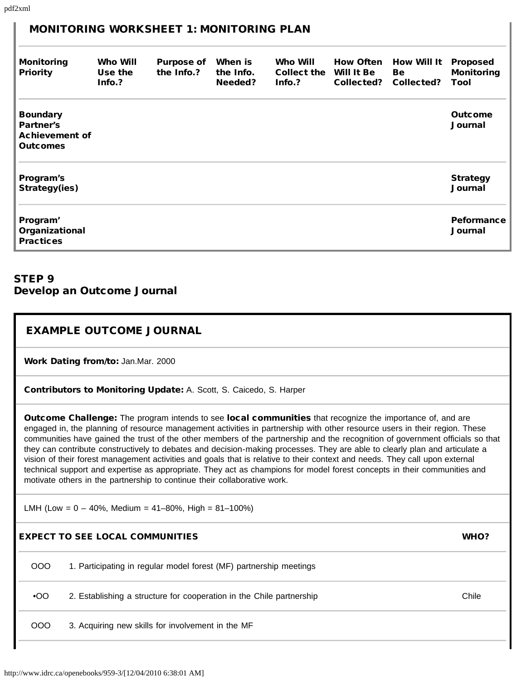| <b>Monitoring</b><br><b>Priority</b>                                     | <b>Who Will</b><br>Use the<br>Info.? | <b>Purpose of</b><br>the Info.? | When is<br>the Info.<br>Needed? | <b>Who Will</b><br><b>Collect the</b><br>Info.? | Will It Be | How Often How Will It<br>Be<br>Collected? Collected? | <b>Proposed</b><br><b>Monitoring</b><br><b>Tool</b> |
|--------------------------------------------------------------------------|--------------------------------------|---------------------------------|---------------------------------|-------------------------------------------------|------------|------------------------------------------------------|-----------------------------------------------------|
| <b>Boundary</b><br>Partner's<br><b>Achievement of</b><br><b>Outcomes</b> |                                      |                                 |                                 |                                                 |            |                                                      | Outcome<br><b>Journal</b>                           |
| Program's<br>Strategy(ies)                                               |                                      |                                 |                                 |                                                 |            |                                                      | <b>Strategy</b><br><b>Journal</b>                   |
| Program'<br>Organizational<br><b>Practices</b>                           |                                      |                                 |                                 |                                                 |            |                                                      | <b>Peformance</b><br><b>Journal</b>                 |

# STEP 9 Develop an Outcome Journal

| <b>EXAMPLE OUTCOME JOURNAL</b>                                                                                                                                                                                                                                                                                                                                                                                                                                                                                                                                                                                                                                                                                                                                                                                                                               |                                                                           |       |  |  |  |
|--------------------------------------------------------------------------------------------------------------------------------------------------------------------------------------------------------------------------------------------------------------------------------------------------------------------------------------------------------------------------------------------------------------------------------------------------------------------------------------------------------------------------------------------------------------------------------------------------------------------------------------------------------------------------------------------------------------------------------------------------------------------------------------------------------------------------------------------------------------|---------------------------------------------------------------------------|-------|--|--|--|
|                                                                                                                                                                                                                                                                                                                                                                                                                                                                                                                                                                                                                                                                                                                                                                                                                                                              | Work Dating from/to: Jan.Mar. 2000                                        |       |  |  |  |
|                                                                                                                                                                                                                                                                                                                                                                                                                                                                                                                                                                                                                                                                                                                                                                                                                                                              | <b>Contributors to Monitoring Update: A. Scott, S. Caicedo, S. Harper</b> |       |  |  |  |
| <b>Outcome Challenge:</b> The program intends to see <b>local communities</b> that recognize the importance of, and are<br>engaged in, the planning of resource management activities in partnership with other resource users in their region. These<br>communities have gained the trust of the other members of the partnership and the recognition of government officials so that<br>they can contribute constructively to debates and decision-making processes. They are able to clearly plan and articulate a<br>vision of their forest management activities and goals that is relative to their context and needs. They call upon external<br>technical support and expertise as appropriate. They act as champions for model forest concepts in their communities and<br>motivate others in the partnership to continue their collaborative work. |                                                                           |       |  |  |  |
|                                                                                                                                                                                                                                                                                                                                                                                                                                                                                                                                                                                                                                                                                                                                                                                                                                                              | LMH (Low = $0 - 40\%$ , Medium = 41-80%, High = 81-100%)                  |       |  |  |  |
|                                                                                                                                                                                                                                                                                                                                                                                                                                                                                                                                                                                                                                                                                                                                                                                                                                                              | <b>EXPECT TO SEE LOCAL COMMUNITIES</b><br>WHO?                            |       |  |  |  |
| 000                                                                                                                                                                                                                                                                                                                                                                                                                                                                                                                                                                                                                                                                                                                                                                                                                                                          | 1. Participating in regular model forest (MF) partnership meetings        |       |  |  |  |
| $\cdot$ OO                                                                                                                                                                                                                                                                                                                                                                                                                                                                                                                                                                                                                                                                                                                                                                                                                                                   | 2. Establishing a structure for cooperation in the Chile partnership      | Chile |  |  |  |
| OOO                                                                                                                                                                                                                                                                                                                                                                                                                                                                                                                                                                                                                                                                                                                                                                                                                                                          | 3. Acquiring new skills for involvement in the MF                         |       |  |  |  |
|                                                                                                                                                                                                                                                                                                                                                                                                                                                                                                                                                                                                                                                                                                                                                                                                                                                              |                                                                           |       |  |  |  |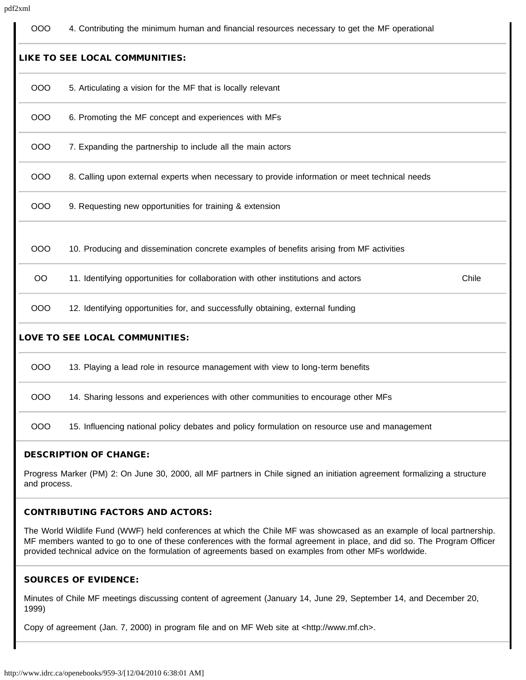| 000             | 4. Contributing the minimum human and financial resources necessary to get the MF operational                                                                                                                                                                                                                                                               |  |  |  |  |
|-----------------|-------------------------------------------------------------------------------------------------------------------------------------------------------------------------------------------------------------------------------------------------------------------------------------------------------------------------------------------------------------|--|--|--|--|
|                 | LIKE TO SEE LOCAL COMMUNITIES:                                                                                                                                                                                                                                                                                                                              |  |  |  |  |
| 000             | 5. Articulating a vision for the MF that is locally relevant                                                                                                                                                                                                                                                                                                |  |  |  |  |
| 000             | 6. Promoting the MF concept and experiences with MFs                                                                                                                                                                                                                                                                                                        |  |  |  |  |
| 000             | 7. Expanding the partnership to include all the main actors                                                                                                                                                                                                                                                                                                 |  |  |  |  |
| 000             | 8. Calling upon external experts when necessary to provide information or meet technical needs                                                                                                                                                                                                                                                              |  |  |  |  |
| 000             | 9. Requesting new opportunities for training & extension                                                                                                                                                                                                                                                                                                    |  |  |  |  |
|                 |                                                                                                                                                                                                                                                                                                                                                             |  |  |  |  |
| 000             | 10. Producing and dissemination concrete examples of benefits arising from MF activities                                                                                                                                                                                                                                                                    |  |  |  |  |
| $\overline{O}O$ | Chile<br>11. Identifying opportunities for collaboration with other institutions and actors                                                                                                                                                                                                                                                                 |  |  |  |  |
| 000             | 12. Identifying opportunities for, and successfully obtaining, external funding                                                                                                                                                                                                                                                                             |  |  |  |  |
|                 | <b>LOVE TO SEE LOCAL COMMUNITIES:</b>                                                                                                                                                                                                                                                                                                                       |  |  |  |  |
| 000             | 13. Playing a lead role in resource management with view to long-term benefits                                                                                                                                                                                                                                                                              |  |  |  |  |
| OOO             | 14. Sharing lessons and experiences with other communities to encourage other MFs                                                                                                                                                                                                                                                                           |  |  |  |  |
| 000             | 15. Influencing national policy debates and policy formulation on resource use and management                                                                                                                                                                                                                                                               |  |  |  |  |
|                 | <b>DESCRIPTION OF CHANGE:</b>                                                                                                                                                                                                                                                                                                                               |  |  |  |  |
|                 | Progress Marker (PM) 2: On June 30, 2000, all MF partners in Chile signed an initiation agreement formalizing a structure<br>and process.                                                                                                                                                                                                                   |  |  |  |  |
|                 | <b>CONTRIBUTING FACTORS AND ACTORS:</b>                                                                                                                                                                                                                                                                                                                     |  |  |  |  |
|                 | The World Wildlife Fund (WWF) held conferences at which the Chile MF was showcased as an example of local partnership.<br>MF members wanted to go to one of these conferences with the formal agreement in place, and did so. The Program Officer<br>provided technical advice on the formulation of agreements based on examples from other MFs worldwide. |  |  |  |  |

# SOURCES OF EVIDENCE:

Minutes of Chile MF meetings discussing content of agreement (January 14, June 29, September 14, and December 20, 1999)

Copy of agreement (Jan. 7, 2000) in program file and on MF Web site at <http://www.mf.ch>.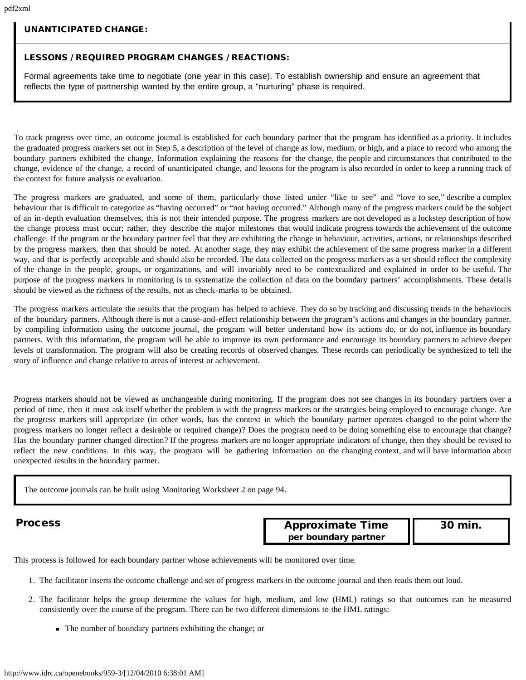#### UNANTICIPATED CHANGE:

#### LESSONS / REQUIRED PROGRAM CHANGES / REACTIONS:

Formal agreements take time to negotiate (one year in this case). To establish ownership and ensure an agreement that reflects the type of partnership wanted by the entire group, a "nurturing" phase is required.

To track progress over time, an outcome journal is established for each boundary partner that the program has identified as a priority. It includes the graduated progress markers set out in Step 5, a description of the level of change as low, medium, or high, and a place to record who among the boundary partners exhibited the change. Information explaining the reasons for the change, the people and circumstances that contributed to the change, evidence of the change, a record of unanticipated change, and lessons for the program is also recorded in order to keep a running track of the context for future analysis or evaluation.

The progress markers are graduated, and some of them, particularly those listed under "like to see" and "love to see," describe a complex behaviour that is difficult to categorize as "having occurred" or "not having occurred." Although many of the progress markers could be the subject of an in-depth evaluation themselves, this is not their intended purpose. The progress markers are not developed as a lockstep description of how the change process must occur; rather, they describe the major milestones that would indicate progress towards the achievement of the outcome challenge. If the program or the boundary partner feel that they are exhibiting the change in behaviour, activities, actions, or relationships described by the progress markers, then that should be noted. At another stage, they may exhibit the achievement of the same progress marker in a different way, and that is perfectly acceptable and should also be recorded. The data collected on the progress markers as a set should reflect the complexity of the change in the people, groups, or organizations, and will invariably need to be contextualized and explained in order to be useful. The purpose of the progress markers in monitoring is to systematize the collection of data on the boundary partners' accomplishments. These details should be viewed as the richness of the results, not as check-marks to be obtained.

The progress markers articulate the results that the program has helped to achieve. They do so by tracking and discussing trends in the behaviours of the boundary partners. Although there is not a cause-and-effect relationship between the program's actions and changes in the boundary partner, by compiling information using the outcome journal, the program will better understand how its actions do, or do not, influence its boundary partners. With this information, the program will be able to improve its own performance and encourage its boundary partners to achieve deeper levels of transformation. The program will also be creating records of observed changes. These records can periodically be synthesized to tell the story of influence and change relative to areas of interest or achievement.

Progress markers should not be viewed as unchangeable during monitoring. If the program does not see changes in its boundary partners over a period of time, then it must ask itself whether the problem is with the progress markers or the strategies being employed to encourage change. Are the progress markers still appropriate (in other words, has the context in which the boundary partner operates changed to the point where the progress markers no longer reflect a desirable or required change)? Does the program need to be doing something else to encourage that change? Has the boundary partner changed direction? If the progress markers are no longer appropriate indicators of change, then they should be revised to reflect the new conditions. In this way, the program will be gathering information on the changing context, and will have information about unexpected results in the boundary partner.

The outcome journals can be built using Monitoring Worksheet 2 on page 94.

Process **Approximate Time** per boundary partner

30 min.

This process is followed for each boundary partner whose achievements will be monitored over time.

- 1. The facilitator inserts the outcome challenge and set of progress markers in the outcome journal and then reads them out loud.
- 2. The facilitator helps the group determine the values for high, medium, and low (HML) ratings so that outcomes can be measured consistently over the course of the program. There can be two different dimensions to the HML ratings:
	- The number of boundary partners exhibiting the change; or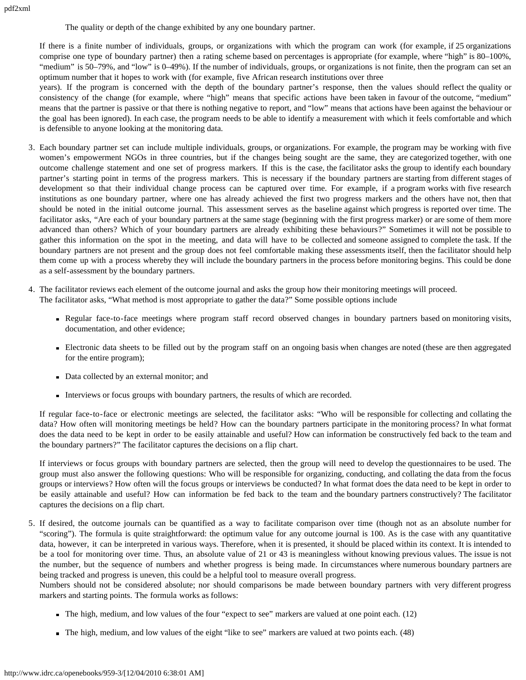The quality or depth of the change exhibited by any one boundary partner.

If there is a finite number of individuals, groups, or organizations with which the program can work (for example, if 25 organizations comprise one type of boundary partner) then a rating scheme based on percentages is appropriate (for example, where "high" is 80–100%, "medium" is 50–79%, and "low" is 0–49%). If the number of individuals, groups, or organizations is not finite, then the program can set an optimum number that it hopes to work with (for example, five African research institutions over three

years). If the program is concerned with the depth of the boundary partner's response, then the values should reflect the quality or consistency of the change (for example, where "high" means that specific actions have been taken in favour of the outcome, "medium" means that the partner is passive or that there is nothing negative to report, and "low" means that actions have been against the behaviour or the goal has been ignored). In each case, the program needs to be able to identify a measurement with which it feels comfortable and which is defensible to anyone looking at the monitoring data.

- 3. Each boundary partner set can include multiple individuals, groups, or organizations. For example, the program may be working with five women's empowerment NGOs in three countries, but if the changes being sought are the same, they are categorized together, with one outcome challenge statement and one set of progress markers. If this is the case, the facilitator asks the group to identify each boundary partner's starting point in terms of the progress markers. This is necessary if the boundary partners are starting from different stages of development so that their individual change process can be captured over time. For example, if a program works with five research institutions as one boundary partner, where one has already achieved the first two progress markers and the others have not, then that should be noted in the initial outcome journal. This assessment serves as the baseline against which progress is reported over time. The facilitator asks, "Are each of your boundary partners at the same stage (beginning with the first progress marker) or are some of them more advanced than others? Which of your boundary partners are already exhibiting these behaviours?" Sometimes it will not be possible to gather this information on the spot in the meeting, and data will have to be collected and someone assigned to complete the task. If the boundary partners are not present and the group does not feel comfortable making these assessments itself, then the facilitator should help them come up with a process whereby they will include the boundary partners in the process before monitoring begins. This could be done as a self-assessment by the boundary partners.
- 4. The facilitator reviews each element of the outcome journal and asks the group how their monitoring meetings will proceed. The facilitator asks, "What method is most appropriate to gather the data?" Some possible options include
	- Regular face-to-face meetings where program staff record observed changes in boundary partners based on monitoring visits, documentation, and other evidence;
	- Electronic data sheets to be filled out by the program staff on an ongoing basis when changes are noted (these are then aggregated for the entire program);
	- Data collected by an external monitor; and
	- Interviews or focus groups with boundary partners, the results of which are recorded.

If regular face-to-face or electronic meetings are selected, the facilitator asks: "Who will be responsible for collecting and collating the data? How often will monitoring meetings be held? How can the boundary partners participate in the monitoring process? In what format does the data need to be kept in order to be easily attainable and useful? How can information be constructively fed back to the team and the boundary partners?" The facilitator captures the decisions on a flip chart.

If interviews or focus groups with boundary partners are selected, then the group will need to develop the questionnaires to be used. The group must also answer the following questions: Who will be responsible for organizing, conducting, and collating the data from the focus groups or interviews? How often will the focus groups or interviews be conducted? In what format does the data need to be kept in order to be easily attainable and useful? How can information be fed back to the team and the boundary partners constructively? The facilitator captures the decisions on a flip chart.

5. If desired, the outcome journals can be quantified as a way to facilitate comparison over time (though not as an absolute number for "scoring"). The formula is quite straightforward: the optimum value for any outcome journal is 100. As is the case with any quantitative data, however, it can be interpreted in various ways. Therefore, when it is presented, it should be placed within its context. It is intended to be a tool for monitoring over time. Thus, an absolute value of 21 or 43 is meaningless without knowing previous values. The issue is not the number, but the sequence of numbers and whether progress is being made. In circumstances where numerous boundary partners are being tracked and progress is uneven, this could be a helpful tool to measure overall progress.

Numbers should not be considered absolute; nor should comparisons be made between boundary partners with very different progress markers and starting points. The formula works as follows:

- The high, medium, and low values of the four "expect to see" markers are valued at one point each. (12)
- The high, medium, and low values of the eight "like to see" markers are valued at two points each. (48)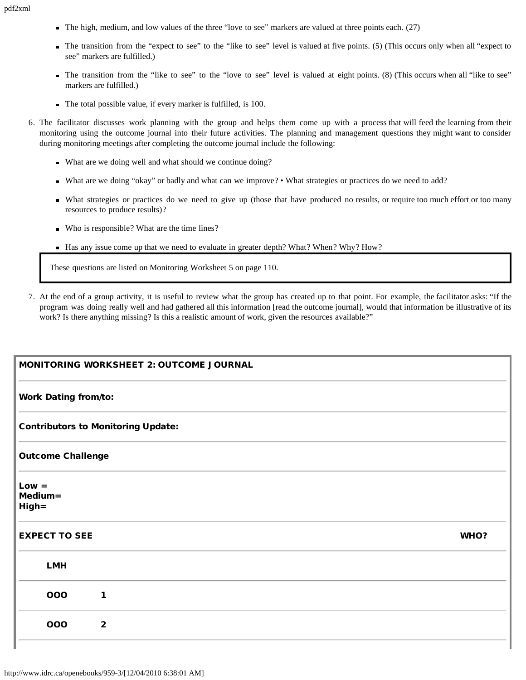- The high, medium, and low values of the three "love to see" markers are valued at three points each. (27)
- The transition from the "expect to see" to the "like to see" level is valued at five points. (5) (This occurs only when all "expect to see" markers are fulfilled.)
- The transition from the "like to see" to the "love to see" level is valued at eight points. (8) (This occurs when all "like to see" markers are fulfilled.)
- The total possible value, if every marker is fulfilled, is 100.
- 6. The facilitator discusses work planning with the group and helps them come up with a process that will feed the learning from their monitoring using the outcome journal into their future activities. The planning and management questions they might want to consider during monitoring meetings after completing the outcome journal include the following:
	- What are we doing well and what should we continue doing?
	- What are we doing "okay" or badly and what can we improve? What strategies or practices do we need to add?
	- What strategies or practices do we need to give up (those that have produced no results, or require too much effort or too many resources to produce results)?
	- Who is responsible? What are the time lines?
	- Has any issue come up that we need to evaluate in greater depth? What? When? Why? How?

These questions are listed on Monitoring Worksheet 5 on page 110.

7. At the end of a group activity, it is useful to review what the group has created up to that point. For example, the facilitator asks: "If the program was doing really well and had gathered all this information [read the outcome journal], would that information be illustrative of its work? Is there anything missing? Is this a realistic amount of work, given the resources available?"

| MONITORING WORKSHEET 2: OUTCOME JOURNAL   |                             |  |  |      |  |  |  |
|-------------------------------------------|-----------------------------|--|--|------|--|--|--|
|                                           | <b>Work Dating from/to:</b> |  |  |      |  |  |  |
| <b>Contributors to Monitoring Update:</b> |                             |  |  |      |  |  |  |
| <b>Outcome Challenge</b>                  |                             |  |  |      |  |  |  |
| $Low =$<br>Medium=<br>High=               |                             |  |  |      |  |  |  |
| <b>EXPECT TO SEE</b>                      |                             |  |  | WHO? |  |  |  |
| <b>LMH</b>                                |                             |  |  |      |  |  |  |
| 000                                       | 1                           |  |  |      |  |  |  |
| 000                                       | $\mathbf{2}$                |  |  |      |  |  |  |
|                                           |                             |  |  |      |  |  |  |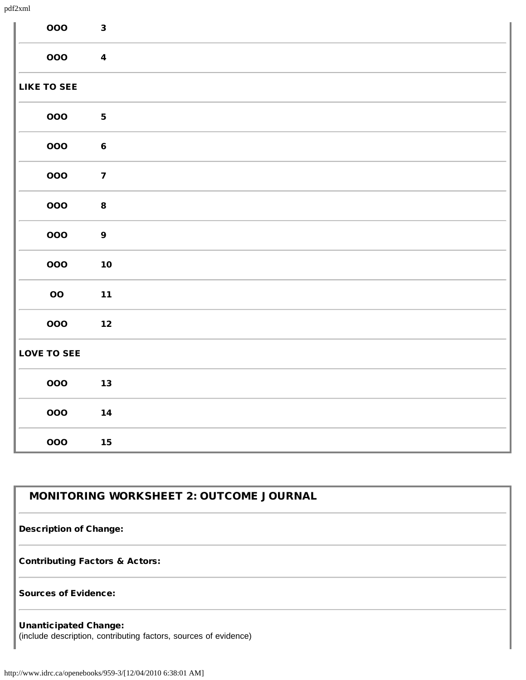| 000                    | $\mathbf{3}$            |
|------------------------|-------------------------|
| 000                    | $\boldsymbol{4}$        |
| <b>LIKE TO SEE</b>     |                         |
| 000                    | $\overline{\mathbf{5}}$ |
| 000                    | $\boldsymbol{6}$        |
| 000                    | $\overline{\mathbf{z}}$ |
| 000                    | 8                       |
| 000                    | 9                       |
| 000                    | $10$                    |
| $\mathbf{O}\mathbf{O}$ | $11$                    |
| 000                    | $12$                    |
| <b>LOVE TO SEE</b>     |                         |
| 000                    | 13                      |
| 000                    | $14$                    |
| 000                    | 15                      |

| <b>MONITORING WORKSHEET 2: OUTCOME JOURNAL</b>                                                   |  |
|--------------------------------------------------------------------------------------------------|--|
| <b>Description of Change:</b>                                                                    |  |
| <b>Contributing Factors &amp; Actors:</b>                                                        |  |
| <b>Sources of Evidence:</b>                                                                      |  |
| <b>Unanticipated Change:</b><br>(include description, contributing factors, sources of evidence) |  |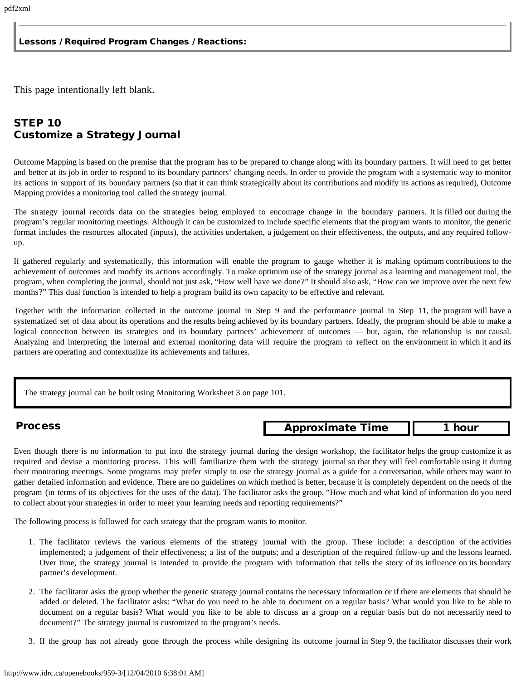## Lessons / Required Program Changes / Reactions:

This page intentionally left blank.

# STEP 10 Customize a Strategy Journal

Outcome Mapping is based on the premise that the program has to be prepared to change along with its boundary partners. It will need to get better and better at its job in order to respond to its boundary partners' changing needs. In order to provide the program with a systematic way to monitor its actions in support of its boundary partners (so that it can think strategically about its contributions and modify its actions as required), Outcome Mapping provides a monitoring tool called the strategy journal.

The strategy journal records data on the strategies being employed to encourage change in the boundary partners. It is filled out during the program's regular monitoring meetings. Although it can be customized to include specific elements that the program wants to monitor, the generic format includes the resources allocated (inputs), the activities undertaken, a judgement on their effectiveness, the outputs, and any required followup.

If gathered regularly and systematically, this information will enable the program to gauge whether it is making optimum contributions to the achievement of outcomes and modify its actions accordingly. To make optimum use of the strategy journal as a learning and management tool, the program, when completing the journal, should not just ask, "How well have we done?" It should also ask, "How can we improve over the next few months?" This dual function is intended to help a program build its own capacity to be effective and relevant.

Together with the information collected in the outcome journal in Step 9 and the performance journal in Step 11, the program will have a systematized set of data about its operations and the results being achieved by its boundary partners. Ideally, the program should be able to make a logical connection between its strategies and its boundary partners' achievement of outcomes — but, again, the relationship is not causal. Analyzing and interpreting the internal and external monitoring data will require the program to reflect on the environment in which it and its partners are operating and contextualize its achievements and failures.

The strategy journal can be built using Monitoring Worksheet 3 on page 101.

Process **Approximate Time 1 hour** 

Even though there is no information to put into the strategy journal during the design workshop, the facilitator helps the group customize it as required and devise a monitoring process. This will familiarize them with the strategy journal so that they will feel comfortable using it during their monitoring meetings. Some programs may prefer simply to use the strategy journal as a guide for a conversation, while others may want to gather detailed information and evidence. There are no guidelines on which method is better, because it is completely dependent on the needs of the program (in terms of its objectives for the uses of the data). The facilitator asks the group, "How much and what kind of information do you need to collect about your strategies in order to meet your learning needs and reporting requirements?"

The following process is followed for each strategy that the program wants to monitor.

- 1. The facilitator reviews the various elements of the strategy journal with the group. These include: a description of the activities implemented; a judgement of their effectiveness; a list of the outputs; and a description of the required follow-up and the lessons learned. Over time, the strategy journal is intended to provide the program with information that tells the story of its influence on its boundary partner's development.
- 2. The facilitator asks the group whether the generic strategy journal contains the necessary information or if there are elements that should be added or deleted. The facilitator asks: "What do you need to be able to document on a regular basis? What would you like to be able to document on a regular basis? What would you like to be able to discuss as a group on a regular basis but do not necessarily need to document?" The strategy journal is customized to the program's needs.
- 3. If the group has not already gone through the process while designing its outcome journal in Step 9, the facilitator discusses their work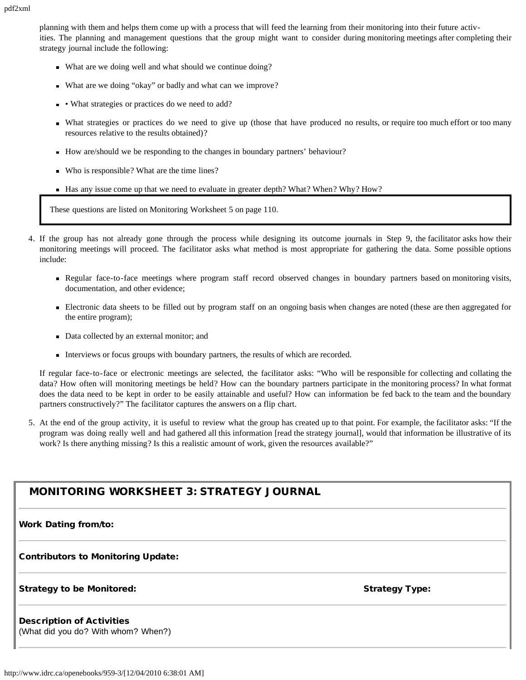planning with them and helps them come up with a process that will feed the learning from their monitoring into their future activities. The planning and management questions that the group might want to consider during monitoring meetings after completing their strategy journal include the following:

- What are we doing well and what should we continue doing?
- What are we doing "okay" or badly and what can we improve?
- What strategies or practices do we need to add?
- What strategies or practices do we need to give up (those that have produced no results, or require too much effort or too many resources relative to the results obtained)?
- How are/should we be responding to the changes in boundary partners' behaviour?
- Who is responsible? What are the time lines?
- Has any issue come up that we need to evaluate in greater depth? What? When? Why? How?

These questions are listed on Monitoring Worksheet 5 on page 110.

- 4. If the group has not already gone through the process while designing its outcome journals in Step 9, the facilitator asks how their monitoring meetings will proceed. The facilitator asks what method is most appropriate for gathering the data. Some possible options include:
	- Regular face-to-face meetings where program staff record observed changes in boundary partners based on monitoring visits, documentation, and other evidence;
	- Electronic data sheets to be filled out by program staff on an ongoing basis when changes are noted (these are then aggregated for the entire program);
	- Data collected by an external monitor; and
	- Interviews or focus groups with boundary partners, the results of which are recorded.

If regular face-to-face or electronic meetings are selected, the facilitator asks: "Who will be responsible for collecting and collating the data? How often will monitoring meetings be held? How can the boundary partners participate in the monitoring process? In what format does the data need to be kept in order to be easily attainable and useful? How can information be fed back to the team and the boundary partners constructively?" The facilitator captures the answers on a flip chart.

5. At the end of the group activity, it is useful to review what the group has created up to that point. For example, the facilitator asks: "If the program was doing really well and had gathered all this information [read the strategy journal], would that information be illustrative of its work? Is there anything missing? Is this a realistic amount of work, given the resources available?"

# MONITORING WORKSHEET 3: STRATEGY JOURNAL

### Work Dating from/to:

### Contributors to Monitoring Update:

### Strategy to be Monitored: Strategy Type: Strategy Type: Strategy Type: Strategy Type:

#### Description of Activities (What did you do? With whom? When?)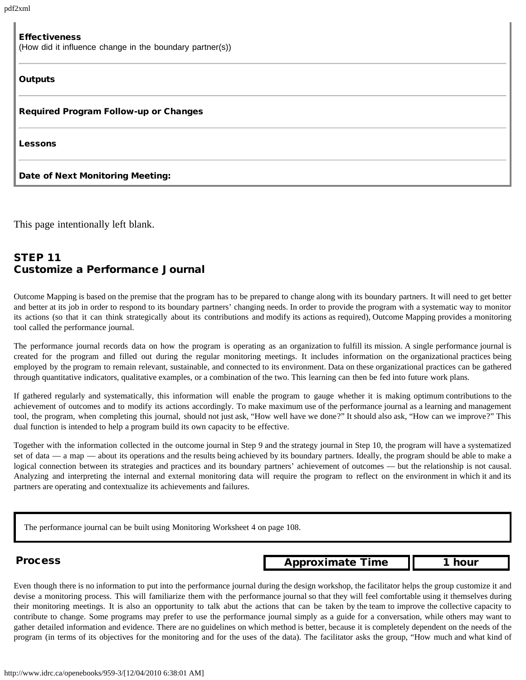# **Effectiveness** (How did it influence change in the boundary partner(s)) **Outputs** Required Program Follow-up or Changes Lessons Date of Next Monitoring Meeting:

This page intentionally left blank.

# STEP 11 Customize a Performance Journal

Outcome Mapping is based on the premise that the program has to be prepared to change along with its boundary partners. It will need to get better and better at its job in order to respond to its boundary partners' changing needs. In order to provide the program with a systematic way to monitor its actions (so that it can think strategically about its contributions and modify its actions as required), Outcome Mapping provides a monitoring tool called the performance journal.

The performance journal records data on how the program is operating as an organization to fulfill its mission. A single performance journal is created for the program and filled out during the regular monitoring meetings. It includes information on the organizational practices being employed by the program to remain relevant, sustainable, and connected to its environment. Data on these organizational practices can be gathered through quantitative indicators, qualitative examples, or a combination of the two. This learning can then be fed into future work plans.

If gathered regularly and systematically, this information will enable the program to gauge whether it is making optimum contributions to the achievement of outcomes and to modify its actions accordingly. To make maximum use of the performance journal as a learning and management tool, the program, when completing this journal, should not just ask, "How well have we done?" It should also ask, "How can we improve?" This dual function is intended to help a program build its own capacity to be effective.

Together with the information collected in the outcome journal in Step 9 and the strategy journal in Step 10, the program will have a systematized set of data — a map — about its operations and the results being achieved by its boundary partners. Ideally, the program should be able to make a logical connection between its strategies and practices and its boundary partners' achievement of outcomes — but the relationship is not causal. Analyzing and interpreting the internal and external monitoring data will require the program to reflect on the environment in which it and its partners are operating and contextualize its achievements and failures.

The performance journal can be built using Monitoring Worksheet 4 on page 108.

Process **Approximate Time 1 hour** 

Even though there is no information to put into the performance journal during the design workshop, the facilitator helps the group customize it and devise a monitoring process. This will familiarize them with the performance journal so that they will feel comfortable using it themselves during their monitoring meetings. It is also an opportunity to talk abut the actions that can be taken by the team to improve the collective capacity to contribute to change. Some programs may prefer to use the performance journal simply as a guide for a conversation, while others may want to gather detailed information and evidence. There are no guidelines on which method is better, because it is completely dependent on the needs of the program (in terms of its objectives for the monitoring and for the uses of the data). The facilitator asks the group, "How much and what kind of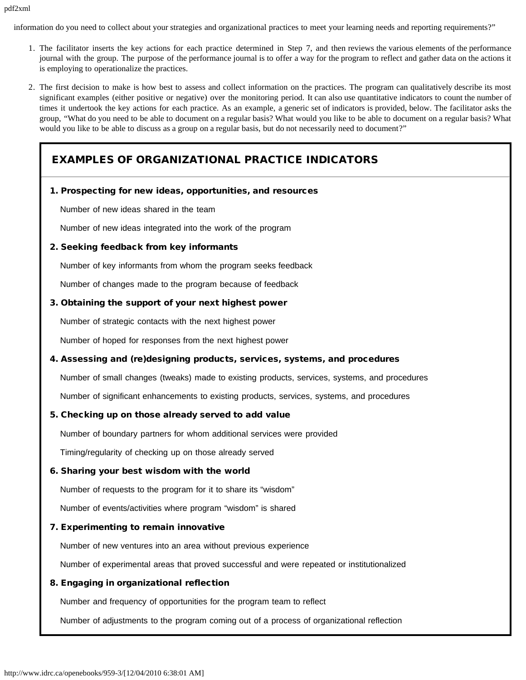information do you need to collect about your strategies and organizational practices to meet your learning needs and reporting requirements?"

- 1. The facilitator inserts the key actions for each practice determined in Step 7, and then reviews the various elements of the performance journal with the group. The purpose of the performance journal is to offer a way for the program to reflect and gather data on the actions it is employing to operationalize the practices.
- 2. The first decision to make is how best to assess and collect information on the practices. The program can qualitatively describe its most significant examples (either positive or negative) over the monitoring period. It can also use quantitative indicators to count the number of times it undertook the key actions for each practice. As an example, a generic set of indicators is provided, below. The facilitator asks the group, "What do you need to be able to document on a regular basis? What would you like to be able to document on a regular basis? What would you like to be able to discuss as a group on a regular basis, but do not necessarily need to document?"

# EXAMPLES OF ORGANIZATIONAL PRACTICE INDICATORS

### 1. Prospecting for new ideas, opportunities, and resources

Number of new ideas shared in the team

Number of new ideas integrated into the work of the program

#### 2. Seeking feedback from key informants

Number of key informants from whom the program seeks feedback

Number of changes made to the program because of feedback

### 3. Obtaining the support of your next highest power

Number of strategic contacts with the next highest power

Number of hoped for responses from the next highest power

### 4. Assessing and (re)designing products, services, systems, and procedures

Number of small changes (tweaks) made to existing products, services, systems, and procedures

Number of significant enhancements to existing products, services, systems, and procedures

#### 5. Checking up on those already served to add value

Number of boundary partners for whom additional services were provided

Timing/regularity of checking up on those already served

#### 6. Sharing your best wisdom with the world

Number of requests to the program for it to share its "wisdom"

Number of events/activities where program "wisdom" is shared

#### 7. Experimenting to remain innovative

Number of new ventures into an area without previous experience

Number of experimental areas that proved successful and were repeated or institutionalized

#### 8. Engaging in organizational reflection

Number and frequency of opportunities for the program team to reflect

Number of adjustments to the program coming out of a process of organizational reflection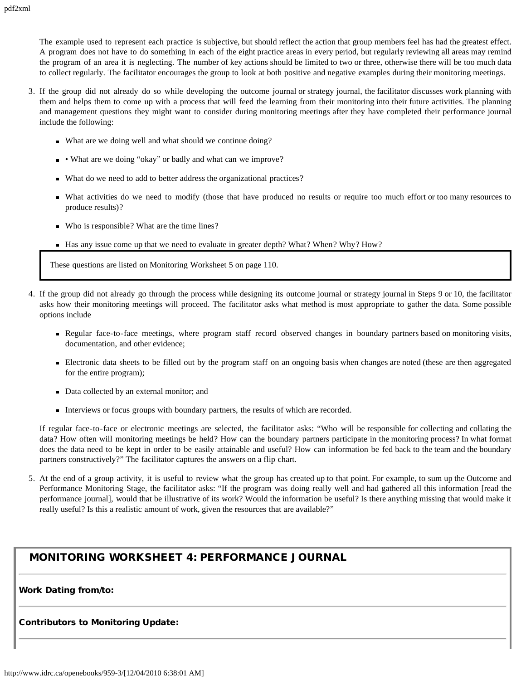The example used to represent each practice is subjective, but should reflect the action that group members feel has had the greatest effect. A program does not have to do something in each of the eight practice areas in every period, but regularly reviewing all areas may remind the program of an area it is neglecting. The number of key actions should be limited to two or three, otherwise there will be too much data to collect regularly. The facilitator encourages the group to look at both positive and negative examples during their monitoring meetings.

- 3. If the group did not already do so while developing the outcome journal or strategy journal, the facilitator discusses work planning with them and helps them to come up with a process that will feed the learning from their monitoring into their future activities. The planning and management questions they might want to consider during monitoring meetings after they have completed their performance journal include the following:
	- What are we doing well and what should we continue doing?
	- What are we doing "okay" or badly and what can we improve?
	- What do we need to add to better address the organizational practices?
	- What activities do we need to modify (those that have produced no results or require too much effort or too many resources to produce results)?
	- Who is responsible? What are the time lines?
	- Has any issue come up that we need to evaluate in greater depth? What? When? Why? How?

These questions are listed on Monitoring Worksheet 5 on page 110.

- 4. If the group did not already go through the process while designing its outcome journal or strategy journal in Steps 9 or 10, the facilitator asks how their monitoring meetings will proceed. The facilitator asks what method is most appropriate to gather the data. Some possible options include
	- Regular face-to-face meetings, where program staff record observed changes in boundary partners based on monitoring visits, documentation, and other evidence;
	- Electronic data sheets to be filled out by the program staff on an ongoing basis when changes are noted (these are then aggregated for the entire program);
	- Data collected by an external monitor; and
	- Interviews or focus groups with boundary partners, the results of which are recorded.

If regular face-to-face or electronic meetings are selected, the facilitator asks: "Who will be responsible for collecting and collating the data? How often will monitoring meetings be held? How can the boundary partners participate in the monitoring process? In what format does the data need to be kept in order to be easily attainable and useful? How can information be fed back to the team and the boundary partners constructively?" The facilitator captures the answers on a flip chart.

5. At the end of a group activity, it is useful to review what the group has created up to that point. For example, to sum up the Outcome and Performance Monitoring Stage, the facilitator asks: "If the program was doing really well and had gathered all this information [read the performance journal], would that be illustrative of its work? Would the information be useful? Is there anything missing that would make it really useful? Is this a realistic amount of work, given the resources that are available?"

## MONITORING WORKSHEET 4: PERFORMANCE JOURNAL

Work Dating from/to:

Contributors to Monitoring Update: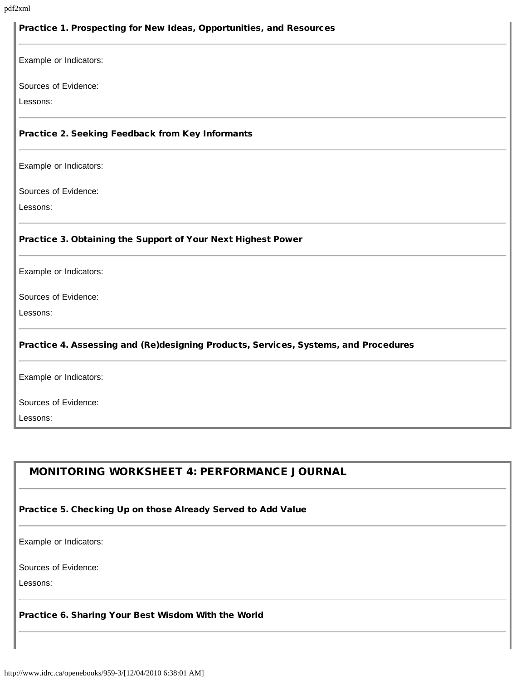| ulzxiiii                                                                            |
|-------------------------------------------------------------------------------------|
| Practice 1. Prospecting for New Ideas, Opportunities, and Resources                 |
| Example or Indicators:                                                              |
| Sources of Evidence:                                                                |
| Lessons:                                                                            |
| Practice 2. Seeking Feedback from Key Informants                                    |
| Example or Indicators:                                                              |
| Sources of Evidence:                                                                |
| Lessons:                                                                            |
| Practice 3. Obtaining the Support of Your Next Highest Power                        |
| Example or Indicators:                                                              |
| Sources of Evidence:                                                                |
| Lessons:                                                                            |
| Practice 4. Assessing and (Re)designing Products, Services, Systems, and Procedures |
| Example or Indicators:                                                              |
| Sources of Evidence:                                                                |
| Lessons:                                                                            |

# MONITORING WORKSHEET 4: PERFORMANCE JOURNAL

Practice 5. Checking Up on those Already Served to Add Value

Example or Indicators:

Sources of Evidence:

Lessons:

Practice 6. Sharing Your Best Wisdom With the World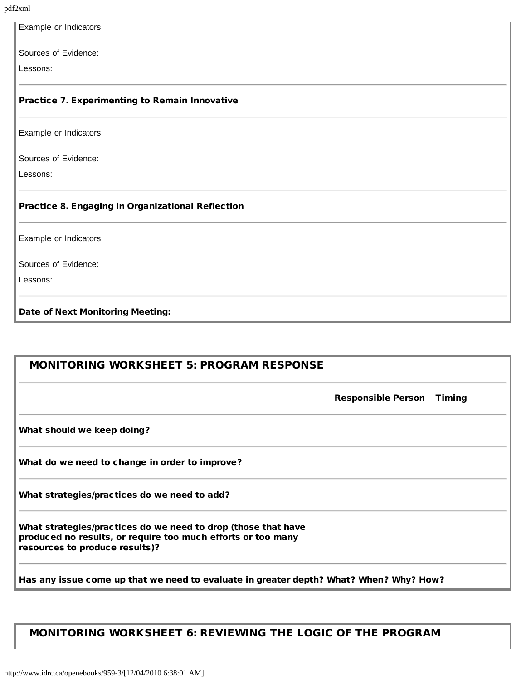Example or Indicators:

Sources of Evidence:

Lessons:

## Practice 7. Experimenting to Remain Innovative

Example or Indicators:

Sources of Evidence:

Lessons:

## Practice 8. Engaging in Organizational Reflection

Example or Indicators:

Sources of Evidence:

Lessons:

Date of Next Monitoring Meeting:

| <b>MONITORING WORKSHEET 5: PROGRAM RESPONSE</b>                                                                                                                 |                           |        |
|-----------------------------------------------------------------------------------------------------------------------------------------------------------------|---------------------------|--------|
|                                                                                                                                                                 | <b>Responsible Person</b> | Timing |
| What should we keep doing?                                                                                                                                      |                           |        |
| What do we need to change in order to improve?                                                                                                                  |                           |        |
| What strategies/practices do we need to add?                                                                                                                    |                           |        |
| What strategies/practices do we need to drop (those that have<br>produced no results, or require too much efforts or too many<br>resources to produce results)? |                           |        |
| Has any issue come up that we need to evaluate in greater depth? What? When? Why? How?                                                                          |                           |        |

# MONITORING WORKSHEET 6: REVIEWING THE LOGIC OF THE PROGRAM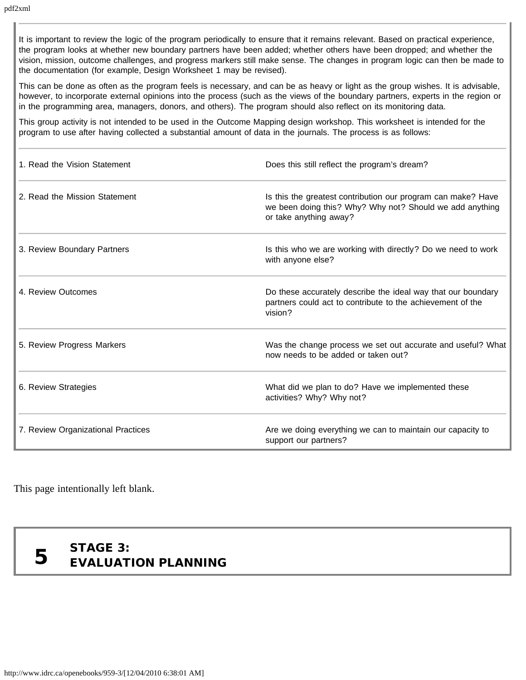It is important to review the logic of the program periodically to ensure that it remains relevant. Based on practical experience, the program looks at whether new boundary partners have been added; whether others have been dropped; and whether the vision, mission, outcome challenges, and progress markers still make sense. The changes in program logic can then be made to the documentation (for example, Design Worksheet 1 may be revised).

This can be done as often as the program feels is necessary, and can be as heavy or light as the group wishes. It is advisable, however, to incorporate external opinions into the process (such as the views of the boundary partners, experts in the region or in the programming area, managers, donors, and others). The program should also reflect on its monitoring data.

This group activity is not intended to be used in the Outcome Mapping design workshop. This worksheet is intended for the program to use after having collected a substantial amount of data in the journals. The process is as follows:

| 1. Read the Vision Statement       | Does this still reflect the program's dream?                                                                                                       |
|------------------------------------|----------------------------------------------------------------------------------------------------------------------------------------------------|
| 2. Read the Mission Statement      | Is this the greatest contribution our program can make? Have<br>we been doing this? Why? Why not? Should we add anything<br>or take anything away? |
| 3. Review Boundary Partners        | Is this who we are working with directly? Do we need to work<br>with anyone else?                                                                  |
| 4. Review Outcomes                 | Do these accurately describe the ideal way that our boundary<br>partners could act to contribute to the achievement of the<br>vision?              |
| 5. Review Progress Markers         | Was the change process we set out accurate and useful? What<br>now needs to be added or taken out?                                                 |
| 6. Review Strategies               | What did we plan to do? Have we implemented these<br>activities? Why? Why not?                                                                     |
| 7. Review Organizational Practices | Are we doing everything we can to maintain our capacity to<br>support our partners?                                                                |

This page intentionally left blank.

# **5** STAGE 3:<br>**5** EVALUATION PLANNING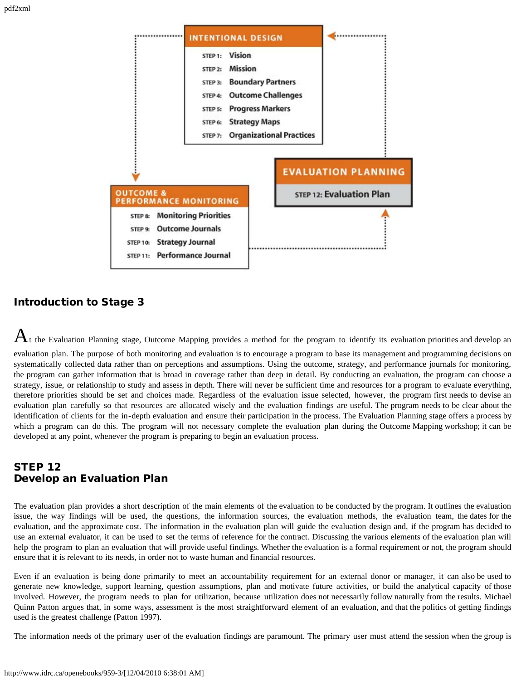

# Introduction to Stage 3

 ${\rm A}$ t the Evaluation Planning stage, Outcome Mapping provides a method for the program to identify its evaluation priorities and develop an

evaluation plan. The purpose of both monitoring and evaluation is to encourage a program to base its management and programming decisions on systematically collected data rather than on perceptions and assumptions. Using the outcome, strategy, and performance journals for monitoring, the program can gather information that is broad in coverage rather than deep in detail. By conducting an evaluation, the program can choose a strategy, issue, or relationship to study and assess in depth. There will never be sufficient time and resources for a program to evaluate everything, therefore priorities should be set and choices made. Regardless of the evaluation issue selected, however, the program first needs to devise an evaluation plan carefully so that resources are allocated wisely and the evaluation findings are useful. The program needs to be clear about the identification of clients for the in-depth evaluation and ensure their participation in the process. The Evaluation Planning stage offers a process by which a program can do this. The program will not necessary complete the evaluation plan during the Outcome Mapping workshop; it can be developed at any point, whenever the program is preparing to begin an evaluation process.

# STEP 12 Develop an Evaluation Plan

The evaluation plan provides a short description of the main elements of the evaluation to be conducted by the program. It outlines the evaluation issue, the way findings will be used, the questions, the information sources, the evaluation methods, the evaluation team, the dates for the evaluation, and the approximate cost. The information in the evaluation plan will guide the evaluation design and, if the program has decided to use an external evaluator, it can be used to set the terms of reference for the contract. Discussing the various elements of the evaluation plan will help the program to plan an evaluation that will provide useful findings. Whether the evaluation is a formal requirement or not, the program should ensure that it is relevant to its needs, in order not to waste human and financial resources.

Even if an evaluation is being done primarily to meet an accountability requirement for an external donor or manager, it can also be used to generate new knowledge, support learning, question assumptions, plan and motivate future activities, or build the analytical capacity of those involved. However, the program needs to plan for utilization, because utilization does not necessarily follow naturally from the results. Michael Quinn Patton argues that, in some ways, assessment is the most straightforward element of an evaluation, and that the politics of getting findings used is the greatest challenge (Patton 1997).

The information needs of the primary user of the evaluation findings are paramount. The primary user must attend the session when the group is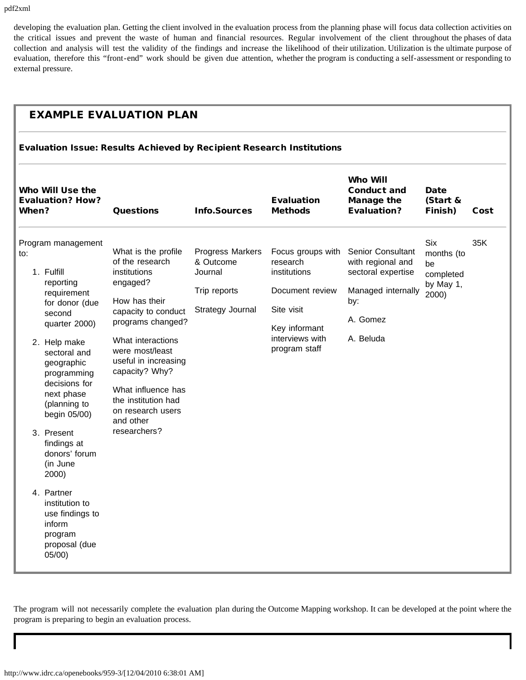developing the evaluation plan. Getting the client involved in the evaluation process from the planning phase will focus data collection activities on the critical issues and prevent the waste of human and financial resources. Regular involvement of the client throughout the phases of data collection and analysis will test the validity of the findings and increase the likelihood of their utilization. Utilization is the ultimate purpose of evaluation, therefore this "front-end" work should be given due attention, whether the program is conducting a self-assessment or responding to external pressure.

|                                                                                                                                                                                                                                                                                                                                                                                                                   | <b>EXAMPLE EVALUATION PLAN</b>                                                                                                                                                                                                                                                                                   |                                                                                     |                                                                                                                                     |                                                                                                                           |                                                                   |      |  |  |
|-------------------------------------------------------------------------------------------------------------------------------------------------------------------------------------------------------------------------------------------------------------------------------------------------------------------------------------------------------------------------------------------------------------------|------------------------------------------------------------------------------------------------------------------------------------------------------------------------------------------------------------------------------------------------------------------------------------------------------------------|-------------------------------------------------------------------------------------|-------------------------------------------------------------------------------------------------------------------------------------|---------------------------------------------------------------------------------------------------------------------------|-------------------------------------------------------------------|------|--|--|
|                                                                                                                                                                                                                                                                                                                                                                                                                   | <b>Evaluation Issue: Results Achieved by Recipient Research Institutions</b>                                                                                                                                                                                                                                     |                                                                                     |                                                                                                                                     |                                                                                                                           |                                                                   |      |  |  |
| Who Will Use the<br><b>Evaluation? How?</b><br>When?                                                                                                                                                                                                                                                                                                                                                              | <b>Questions</b>                                                                                                                                                                                                                                                                                                 | <b>Info.Sources</b>                                                                 | <b>Evaluation</b><br><b>Methods</b>                                                                                                 | <b>Who Will</b><br><b>Conduct and</b><br><b>Manage the</b><br><b>Evaluation?</b>                                          | <b>Date</b><br>(Start &<br>Finish)                                | Cost |  |  |
| Program management<br>to:<br>1. Fulfill<br>reporting<br>requirement<br>for donor (due<br>second<br>quarter 2000)<br>2. Help make<br>sectoral and<br>geographic<br>programming<br>decisions for<br>next phase<br>(planning to<br>begin 05/00)<br>3. Present<br>findings at<br>donors' forum<br>(in June<br>2000)<br>4. Partner<br>institution to<br>use findings to<br>inform<br>program<br>proposal (due<br>05/00 | What is the profile<br>of the research<br>institutions<br>engaged?<br>How has their<br>capacity to conduct<br>programs changed?<br>What interactions<br>were most/least<br>useful in increasing<br>capacity? Why?<br>What influence has<br>the institution had<br>on research users<br>and other<br>researchers? | <b>Progress Markers</b><br>& Outcome<br>Journal<br>Trip reports<br>Strategy Journal | Focus groups with<br>research<br>institutions<br>Document review<br>Site visit<br>Key informant<br>interviews with<br>program staff | <b>Senior Consultant</b><br>with regional and<br>sectoral expertise<br>Managed internally<br>by:<br>A. Gomez<br>A. Beluda | <b>Six</b><br>months (to<br>be<br>completed<br>by May 1,<br>2000) | 35K  |  |  |

The program will not necessarily complete the evaluation plan during the Outcome Mapping workshop. It can be developed at the point where the program is preparing to begin an evaluation process.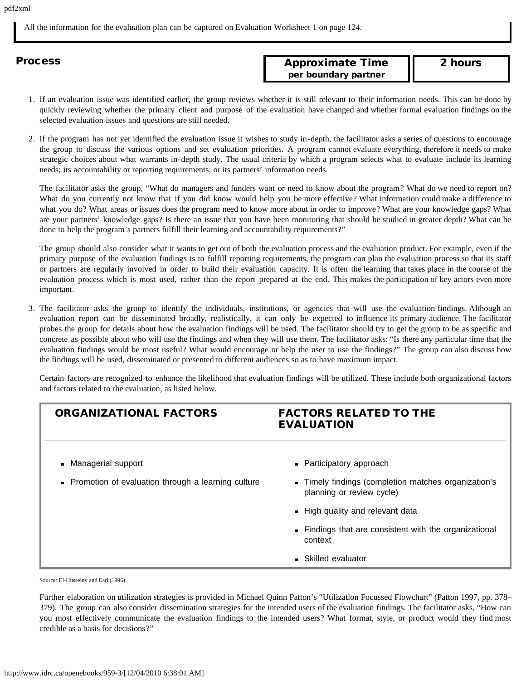All the information for the evaluation plan can be captured on Evaluation Worksheet 1 on page 124.

## Process **Approximate Time** per boundary partner

2 hours

- 1. If an evaluation issue was identified earlier, the group reviews whether it is still relevant to their information needs. This can be done by quickly reviewing whether the primary client and purpose of the evaluation have changed and whether formal evaluation findings on the selected evaluation issues and questions are still needed.
- 2. If the program has not yet identified the evaluation issue it wishes to study in-depth, the facilitator asks a series of questions to encourage the group to discuss the various options and set evaluation priorities. A program cannot evaluate everything, therefore it needs to make strategic choices about what warrants in-depth study. The usual criteria by which a program selects what to evaluate include its learning needs; its accountability or reporting requirements; or its partners' information needs.

The facilitator asks the group, "What do managers and funders want or need to know about the program? What do we need to report on? What do you currently not know that if you did know would help you be more effective? What information could make a difference to what you do? What areas or issues does the program need to know more about in order to improve? What are your knowledge gaps? What are your partners' knowledge gaps? Is there an issue that you have been monitoring that should be studied in greater depth? What can be done to help the program's partners fulfill their learning and accountability requirements?"

The group should also consider what it wants to get out of both the evaluation process and the evaluation product. For example, even if the primary purpose of the evaluation findings is to fulfill reporting requirements, the program can plan the evaluation process so that its staff or partners are regularly involved in order to build their evaluation capacity. It is often the learning that takes place in the course of the evaluation process which is most used, rather than the report prepared at the end. This makes the participation of key actors even more important.

3. The facilitator asks the group to identify the individuals, institutions, or agencies that will use the evaluation findings. Although an evaluation report can be disseminated broadly, realistically, it can only be expected to influence its primary audience. The facilitator probes the group for details about how the evaluation findings will be used. The facilitator should try to get the group to be as specific and concrete as possible about who will use the findings and when they will use them. The facilitator asks: "Is there any particular time that the evaluation findings would be most useful? What would encourage or help the user to use the findings?" The group can also discuss how the findings will be used, disseminated or presented to different audiences so as to have maximum impact.

Certain factors are recognized to enhance the likelihood that evaluation findings will be utilized. These include both organizational factors and factors related to the evaluation, as listed below.

| <b>ORGANIZATIONAL FACTORS</b>                        | <b>FACTORS RELATED TO THE</b><br><b>EVALUATION</b>                                |
|------------------------------------------------------|-----------------------------------------------------------------------------------|
| • Managerial support                                 | • Participatory approach                                                          |
| • Promotion of evaluation through a learning culture | - Timely findings (completion matches organization's<br>planning or review cycle) |
|                                                      | - High quality and relevant data                                                  |
|                                                      | • Findings that are consistent with the organizational<br>context                 |
|                                                      | ■ Skilled evaluator                                                               |

Source: El-Husseiny and Earl (1996).

Further elaboration on utilization strategies is provided in Michael Quinn Patton's "Utilization Focussed Flowchart" (Patton 1997, pp. 378– 379). The group can also consider dissemination strategies for the intended users of the evaluation findings. The facilitator asks, "How can you most effectively communicate the evaluation findings to the intended users? What format, style, or product would they find most credible as a basis for decisions?"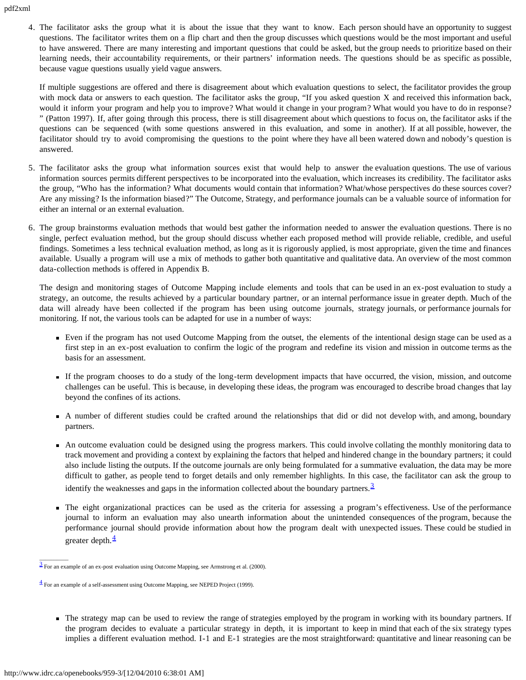4. The facilitator asks the group what it is about the issue that they want to know. Each person should have an opportunity to suggest questions. The facilitator writes them on a flip chart and then the group discusses which questions would be the most important and useful to have answered. There are many interesting and important questions that could be asked, but the group needs to prioritize based on their learning needs, their accountability requirements, or their partners' information needs. The questions should be as specific as possible, because vague questions usually yield vague answers.

If multiple suggestions are offered and there is disagreement about which evaluation questions to select, the facilitator provides the group with mock data or answers to each question. The facilitator asks the group, "If you asked question X and received this information back, would it inform your program and help you to improve? What would it change in your program? What would you have to do in response? " (Patton 1997). If, after going through this process, there is still disagreement about which questions to focus on, the facilitator asks if the questions can be sequenced (with some questions answered in this evaluation, and some in another). If at all possible, however, the facilitator should try to avoid compromising the questions to the point where they have all been watered down and nobody's question is answered.

- 5. The facilitator asks the group what information sources exist that would help to answer the evaluation questions. The use of various information sources permits different perspectives to be incorporated into the evaluation, which increases its credibility. The facilitator asks the group, "Who has the information? What documents would contain that information? What/whose perspectives do these sources cover? Are any missing? Is the information biased?" The Outcome, Strategy, and performance journals can be a valuable source of information for either an internal or an external evaluation.
- 6. The group brainstorms evaluation methods that would best gather the information needed to answer the evaluation questions. There is no single, perfect evaluation method, but the group should discuss whether each proposed method will provide reliable, credible, and useful findings. Sometimes a less technical evaluation method, as long as it is rigorously applied, is most appropriate, given the time and finances available. Usually a program will use a mix of methods to gather both quantitative and qualitative data. An overview of the most common data-collection methods is offered in Appendix B.

The design and monitoring stages of Outcome Mapping include elements and tools that can be used in an ex-post evaluation to study a strategy, an outcome, the results achieved by a particular boundary partner, or an internal performance issue in greater depth. Much of the data will already have been collected if the program has been using outcome journals, strategy journals, or performance journals for monitoring. If not, the various tools can be adapted for use in a number of ways:

- Even if the program has not used Outcome Mapping from the outset, the elements of the intentional design stage can be used as a first step in an ex-post evaluation to confirm the logic of the program and redefine its vision and mission in outcome terms as the basis for an assessment.
- If the program chooses to do a study of the long-term development impacts that have occurred, the vision, mission, and outcome challenges can be useful. This is because, in developing these ideas, the program was encouraged to describe broad changes that lay beyond the confines of its actions.
- A number of different studies could be crafted around the relationships that did or did not develop with, and among, boundary partners.
- An outcome evaluation could be designed using the progress markers. This could involve collating the monthly monitoring data to track movement and providing a context by explaining the factors that helped and hindered change in the boundary partners; it could also include listing the outputs. If the outcome journals are only being formulated for a summative evaluation, the data may be more difficult to gather, as people tend to forget details and only remember highlights. In this case, the facilitator can ask the group to identify the weaknesses and gaps in the information collected about the boundary partners. $3$
- <span id="page-67-2"></span>The eight organizational practices can be used as the criteria for assessing a program's effectiveness. Use of the performance journal to inform an evaluation may also unearth information about the unintended consequences of the program, because the performance journal should provide information about how the program dealt with unexpected issues. These could be studied in greater depth. $\frac{4}{3}$  $\frac{4}{3}$  $\frac{4}{3}$

The strategy map can be used to review the range of strategies employed by the program in working with its boundary partners. If the program decides to evaluate a particular strategy in depth, it is important to keep in mind that each of the six strategy types implies a different evaluation method. I-1 and E-1 strategies are the most straightforward: quantitative and linear reasoning can be

<span id="page-67-3"></span> $\overline{\phantom{a}}$ 

<span id="page-67-0"></span>[<sup>3</sup>](#page-67-2) For an example of an ex-post evaluation using Outcome Mapping, see Armstrong et al. (2000).

<span id="page-67-1"></span> $\frac{4}{1}$  For an example of a self-assessment using Outcome Mapping, see NEPED Project (1999).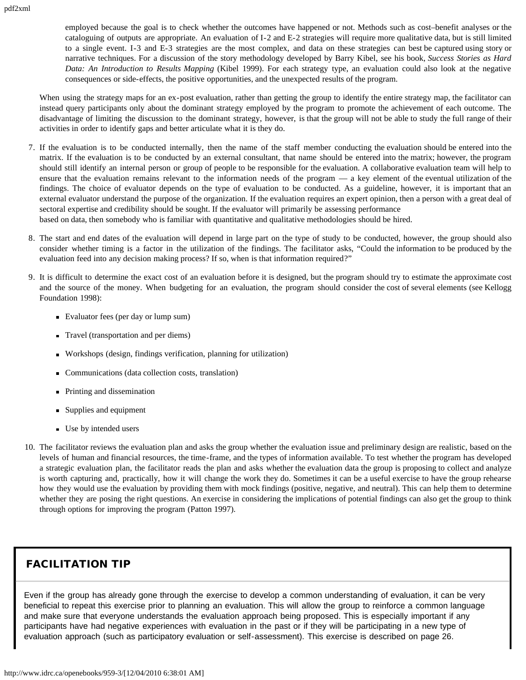employed because the goal is to check whether the outcomes have happened or not. Methods such as cost–benefit analyses or the cataloguing of outputs are appropriate. An evaluation of I-2 and E-2 strategies will require more qualitative data, but is still limited to a single event. I-3 and E-3 strategies are the most complex, and data on these strategies can best be captured using story or narrative techniques. For a discussion of the story methodology developed by Barry Kibel, see his book, *Success Stories as Hard Data: An Introduction to Results Mapping* (Kibel 1999). For each strategy type, an evaluation could also look at the negative consequences or side-effects, the positive opportunities, and the unexpected results of the program.

When using the strategy maps for an ex-post evaluation, rather than getting the group to identify the entire strategy map, the facilitator can instead query participants only about the dominant strategy employed by the program to promote the achievement of each outcome. The disadvantage of limiting the discussion to the dominant strategy, however, is that the group will not be able to study the full range of their activities in order to identify gaps and better articulate what it is they do.

- 7. If the evaluation is to be conducted internally, then the name of the staff member conducting the evaluation should be entered into the matrix. If the evaluation is to be conducted by an external consultant, that name should be entered into the matrix; however, the program should still identify an internal person or group of people to be responsible for the evaluation. A collaborative evaluation team will help to ensure that the evaluation remains relevant to the information needs of the program — a key element of the eventual utilization of the findings. The choice of evaluator depends on the type of evaluation to be conducted. As a guideline, however, it is important that an external evaluator understand the purpose of the organization. If the evaluation requires an expert opinion, then a person with a great deal of sectoral expertise and credibility should be sought. If the evaluator will primarily be assessing performance based on data, then somebody who is familiar with quantitative and qualitative methodologies should be hired.
- 8. The start and end dates of the evaluation will depend in large part on the type of study to be conducted, however, the group should also consider whether timing is a factor in the utilization of the findings. The facilitator asks, "Could the information to be produced by the evaluation feed into any decision making process? If so, when is that information required?"
- 9. It is difficult to determine the exact cost of an evaluation before it is designed, but the program should try to estimate the approximate cost and the source of the money. When budgeting for an evaluation, the program should consider the cost of several elements (see Kellogg Foundation 1998):
	- Evaluator fees (per day or lump sum)
	- Travel (transportation and per diems)
	- Workshops (design, findings verification, planning for utilization)
	- Communications (data collection costs, translation)
	- Printing and dissemination
	- Supplies and equipment
	- Use by intended users
- 10. The facilitator reviews the evaluation plan and asks the group whether the evaluation issue and preliminary design are realistic, based on the levels of human and financial resources, the time-frame, and the types of information available. To test whether the program has developed a strategic evaluation plan, the facilitator reads the plan and asks whether the evaluation data the group is proposing to collect and analyze is worth capturing and, practically, how it will change the work they do. Sometimes it can be a useful exercise to have the group rehearse how they would use the evaluation by providing them with mock findings (positive, negative, and neutral). This can help them to determine whether they are posing the right questions. An exercise in considering the implications of potential findings can also get the group to think through options for improving the program (Patton 1997).

# FACILITATION TIP

Even if the group has already gone through the exercise to develop a common understanding of evaluation, it can be very beneficial to repeat this exercise prior to planning an evaluation. This will allow the group to reinforce a common language and make sure that everyone understands the evaluation approach being proposed. This is especially important if any participants have had negative experiences with evaluation in the past or if they will be participating in a new type of evaluation approach (such as participatory evaluation or self-assessment). This exercise is described on page 26.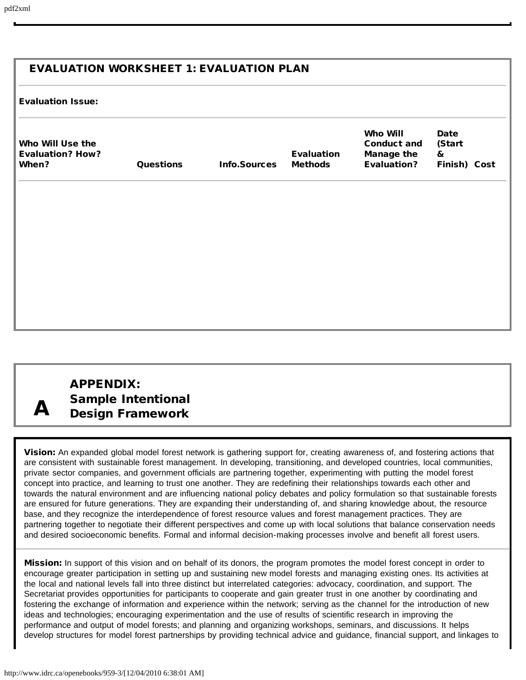# EVALUATION WORKSHEET 1: EVALUATION PLAN

#### Evaluation Issue:

A

| Who Will Use the<br><b>Evaluation? How?</b><br>When? | Questions | <b>Info.Sources</b> | <b>Evaluation</b><br>Methods | Who Will<br><b>Conduct and</b><br><b>Manage the</b><br><b>Evaluation?</b> | <b>Date</b><br>(Start)<br>&<br>Finish) Cost |
|------------------------------------------------------|-----------|---------------------|------------------------------|---------------------------------------------------------------------------|---------------------------------------------|
|------------------------------------------------------|-----------|---------------------|------------------------------|---------------------------------------------------------------------------|---------------------------------------------|

# APPENDIX: Sample Intentional Design Framework

Vision: An expanded global model forest network is gathering support for, creating awareness of, and fostering actions that are consistent with sustainable forest management. In developing, transitioning, and developed countries, local communities, private sector companies, and government officials are partnering together, experimenting with putting the model forest concept into practice, and learning to trust one another. They are redefining their relationships towards each other and towards the natural environment and are influencing national policy debates and policy formulation so that sustainable forests are ensured for future generations. They are expanding their understanding of, and sharing knowledge about, the resource base, and they recognize the interdependence of forest resource values and forest management practices. They are partnering together to negotiate their different perspectives and come up with local solutions that balance conservation needs and desired socioeconomic benefits. Formal and informal decision-making processes involve and benefit all forest users.

Mission: In support of this vision and on behalf of its donors, the program promotes the model forest concept in order to encourage greater participation in setting up and sustaining new model forests and managing existing ones. Its activities at the local and national levels fall into three distinct but interrelated categories: advocacy, coordination, and support. The Secretariat provides opportunities for participants to cooperate and gain greater trust in one another by coordinating and fostering the exchange of information and experience within the network; serving as the channel for the introduction of new ideas and technologies; encouraging experimentation and the use of results of scientific research in improving the performance and output of model forests; and planning and organizing workshops, seminars, and discussions. It helps develop structures for model forest partnerships by providing technical advice and guidance, financial support, and linkages to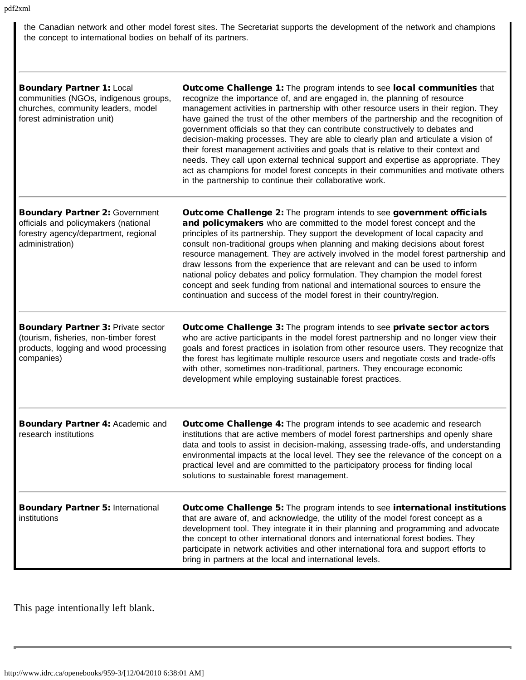|                                                                                                                                                | the Canadian network and other model forest sites. The Secretariat supports the development of the network and champions<br>the concept to international bodies on behalf of its partners.                                                                                                                                                                                                                                                                                                                                                                                                                                                                                                                                                                                                                                                          |  |  |  |  |
|------------------------------------------------------------------------------------------------------------------------------------------------|-----------------------------------------------------------------------------------------------------------------------------------------------------------------------------------------------------------------------------------------------------------------------------------------------------------------------------------------------------------------------------------------------------------------------------------------------------------------------------------------------------------------------------------------------------------------------------------------------------------------------------------------------------------------------------------------------------------------------------------------------------------------------------------------------------------------------------------------------------|--|--|--|--|
| <b>Boundary Partner 1: Local</b><br>communities (NGOs, indigenous groups,<br>churches, community leaders, model<br>forest administration unit) | <b>Outcome Challenge 1:</b> The program intends to see local communities that<br>recognize the importance of, and are engaged in, the planning of resource<br>management activities in partnership with other resource users in their region. They<br>have gained the trust of the other members of the partnership and the recognition of<br>government officials so that they can contribute constructively to debates and<br>decision-making processes. They are able to clearly plan and articulate a vision of<br>their forest management activities and goals that is relative to their context and<br>needs. They call upon external technical support and expertise as appropriate. They<br>act as champions for model forest concepts in their communities and motivate others<br>in the partnership to continue their collaborative work. |  |  |  |  |
| <b>Boundary Partner 2: Government</b><br>officials and policymakers (national<br>forestry agency/department, regional<br>administration)       | <b>Outcome Challenge 2:</b> The program intends to see government officials<br>and policymakers who are committed to the model forest concept and the<br>principles of its partnership. They support the development of local capacity and<br>consult non-traditional groups when planning and making decisions about forest<br>resource management. They are actively involved in the model forest partnership and<br>draw lessons from the experience that are relevant and can be used to inform<br>national policy debates and policy formulation. They champion the model forest<br>concept and seek funding from national and international sources to ensure the<br>continuation and success of the model forest in their country/region.                                                                                                    |  |  |  |  |
| <b>Boundary Partner 3: Private sector</b><br>(tourism, fisheries, non-timber forest<br>products, logging and wood processing<br>companies)     | <b>Outcome Challenge 3:</b> The program intends to see private sector actors<br>who are active participants in the model forest partnership and no longer view their<br>goals and forest practices in isolation from other resource users. They recognize that<br>the forest has legitimate multiple resource users and negotiate costs and trade-offs<br>with other, sometimes non-traditional, partners. They encourage economic<br>development while employing sustainable forest practices.                                                                                                                                                                                                                                                                                                                                                     |  |  |  |  |
| Boundary Partner 4: Academic and<br>research institutions                                                                                      | <b>Outcome Challenge 4:</b> The program intends to see academic and research<br>institutions that are active members of model forest partnerships and openly share<br>data and tools to assist in decision-making, assessing trade-offs, and understanding<br>environmental impacts at the local level. They see the relevance of the concept on a<br>practical level and are committed to the participatory process for finding local<br>solutions to sustainable forest management.                                                                                                                                                                                                                                                                                                                                                               |  |  |  |  |
| <b>Boundary Partner 5: International</b><br>institutions                                                                                       | <b>Outcome Challenge 5: The program intends to see international institutions</b><br>that are aware of, and acknowledge, the utility of the model forest concept as a<br>development tool. They integrate it in their planning and programming and advocate<br>the concept to other international donors and international forest bodies. They<br>participate in network activities and other international fora and support efforts to<br>bring in partners at the local and international levels.                                                                                                                                                                                                                                                                                                                                                 |  |  |  |  |

This page intentionally left blank.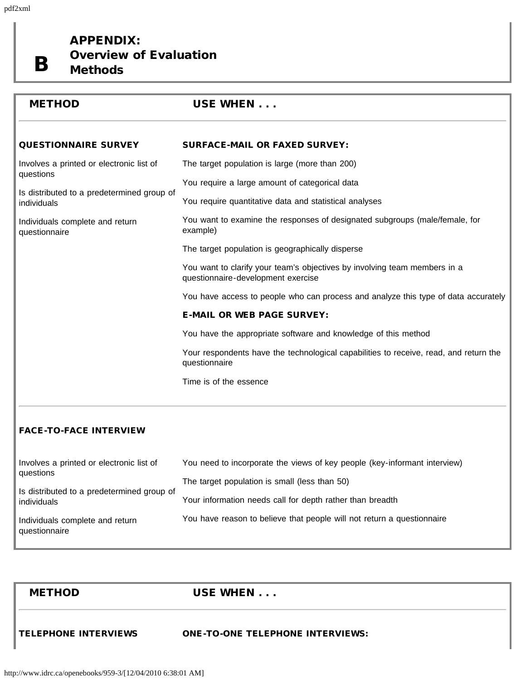#### B APPENDIX: Overview of Evaluation **Methods**

| <b>METHOD</b>                                                                                                      | USE WHEN                                                                                                        |
|--------------------------------------------------------------------------------------------------------------------|-----------------------------------------------------------------------------------------------------------------|
| <b>QUESTIONNAIRE SURVEY</b>                                                                                        | <b>SURFACE-MAIL OR FAXED SURVEY:</b>                                                                            |
| Involves a printed or electronic list of<br>questions<br>Is distributed to a predetermined group of<br>individuals | The target population is large (more than 200)                                                                  |
|                                                                                                                    | You require a large amount of categorical data                                                                  |
|                                                                                                                    | You require quantitative data and statistical analyses                                                          |
| Individuals complete and return<br>questionnaire                                                                   | You want to examine the responses of designated subgroups (male/female, for<br>example)                         |
|                                                                                                                    | The target population is geographically disperse                                                                |
|                                                                                                                    | You want to clarify your team's objectives by involving team members in a<br>questionnaire-development exercise |
|                                                                                                                    | You have access to people who can process and analyze this type of data accurately                              |
|                                                                                                                    | <b>E-MAIL OR WEB PAGE SURVEY:</b>                                                                               |
|                                                                                                                    | You have the appropriate software and knowledge of this method                                                  |
|                                                                                                                    | Your respondents have the technological capabilities to receive, read, and return the<br>questionnaire          |
|                                                                                                                    | Time is of the essence                                                                                          |
| <b>FACE-TO-FACE INTERVIEW</b>                                                                                      |                                                                                                                 |
| Involves a printed or electronic list of<br>questions<br>Is distributed to a predetermined group of<br>individuals | You need to incorporate the views of key people (key-informant interview)                                       |
|                                                                                                                    | The target population is small (less than 50)                                                                   |
|                                                                                                                    | Your information needs call for depth rather than breadth                                                       |
| Individuals complete and return                                                                                    | You have reason to believe that people will not return a questionnaire                                          |

questionnaire

METHOD USE WHEN . . . TELEPHONE INTERVIEWS ONE-TO-ONE TELEPHONE INTERVIEWS: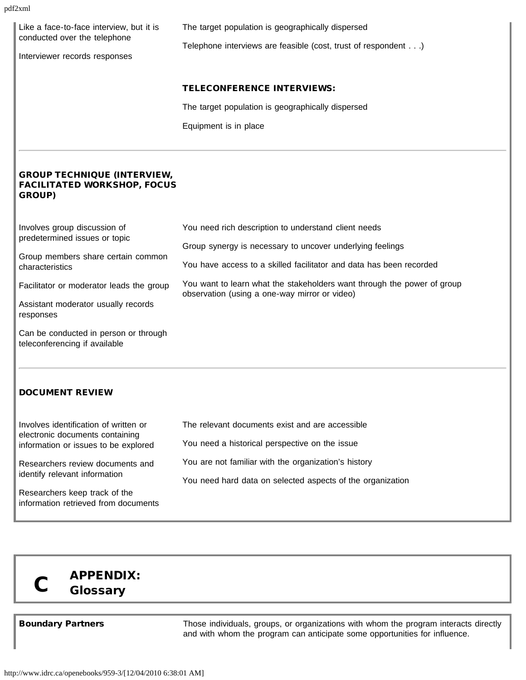pdf2xml

| df2xml                                                                                                                                                                                                                                                                                                                     |                                                                                                                                                                                                                                                                                                                      |
|----------------------------------------------------------------------------------------------------------------------------------------------------------------------------------------------------------------------------------------------------------------------------------------------------------------------------|----------------------------------------------------------------------------------------------------------------------------------------------------------------------------------------------------------------------------------------------------------------------------------------------------------------------|
| Like a face-to-face interview, but it is<br>conducted over the telephone<br>Interviewer records responses                                                                                                                                                                                                                  | The target population is geographically dispersed<br>Telephone interviews are feasible (cost, trust of respondent)                                                                                                                                                                                                   |
|                                                                                                                                                                                                                                                                                                                            | <b>TELECONFERENCE INTERVIEWS:</b><br>The target population is geographically dispersed<br>Equipment is in place                                                                                                                                                                                                      |
| <b>GROUP TECHNIQUE (INTERVIEW,</b><br><b>FACILITATED WORKSHOP, FOCUS</b><br><b>GROUP)</b>                                                                                                                                                                                                                                  |                                                                                                                                                                                                                                                                                                                      |
| Involves group discussion of<br>predetermined issues or topic<br>Group members share certain common<br>characteristics<br>Facilitator or moderator leads the group<br>Assistant moderator usually records<br>responses<br>Can be conducted in person or through<br>teleconferencing if available<br><b>DOCUMENT REVIEW</b> | You need rich description to understand client needs<br>Group synergy is necessary to uncover underlying feelings<br>You have access to a skilled facilitator and data has been recorded<br>You want to learn what the stakeholders want through the power of group<br>observation (using a one-way mirror or video) |
| Involves identification of written or<br>electronic documents containing<br>information or issues to be explored<br>Researchers review documents and<br>identify relevant information<br>Researchers keep track of the<br>information retrieved from documents                                                             | The relevant documents exist and are accessible<br>You need a historical perspective on the issue<br>You are not familiar with the organization's history<br>You need hard data on selected aspects of the organization                                                                                              |



Boundary Partners Those individuals, groups, or organizations with whom the program interacts directly and with whom the program can anticipate some opportunities for influence.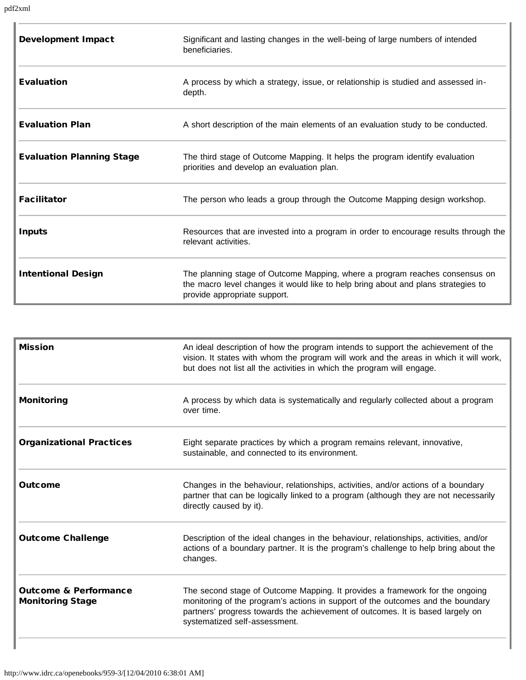| <b>Development Impact</b>        | Significant and lasting changes in the well-being of large numbers of intended<br>beneficiaries.                                                                                                 |  |
|----------------------------------|--------------------------------------------------------------------------------------------------------------------------------------------------------------------------------------------------|--|
| <b>Evaluation</b>                | A process by which a strategy, issue, or relationship is studied and assessed in-<br>depth.                                                                                                      |  |
| <b>Evaluation Plan</b>           | A short description of the main elements of an evaluation study to be conducted.                                                                                                                 |  |
| <b>Evaluation Planning Stage</b> | The third stage of Outcome Mapping. It helps the program identify evaluation<br>priorities and develop an evaluation plan.                                                                       |  |
| <b>Facilitator</b>               | The person who leads a group through the Outcome Mapping design workshop.                                                                                                                        |  |
| <b>Inputs</b>                    | Resources that are invested into a program in order to encourage results through the<br>relevant activities.                                                                                     |  |
| <b>Intentional Design</b>        | The planning stage of Outcome Mapping, where a program reaches consensus on<br>the macro level changes it would like to help bring about and plans strategies to<br>provide appropriate support. |  |

| <b>Mission</b>                                              | An ideal description of how the program intends to support the achievement of the<br>vision. It states with whom the program will work and the areas in which it will work,<br>but does not list all the activities in which the program will engage.                              |
|-------------------------------------------------------------|------------------------------------------------------------------------------------------------------------------------------------------------------------------------------------------------------------------------------------------------------------------------------------|
| <b>Monitoring</b>                                           | A process by which data is systematically and regularly collected about a program<br>over time.                                                                                                                                                                                    |
| <b>Organizational Practices</b>                             | Eight separate practices by which a program remains relevant, innovative,<br>sustainable, and connected to its environment.                                                                                                                                                        |
| <b>Outcome</b>                                              | Changes in the behaviour, relationships, activities, and/or actions of a boundary<br>partner that can be logically linked to a program (although they are not necessarily<br>directly caused by it).                                                                               |
| <b>Outcome Challenge</b>                                    | Description of the ideal changes in the behaviour, relationships, activities, and/or<br>actions of a boundary partner. It is the program's challenge to help bring about the<br>changes.                                                                                           |
| <b>Outcome &amp; Performance</b><br><b>Monitoring Stage</b> | The second stage of Outcome Mapping. It provides a framework for the ongoing<br>monitoring of the program's actions in support of the outcomes and the boundary<br>partners' progress towards the achievement of outcomes. It is based largely on<br>systematized self-assessment. |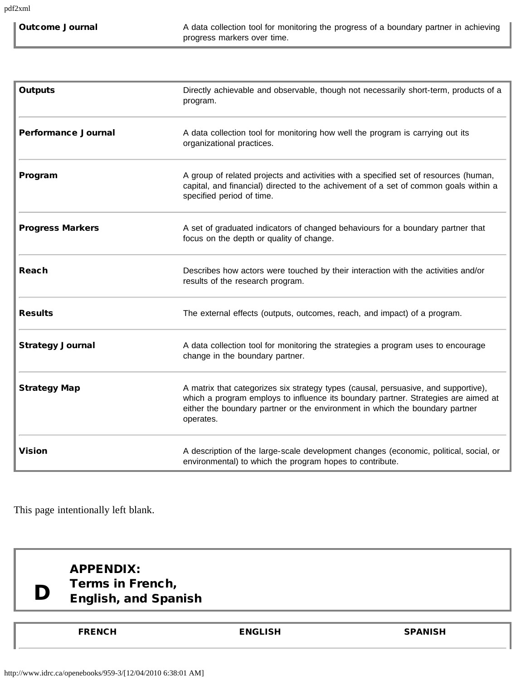| <b>Outputs</b>             | Directly achievable and observable, though not necessarily short-term, products of a<br>program.                                                                                                                                                                      |
|----------------------------|-----------------------------------------------------------------------------------------------------------------------------------------------------------------------------------------------------------------------------------------------------------------------|
| <b>Performance Journal</b> | A data collection tool for monitoring how well the program is carrying out its<br>organizational practices.                                                                                                                                                           |
| Program                    | A group of related projects and activities with a specified set of resources (human,<br>capital, and financial) directed to the achivement of a set of common goals within a<br>specified period of time.                                                             |
| <b>Progress Markers</b>    | A set of graduated indicators of changed behaviours for a boundary partner that<br>focus on the depth or quality of change.                                                                                                                                           |
| Reach                      | Describes how actors were touched by their interaction with the activities and/or<br>results of the research program.                                                                                                                                                 |
| <b>Results</b>             | The external effects (outputs, outcomes, reach, and impact) of a program.                                                                                                                                                                                             |
| <b>Strategy Journal</b>    | A data collection tool for monitoring the strategies a program uses to encourage<br>change in the boundary partner.                                                                                                                                                   |
| <b>Strategy Map</b>        | A matrix that categorizes six strategy types (causal, persuasive, and supportive),<br>which a program employs to influence its boundary partner. Strategies are aimed at<br>either the boundary partner or the environment in which the boundary partner<br>operates. |
| <b>Vision</b>              | A description of the large-scale development changes (economic, political, social, or<br>environmental) to which the program hopes to contribute.                                                                                                                     |

This page intentionally left blank.



FRENCH ENGLISH ENGLISH SPANISH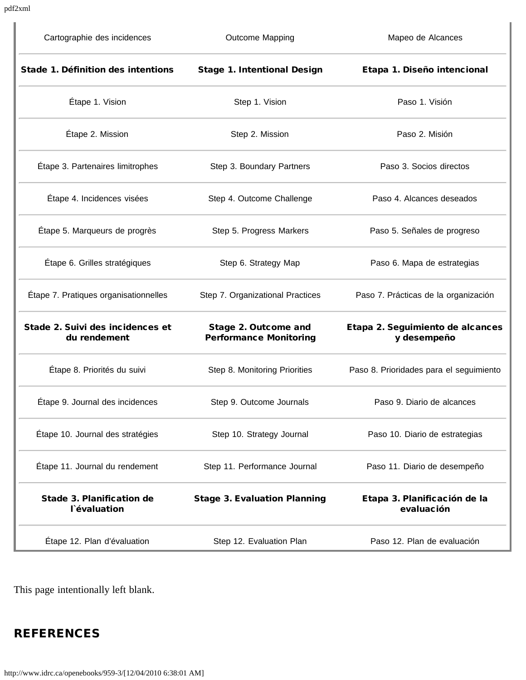| Cartographie des incidences                      | <b>Outcome Mapping</b>                                | Mapeo de Alcances                               |
|--------------------------------------------------|-------------------------------------------------------|-------------------------------------------------|
| Stade 1. Définition des intentions               | <b>Stage 1. Intentional Design</b>                    | Etapa 1. Diseño intencional                     |
| Étape 1. Vision                                  | Step 1. Vision                                        | Paso 1. Visión                                  |
| Étape 2. Mission                                 | Step 2. Mission                                       | Paso 2. Misión                                  |
| Étape 3. Partenaires limitrophes                 | Step 3. Boundary Partners                             | Paso 3. Socios directos                         |
| Étape 4. Incidences visées                       | Step 4. Outcome Challenge                             | Paso 4. Alcances deseados                       |
| Étape 5. Marqueurs de progrès                    | Step 5. Progress Markers                              | Paso 5. Señales de progreso                     |
| Étape 6. Grilles stratégiques                    | Step 6. Strategy Map                                  | Paso 6. Mapa de estrategias                     |
| Étape 7. Pratiques organisationnelles            | Step 7. Organizational Practices                      | Paso 7. Prácticas de la organización            |
| Stade 2. Suivi des incidences et<br>du rendement | Stage 2. Outcome and<br><b>Performance Monitoring</b> | Etapa 2. Seguimiento de alcances<br>y desempeño |
| Étape 8. Priorités du suivi                      | Step 8. Monitoring Priorities                         | Paso 8. Prioridades para el seguimiento         |
| Étape 9. Journal des incidences                  | Step 9. Outcome Journals                              | Paso 9. Diario de alcances                      |
| Étape 10. Journal des stratégies                 | Step 10. Strategy Journal                             | Paso 10. Diario de estrategias                  |
| Étape 11. Journal du rendement                   | Step 11. Performance Journal                          | Paso 11. Diario de desempeño                    |
| Stade 3. Planification de<br>l'évaluation        | <b>Stage 3. Evaluation Planning</b>                   | Etapa 3. Planificación de la<br>evaluación      |
| Étape 12. Plan d'évaluation                      | Step 12. Evaluation Plan                              | Paso 12. Plan de evaluación                     |

This page intentionally left blank.

## REFERENCES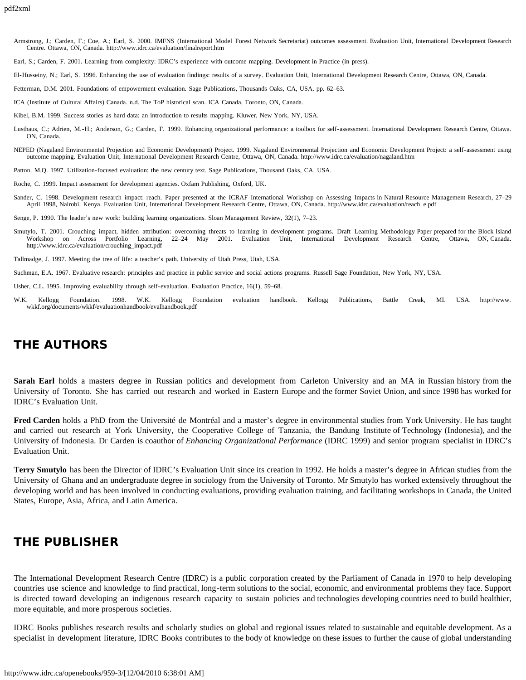- Armstrong, J.; Carden, F.; Coe, A.; Earl, S. 2000. IMFNS (International Model Forest Network Secretariat) outcomes assessment. Evaluation Unit, International Development Research Centre. Ottawa, ON, Canada. http://www.idrc.ca/evaluation/finalreport.htm
- Earl, S.; Carden, F. 2001. Learning from complexity: IDRC's experience with outcome mapping. Development in Practice (in press).
- El-Husseiny, N.; Earl, S. 1996. Enhancing the use of evaluation findings: results of a survey. Evaluation Unit, International Development Research Centre, Ottawa, ON, Canada.
- Fetterman, D.M. 2001. Foundations of empowerment evaluation. Sage Publications, Thousands Oaks, CA, USA. pp. 62–63.
- ICA (Institute of Cultural Affairs) Canada. n.d. The ToP historical scan. ICA Canada, Toronto, ON, Canada.
- Kibel, B.M. 1999. Success stories as hard data: an introduction to results mapping. Kluwer, New York, NY, USA.
- Lusthaus, C.; Adrien, M.-H.; Anderson, G.; Carden, F. 1999. Enhancing organizational performance: a toolbox for self-assessment. International Development Research Centre, Ottawa. ON, Canada.
- NEPED (Nagaland Environmental Projection and Economic Development) Project. 1999. Nagaland Environmental Projection and Economic Development Project: a self-assessment using outcome mapping. Evaluation Unit, International Development Research Centre, Ottawa, ON, Canada. http://www.idrc.ca/evaluation/nagaland.htm
- Patton, M.Q. 1997. Utilization-focused evaluation: the new century text. Sage Publications, Thousand Oaks, CA, USA.
- Roche, C. 1999. Impact assessment for development agencies. Oxfam Publishing, Oxford, UK.
- Sander, C. 1998. Development research impact: reach. Paper presented at the ICRAF International Workshop on Assessing Impacts in Natural Resource Management Research, 27–29 April 1998, Nairobi, Kenya. Evaluation Unit, International Development Research Centre, Ottawa, ON, Canada. http://www.idrc.ca/evaluation/reach\_e.pdf
- Senge, P. 1990. The leader's new work: building learning organizations. Sloan Management Review, 32(1), 7–23.
- Smutylo, T. 2001. Crouching impact, hidden attribution: overcoming threats to learning in development programs. Draft Learning Methodology Paper prepared for the Block Island Workshop on Across Portfolio Learning, 22–24 May 2001. Evaluation Unit, International Development Research Centre, Ottawa, ON, Canada. http://www.idrc.ca/evaluation/crouching\_impact.pdf
- Tallmadge, J. 1997. Meeting the tree of life: a teacher's path. University of Utah Press, Utah, USA.
- Suchman, E.A. 1967. Evaluative research: principles and practice in public service and social actions programs. Russell Sage Foundation, New York, NY, USA.
- Usher, C.L. 1995. Improving evaluability through self-evaluation. Evaluation Practice, 16(1), 59–68.
- W.K. Kellogg Foundation. 1998. W.K. Kellogg Foundation evaluation handbook. Kellogg Publications, Battle Creak, MI. USA. http://www. wkkf.org/documents/wkkf/evaluationhandbook/evalhandbook.pdf

## THE AUTHORS

**Sarah Earl** holds a masters degree in Russian politics and development from Carleton University and an MA in Russian history from the University of Toronto. She has carried out research and worked in Eastern Europe and the former Soviet Union, and since 1998 has worked for IDRC's Evaluation Unit.

**Fred Carden** holds a PhD from the Université de Montréal and a master's degree in environmental studies from York University. He has taught and carried out research at York University, the Cooperative College of Tanzania, the Bandung Institute of Technology (Indonesia), and the University of Indonesia. Dr Carden is coauthor of *Enhancing Organizational Performance* (IDRC 1999) and senior program specialist in IDRC's Evaluation Unit.

**Terry Smutylo** has been the Director of IDRC's Evaluation Unit since its creation in 1992. He holds a master's degree in African studies from the University of Ghana and an undergraduate degree in sociology from the University of Toronto. Mr Smutylo has worked extensively throughout the developing world and has been involved in conducting evaluations, providing evaluation training, and facilitating workshops in Canada, the United States, Europe, Asia, Africa, and Latin America.

## THE PUBLISHER

The International Development Research Centre (IDRC) is a public corporation created by the Parliament of Canada in 1970 to help developing countries use science and knowledge to find practical, long-term solutions to the social, economic, and environmental problems they face. Support is directed toward developing an indigenous research capacity to sustain policies and technologies developing countries need to build healthier, more equitable, and more prosperous societies.

IDRC Books publishes research results and scholarly studies on global and regional issues related to sustainable and equitable development. As a specialist in development literature, IDRC Books contributes to the body of knowledge on these issues to further the cause of global understanding